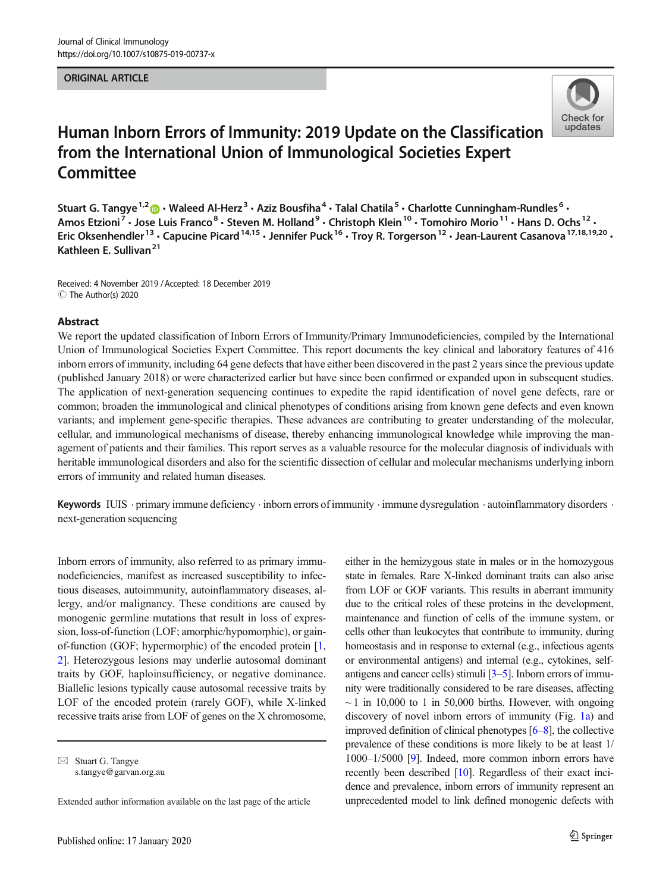#### ORIGINAL ARTICLE



# Human Inborn Errors of Immunity: 2019 Update on the Classification from the International Union of Immunological Societies Expert **Committee**

Stuart G. Tangye<sup>1,2</sup>  $\odot$  · Waleed Al-Herz<sup>3</sup> · Aziz Bousfiha<sup>4</sup> · Talal Chatila<sup>5</sup> · Charlotte Cunningham-Rundles<sup>6</sup> · Amos Etzioni<sup>7</sup> • Jose Luis Franco<sup>8</sup> • Steven M. Holland<sup>9</sup> • Christoph Klein<sup>10</sup> • Tomohiro Morio<sup>11</sup> • Hans D. Ochs<sup>12</sup> • Eric Oksenhendler<sup>13</sup> • Capucine Picard<sup>14,15</sup> • Jennifer Puck<sup>16</sup> • Troy R. Torgerson<sup>12</sup> • Jean-Laurent Casanova<sup>17,18,19,20</sup> • Kathleen E. Sullivan<sup>21</sup>

Received: 4 November 2019 /Accepted: 18 December 2019 C The Author(s) 2020

#### Abstract

We report the updated classification of Inborn Errors of Immunity/Primary Immunodeficiencies, compiled by the International Union of Immunological Societies Expert Committee. This report documents the key clinical and laboratory features of 416 inborn errors of immunity, including 64 gene defects that have either been discovered in the past 2 years since the previous update (published January 2018) or were characterized earlier but have since been confirmed or expanded upon in subsequent studies. The application of next-generation sequencing continues to expedite the rapid identification of novel gene defects, rare or common; broaden the immunological and clinical phenotypes of conditions arising from known gene defects and even known variants; and implement gene-specific therapies. These advances are contributing to greater understanding of the molecular, cellular, and immunological mechanisms of disease, thereby enhancing immunological knowledge while improving the management of patients and their families. This report serves as a valuable resource for the molecular diagnosis of individuals with heritable immunological disorders and also for the scientific dissection of cellular and molecular mechanisms underlying inborn errors of immunity and related human diseases.

Keywords IUIS · primary immune deficiency · inborn errors of immunity · immune dysregulation · autoinflammatory disorders · next-generation sequencing

Inborn errors of immunity, also referred to as primary immunodeficiencies, manifest as increased susceptibility to infectious diseases, autoimmunity, autoinflammatory diseases, allergy, and/or malignancy. These conditions are caused by monogenic germline mutations that result in loss of expression, loss-of-function (LOF; amorphic/hypomorphic), or gainof-function (GOF; hypermorphic) of the encoded protein [[1,](#page-36-0) [2\]](#page-36-0). Heterozygous lesions may underlie autosomal dominant traits by GOF, haploinsufficiency, or negative dominance. Biallelic lesions typically cause autosomal recessive traits by LOF of the encoded protein (rarely GOF), while X-linked recessive traits arise from LOF of genes on the X chromosome,

either in the hemizygous state in males or in the homozygous state in females. Rare X-linked dominant traits can also arise from LOF or GOF variants. This results in aberrant immunity due to the critical roles of these proteins in the development, maintenance and function of cells of the immune system, or cells other than leukocytes that contribute to immunity, during homeostasis and in response to external (e.g., infectious agents or environmental antigens) and internal (e.g., cytokines, selfantigens and cancer cells) stimuli [[3](#page-36-0)–[5](#page-36-0)]. Inborn errors of immunity were traditionally considered to be rare diseases, affecting  $\sim$  1 in 10,000 to 1 in 50,000 births. However, with ongoing discovery of novel inborn errors of immunity (Fig. [1a](#page-1-0)) and improved definition of clinical phenotypes [\[6](#page-36-0)–[8](#page-36-0)], the collective prevalence of these conditions is more likely to be at least 1/ 1000–1/5000 [\[9\]](#page-36-0). Indeed, more common inborn errors have recently been described [[10](#page-36-0)]. Regardless of their exact incidence and prevalence, inborn errors of immunity represent an unprecedented model to link defined monogenic defects with

 $\boxtimes$  Stuart G. Tangye [s.tangye@garvan.org.au](mailto:s.tangye@garvan.org.au)

Extended author information available on the last page of the article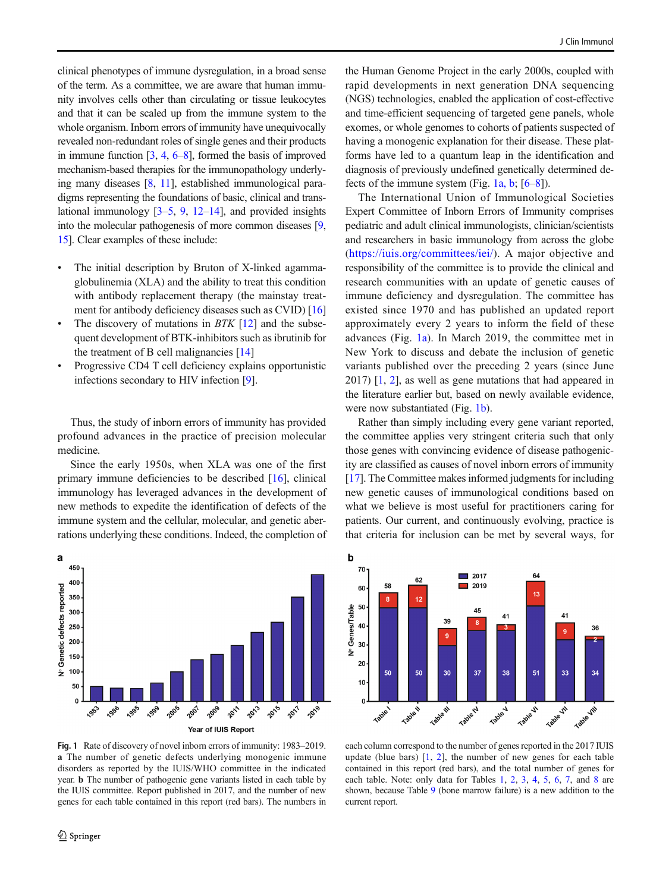<span id="page-1-0"></span>clinical phenotypes of immune dysregulation, in a broad sense of the term. As a committee, we are aware that human immunity involves cells other than circulating or tissue leukocytes and that it can be scaled up from the immune system to the whole organism. Inborn errors of immunity have unequivocally revealed non-redundant roles of single genes and their products in immune function  $[3, 4, 6-8]$  $[3, 4, 6-8]$  $[3, 4, 6-8]$  $[3, 4, 6-8]$  $[3, 4, 6-8]$  $[3, 4, 6-8]$  $[3, 4, 6-8]$  $[3, 4, 6-8]$  $[3, 4, 6-8]$ , formed the basis of improved mechanism-based therapies for the immunopathology underlying many diseases [[8,](#page-36-0) [11](#page-36-0)], established immunological paradigms representing the foundations of basic, clinical and translational immunology  $[3-5, 9, 12-14]$  $[3-5, 9, 12-14]$  $[3-5, 9, 12-14]$  $[3-5, 9, 12-14]$  $[3-5, 9, 12-14]$  $[3-5, 9, 12-14]$  $[3-5, 9, 12-14]$  $[3-5, 9, 12-14]$  $[3-5, 9, 12-14]$ , and provided insights into the molecular pathogenesis of more common diseases [\[9,](#page-36-0) [15\]](#page-36-0). Clear examples of these include:

- The initial description by Bruton of X-linked agammaglobulinemia (XLA) and the ability to treat this condition with antibody replacement therapy (the mainstay treatment for antibody deficiency diseases such as CVID) [\[16\]](#page-36-0)
- The discovery of mutations in  $BTK$  [[12\]](#page-36-0) and the subsequent development of BTK-inhibitors such as ibrutinib for the treatment of B cell malignancies [\[14](#page-36-0)]
- Progressive CD4 T cell deficiency explains opportunistic infections secondary to HIV infection [\[9\]](#page-36-0).

Thus, the study of inborn errors of immunity has provided profound advances in the practice of precision molecular medicine.

Since the early 1950s, when XLA was one of the first primary immune deficiencies to be described [\[16](#page-36-0)], clinical immunology has leveraged advances in the development of new methods to expedite the identification of defects of the immune system and the cellular, molecular, and genetic aberrations underlying these conditions. Indeed, the completion of



Fig. 1 Rate of discovery of novel inborn errors of immunity: 1983–2019. a The number of genetic defects underlying monogenic immune disorders as reported by the IUIS/WHO committee in the indicated year. b The number of pathogenic gene variants listed in each table by the IUIS committee. Report published in 2017, and the number of new genes for each table contained in this report (red bars). The numbers in

the Human Genome Project in the early 2000s, coupled with rapid developments in next generation DNA sequencing (NGS) technologies, enabled the application of cost-effective and time-efficient sequencing of targeted gene panels, whole exomes, or whole genomes to cohorts of patients suspected of having a monogenic explanation for their disease. These platforms have led to a quantum leap in the identification and diagnosis of previously undefined genetically determined defects of the immune system (Fig. 1a, b;  $[6-8]$  $[6-8]$  $[6-8]$  $[6-8]$  $[6-8]$ ).

The International Union of Immunological Societies Expert Committee of Inborn Errors of Immunity comprises pediatric and adult clinical immunologists, clinician/scientists and researchers in basic immunology from across the globe (<https://iuis.org/committees/iei/>). A major objective and responsibility of the committee is to provide the clinical and research communities with an update of genetic causes of immune deficiency and dysregulation. The committee has existed since 1970 and has published an updated report approximately every 2 years to inform the field of these advances (Fig. 1a). In March 2019, the committee met in New York to discuss and debate the inclusion of genetic variants published over the preceding 2 years (since June 2017) [\[1,](#page-36-0) [2](#page-36-0)], as well as gene mutations that had appeared in the literature earlier but, based on newly available evidence, were now substantiated (Fig. 1b).

Rather than simply including every gene variant reported, the committee applies very stringent criteria such that only those genes with convincing evidence of disease pathogenicity are classified as causes of novel inborn errors of immunity [\[17](#page-36-0)]. The Committee makes informed judgments for including new genetic causes of immunological conditions based on what we believe is most useful for practitioners caring for patients. Our current, and continuously evolving, practice is that criteria for inclusion can be met by several ways, for



each column correspond to the number of genes reported in the 2017 IUIS update (blue bars) [\[1,](#page-36-0) [2\]](#page-36-0), the number of new genes for each table contained in this report (red bars), and the total number of genes for each table. Note: only data for Tables [1](#page-4-0), [2](#page-8-0), [3,](#page-15-0) [4](#page-18-0), [5](#page-22-0), [6,](#page-24-0) [7](#page-27-0), and [8](#page-31-0) are shown, because Table [9](#page-33-0) (bone marrow failure) is a new addition to the current report.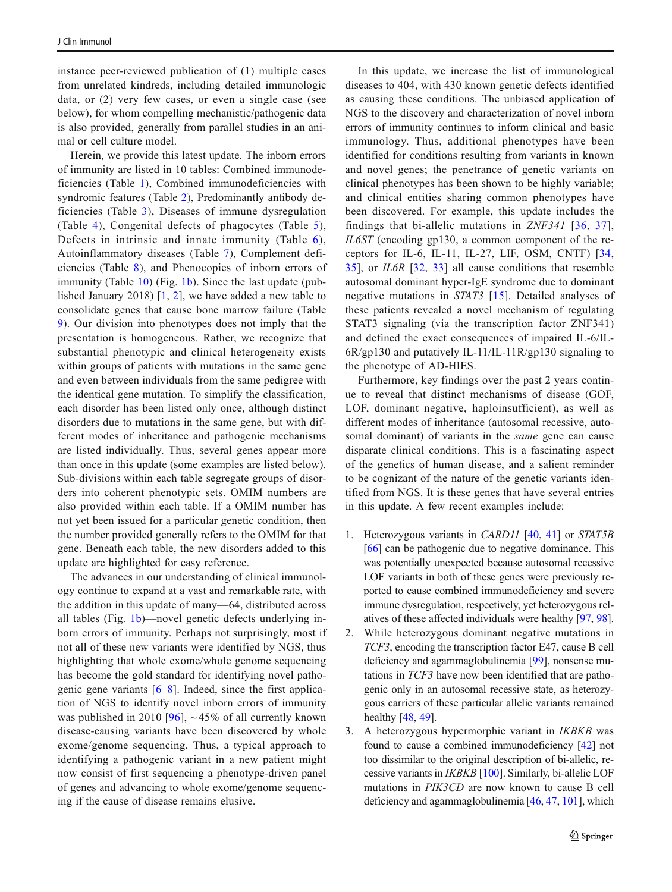instance peer-reviewed publication of (1) multiple cases from unrelated kindreds, including detailed immunologic data, or (2) very few cases, or even a single case (see below), for whom compelling mechanistic/pathogenic data is also provided, generally from parallel studies in an animal or cell culture model.

Herein, we provide this latest update. The inborn errors of immunity are listed in 10 tables: Combined immunodeficiencies (Table [1\)](#page-4-0), Combined immunodeficiencies with syndromic features (Table [2\)](#page-8-0), Predominantly antibody deficiencies (Table [3\)](#page-15-0), Diseases of immune dysregulation (Table [4](#page-18-0)), Congenital defects of phagocytes (Table [5](#page-22-0)), Defects in intrinsic and innate immunity (Table [6\)](#page-24-0), Autoinflammatory diseases (Table [7](#page-27-0)), Complement deficiencies (Table [8\)](#page-31-0), and Phenocopies of inborn errors of immunity (Table  $10$ ) (Fig.  $1<sub>b</sub>$ ). Since the last update (published January 2018) [[1,](#page-36-0) [2](#page-36-0)], we have added a new table to consolidate genes that cause bone marrow failure (Table [9](#page-33-0)). Our division into phenotypes does not imply that the presentation is homogeneous. Rather, we recognize that substantial phenotypic and clinical heterogeneity exists within groups of patients with mutations in the same gene and even between individuals from the same pedigree with the identical gene mutation. To simplify the classification, each disorder has been listed only once, although distinct disorders due to mutations in the same gene, but with different modes of inheritance and pathogenic mechanisms are listed individually. Thus, several genes appear more than once in this update (some examples are listed below). Sub-divisions within each table segregate groups of disorders into coherent phenotypic sets. OMIM numbers are also provided within each table. If a OMIM number has not yet been issued for a particular genetic condition, then the number provided generally refers to the OMIM for that gene. Beneath each table, the new disorders added to this update are highlighted for easy reference.

The advances in our understanding of clinical immunology continue to expand at a vast and remarkable rate, with the addition in this update of many—64, distributed across all tables (Fig. [1b](#page-1-0))—novel genetic defects underlying inborn errors of immunity. Perhaps not surprisingly, most if not all of these new variants were identified by NGS, thus highlighting that whole exome/whole genome sequencing has become the gold standard for identifying novel pathogenic gene variants  $[6–8]$  $[6–8]$  $[6–8]$  $[6–8]$ . Indeed, since the first application of NGS to identify novel inborn errors of immunity was published in 2010 [[96\]](#page-39-0),  $\sim$  45% of all currently known disease-causing variants have been discovered by whole exome/genome sequencing. Thus, a typical approach to identifying a pathogenic variant in a new patient might now consist of first sequencing a phenotype-driven panel of genes and advancing to whole exome/genome sequencing if the cause of disease remains elusive.

In this update, we increase the list of immunological diseases to 404, with 430 known genetic defects identified as causing these conditions. The unbiased application of NGS to the discovery and characterization of novel inborn errors of immunity continues to inform clinical and basic immunology. Thus, additional phenotypes have been identified for conditions resulting from variants in known and novel genes; the penetrance of genetic variants on clinical phenotypes has been shown to be highly variable; and clinical entities sharing common phenotypes have been discovered. For example, this update includes the findings that bi-allelic mutations in ZNF341 [[36](#page-37-0), [37](#page-37-0)], IL6ST (encoding gp130, a common component of the receptors for IL-6, IL-11, IL-27, LIF, OSM, CNTF) [\[34,](#page-37-0) [35](#page-37-0)], or IL6R [[32,](#page-37-0) [33\]](#page-37-0) all cause conditions that resemble autosomal dominant hyper-IgE syndrome due to dominant negative mutations in STAT3 [[15](#page-36-0)]. Detailed analyses of these patients revealed a novel mechanism of regulating STAT3 signaling (via the transcription factor ZNF341) and defined the exact consequences of impaired IL-6/IL-6R/gp130 and putatively IL-11/IL-11R/gp130 signaling to the phenotype of AD-HIES.

Furthermore, key findings over the past 2 years continue to reveal that distinct mechanisms of disease (GOF, LOF, dominant negative, haploinsufficient), as well as different modes of inheritance (autosomal recessive, autosomal dominant) of variants in the same gene can cause disparate clinical conditions. This is a fascinating aspect of the genetics of human disease, and a salient reminder to be cognizant of the nature of the genetic variants identified from NGS. It is these genes that have several entries in this update. A few recent examples include:

- 1. Heterozygous variants in CARD11 [[40,](#page-37-0) [41\]](#page-37-0) or STAT5B [\[66](#page-38-0)] can be pathogenic due to negative dominance. This was potentially unexpected because autosomal recessive LOF variants in both of these genes were previously reported to cause combined immunodeficiency and severe immune dysregulation, respectively, yet heterozygous relatives of these affected individuals were healthy [\[97,](#page-39-0) [98\]](#page-39-0).
- 2. While heterozygous dominant negative mutations in TCF3, encoding the transcription factor E47, cause B cell deficiency and agammaglobulinemia [\[99\]](#page-39-0), nonsense mutations in TCF3 have now been identified that are pathogenic only in an autosomal recessive state, as heterozygous carriers of these particular allelic variants remained healthy [\[48,](#page-37-0) [49\]](#page-37-0).
- 3. A heterozygous hypermorphic variant in IKBKB was found to cause a combined immunodeficiency [\[42\]](#page-37-0) not too dissimilar to the original description of bi-allelic, recessive variants in IKBKB [\[100\]](#page-39-0). Similarly, bi-allelic LOF mutations in PIK3CD are now known to cause B cell deficiency and agammaglobulinemia [[46,](#page-37-0) [47,](#page-37-0) [101\]](#page-39-0), which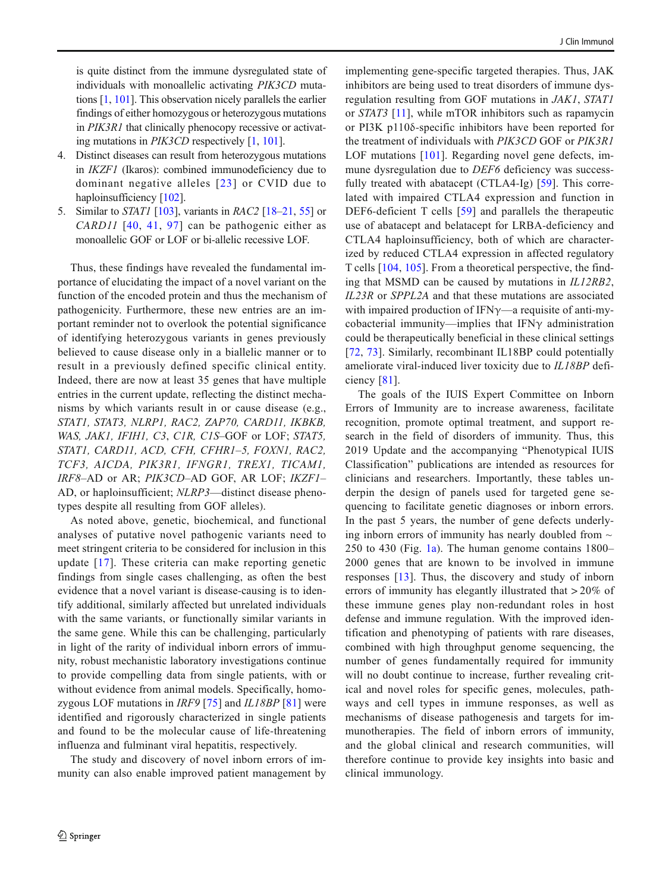is quite distinct from the immune dysregulated state of individuals with monoallelic activating PIK3CD mutations [[1](#page-36-0), [101\]](#page-39-0). This observation nicely parallels the earlier findings of either homozygous or heterozygous mutations in PIK3R1 that clinically phenocopy recessive or activating mutations in PIK3CD respectively [[1,](#page-36-0) [101](#page-39-0)].

- 4. Distinct diseases can result from heterozygous mutations in IKZF1 (Ikaros): combined immunodeficiency due to dominant negative alleles [[23\]](#page-36-0) or CVID due to haploinsufficiency [[102](#page-39-0)].
- 5. Similar to *STAT1* [[103\]](#page-39-0), variants in *RAC2* [[18](#page-36-0)–[21](#page-36-0), [55](#page-38-0)] or  $CARD11$  [\[40](#page-37-0), [41](#page-37-0), [97\]](#page-39-0) can be pathogenic either as monoallelic GOF or LOF or bi-allelic recessive LOF.

Thus, these findings have revealed the fundamental importance of elucidating the impact of a novel variant on the function of the encoded protein and thus the mechanism of pathogenicity. Furthermore, these new entries are an important reminder not to overlook the potential significance of identifying heterozygous variants in genes previously believed to cause disease only in a biallelic manner or to result in a previously defined specific clinical entity. Indeed, there are now at least 35 genes that have multiple entries in the current update, reflecting the distinct mechanisms by which variants result in or cause disease (e.g., STAT1, STAT3, NLRP1, RAC2, ZAP70, CARD11, IKBKB, WAS, JAK1, IFIH1, C3, C1R, C1S–GOF or LOF; STAT5, STAT1, CARD11, ACD, CFH, CFHR1–5, FOXN1, RAC2, TCF3, AICDA, PIK3R1, IFNGR1, TREX1, TICAM1, IRF8–AD or AR; PIK3CD–AD GOF, AR LOF; IKZF1– AD, or haploinsufficient; NLRP3—distinct disease phenotypes despite all resulting from GOF alleles).

As noted above, genetic, biochemical, and functional analyses of putative novel pathogenic variants need to meet stringent criteria to be considered for inclusion in this update [[17](#page-36-0)]. These criteria can make reporting genetic findings from single cases challenging, as often the best evidence that a novel variant is disease-causing is to identify additional, similarly affected but unrelated individuals with the same variants, or functionally similar variants in the same gene. While this can be challenging, particularly in light of the rarity of individual inborn errors of immunity, robust mechanistic laboratory investigations continue to provide compelling data from single patients, with or without evidence from animal models. Specifically, homozygous LOF mutations in *IRF9* [\[75](#page-38-0)] and *IL18BP* [[81\]](#page-38-0) were identified and rigorously characterized in single patients and found to be the molecular cause of life-threatening influenza and fulminant viral hepatitis, respectively.

The study and discovery of novel inborn errors of immunity can also enable improved patient management by implementing gene-specific targeted therapies. Thus, JAK inhibitors are being used to treat disorders of immune dysregulation resulting from GOF mutations in JAK1, STAT1 or STAT3 [[11\]](#page-36-0), while mTOR inhibitors such as rapamycin or PI3K p110δ-specific inhibitors have been reported for the treatment of individuals with PIK3CD GOF or PIK3R1 LOF mutations [[101](#page-39-0)]. Regarding novel gene defects, immune dysregulation due to *DEF6* deficiency was success-fully treated with abatacept (CTLA4-Ig) [\[59](#page-38-0)]. This correlated with impaired CTLA4 expression and function in DEF6-deficient T cells [\[59\]](#page-38-0) and parallels the therapeutic use of abatacept and belatacept for LRBA-deficiency and CTLA4 haploinsufficiency, both of which are characterized by reduced CTLA4 expression in affected regulatory T cells [\[104,](#page-39-0) [105](#page-39-0)]. From a theoretical perspective, the finding that MSMD can be caused by mutations in IL12RB2, IL23R or SPPL2A and that these mutations are associated with impaired production of IFN $\gamma$ —a requisite of anti-mycobacterial immunity—implies that IFN $\gamma$  administration could be therapeutically beneficial in these clinical settings [\[72,](#page-38-0) [73](#page-38-0)]. Similarly, recombinant IL18BP could potentially ameliorate viral-induced liver toxicity due to IL18BP deficiency [[81\]](#page-38-0).

The goals of the IUIS Expert Committee on Inborn Errors of Immunity are to increase awareness, facilitate recognition, promote optimal treatment, and support research in the field of disorders of immunity. Thus, this 2019 Update and the accompanying "Phenotypical IUIS Classification" publications are intended as resources for clinicians and researchers. Importantly, these tables underpin the design of panels used for targeted gene sequencing to facilitate genetic diagnoses or inborn errors. In the past 5 years, the number of gene defects underlying inborn errors of immunity has nearly doubled from  $\sim$ 250 to 430 (Fig. [1a](#page-1-0)). The human genome contains  $1800-$ 2000 genes that are known to be involved in immune responses [[13](#page-36-0)]. Thus, the discovery and study of inborn errors of immunity has elegantly illustrated that > 20% of these immune genes play non-redundant roles in host defense and immune regulation. With the improved identification and phenotyping of patients with rare diseases, combined with high throughput genome sequencing, the number of genes fundamentally required for immunity will no doubt continue to increase, further revealing critical and novel roles for specific genes, molecules, pathways and cell types in immune responses, as well as mechanisms of disease pathogenesis and targets for immunotherapies. The field of inborn errors of immunity, and the global clinical and research communities, will therefore continue to provide key insights into basic and clinical immunology.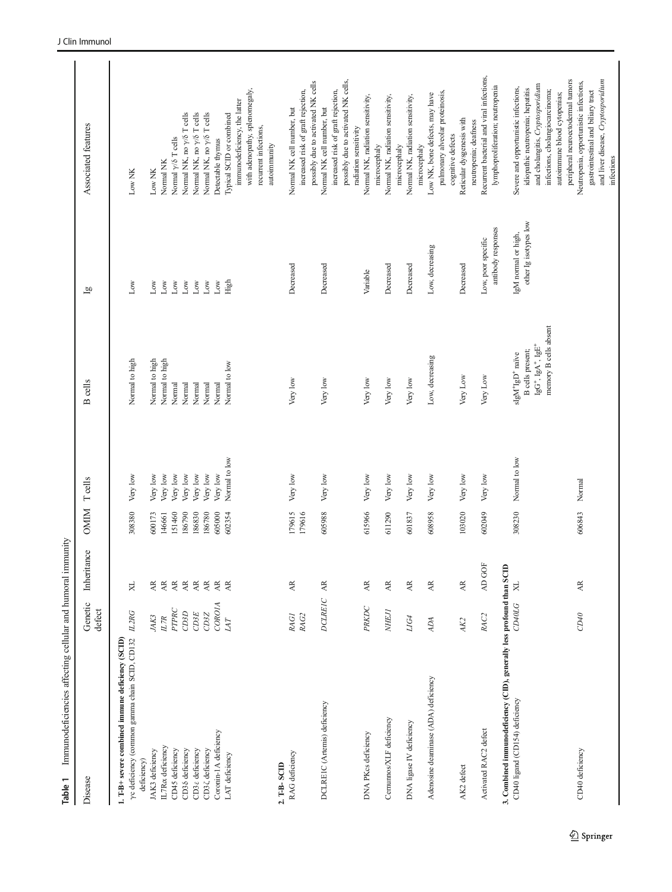<span id="page-4-0"></span>

| Immunodeficiencies affecting cellular and humoral immunity<br>Table 1                             |                   |                                   |             |                |                                                      |                       |                                                                                         |
|---------------------------------------------------------------------------------------------------|-------------------|-----------------------------------|-------------|----------------|------------------------------------------------------|-----------------------|-----------------------------------------------------------------------------------------|
| Disease                                                                                           | Genetic<br>defect | Inheritance                       | <b>NIMO</b> | <b>T</b> cells | <b>B</b> cells                                       | $\overline{a}$        | Associated features                                                                     |
| yc deficiency (common gamma chain SCID, CD132<br>1. T-B+ severe combined immune deficiency (SCID) | L2RG              | XL                                | 308380      | Very low       | Normal to high                                       | Low                   | Low NK                                                                                  |
| JAK3 deficiency<br>deficiency)                                                                    | JAK3              | Æ                                 | 600173      | Very low       | Nomal to high                                        | $_{\rm Low}$          | Low NK                                                                                  |
| IL7R <sub>o</sub> deficiency                                                                      | L7R               | $\mathbb A$                       | 146661      | Very low       | Normal to high                                       | Low                   | Normal NK                                                                               |
| CD45 deficiency                                                                                   | PTPRC             | $\mathbb{A}\mathbb{R}$            | 151460      | Very low       | Normal                                               | $_{\rm Low}$          | Normal $\gamma$ /δ T cells                                                              |
| CD36 deficiency                                                                                   | CDSD              | $\overline{\mathbf{A}}$           | 186790      | Very low       | Normal                                               | $_{\rm Low}$          | Normal NK, no $\gamma$ /δ T cells                                                       |
| CD3 <sub>ε</sub> deficiency                                                                       | CDSE              | $\overline{\mathbf{A}}\mathbf{R}$ | 186830      | Very low       | Normal                                               | Low                   | Normal NK, no y/8 T cells                                                               |
| CD3 <sup>Z</sup> deficiency                                                                       | CD3Z              | $\mathbb{A}\mathbb{R}$            | 186780      | Very low       | Normal                                               | $_{\rm Low}$          | Normal NK, no y/8 T cells                                                               |
| Coronin-1A deficiency                                                                             | COROIA            | $\mathbb A$                       | 605000      | Very low       | Normal                                               | $_{\rm Low}$          | Detectable thymus                                                                       |
| LAT deficiency                                                                                    | LAT               | $\overrightarrow{AR}$             | 602354      | Normal to low  | Normal to low                                        | High                  | Typical SCID or combined                                                                |
|                                                                                                   |                   |                                   |             |                |                                                      |                       | with adenopathy, splenomegaly,<br>immunodeficiency, the latter<br>recurrent infections, |
|                                                                                                   |                   |                                   |             |                |                                                      |                       | autoimmunity                                                                            |
| RAG deficiency<br>2. T-B-SCID                                                                     | <b>RAGI</b>       | $\overline{AR}$                   | 179615      | Very low       | Very low                                             | Decreased             | Normal NK cell number, but                                                              |
|                                                                                                   | RAG2              |                                   | 179616      |                |                                                      |                       | increased risk of graft rejection,                                                      |
|                                                                                                   |                   |                                   |             |                |                                                      |                       | possibly due to activated NK cells                                                      |
| DCLREIC (Artemis) deficiency                                                                      | <b>DCLREIC</b>    | $\mathbb{A}\mathbb{R}$            | 605988      | Very low       | Very low                                             | Decreased             | increased risk of graft rejection,<br>Normal NK cell number, but                        |
|                                                                                                   |                   |                                   |             |                |                                                      |                       | possibly due to activated NK cells,                                                     |
|                                                                                                   |                   |                                   |             |                |                                                      |                       | radiation sensitivity                                                                   |
| DNA PKcs deficiency                                                                               | PRKDC             | $\mathbb{A}\mathbb{R}$            | 615966      | Very low       | Very low                                             | Variable              | Normal NK, radiation sensitivity,<br>microcephaly                                       |
| Cernumos/XLF deficiency                                                                           | <b>NHEJ</b>       | AR                                | 611290      | Very low       | Very low                                             | Decreased             | Normal NK, radiation sensitivity,                                                       |
| DNA ligase IV deficiency                                                                          | ${\it LIG4}$      | $\mathbb{A}\mathbb{R}$            | 601837      | Very low       | Very low                                             | Decreased             | Normal NK, radiation sensitivity,<br>microcephaly                                       |
|                                                                                                   |                   |                                   |             |                |                                                      |                       | microcephaly                                                                            |
| Adenosine deaminase (ADA) deficiency                                                              | $A\!D\!A$         | $\mathbb{A}\mathbb{R}$            | 608958      | Very low       | Low, decreasing                                      | Low, decreasing       | Low NK, bone defects, may have                                                          |
|                                                                                                   |                   |                                   |             |                |                                                      |                       | pulmonary alveolar proteinosis,<br>cognitive defects                                    |
| AK2 defect                                                                                        | AK <sub>2</sub>   | AR                                | 103020      | Very low       | Very Low                                             | Decreased             | Reticular dysgenesis with                                                               |
|                                                                                                   |                   |                                   |             |                |                                                      |                       | neutropenia; deafness                                                                   |
| Activated RAC2 defect                                                                             | RAC <sub>2</sub>  | AD GOF                            | 602049      | Very low       | Very Low                                             | Low, poor specific    | Recurrent bacterial and viral infections,                                               |
| 3. Combined immunodeficiency (CID), generally less profound than SCID                             |                   |                                   |             |                |                                                      | antibody responses    | lymphoproliferation; neutropenia                                                        |
| CD40 ligand (CD154) deficiency                                                                    | CD40LG            | $_{\rm XL}$                       | 308230      | Normal to low  | $\mathrm{slgM^{+}lgD^{+}}$ naïve                     | IgM normal or high,   | Severe and opportunistic infections,                                                    |
|                                                                                                   |                   |                                   |             |                | B cells present;                                     | other Ig isotypes low | idiopathic neutropenia; hepatitis                                                       |
|                                                                                                   |                   |                                   |             |                | memory B cells absent<br>$\lg G^+, \lg A^+, \lg E^+$ |                       | and cholangitis, Cryptosporidium<br>infections, cholangiocarcinoma;                     |
|                                                                                                   |                   |                                   |             |                |                                                      |                       | autoimmune blood cytopenias;                                                            |
|                                                                                                   |                   |                                   |             |                |                                                      |                       | peripheral neuroectodermal tumors                                                       |
| CD40 deficiency                                                                                   | CD40              | AR                                | 606843      | Normal         |                                                      |                       | Neutropenia, opportunistic infections,                                                  |
|                                                                                                   |                   |                                   |             |                |                                                      |                       | gastrointestinal and biliary tract                                                      |
|                                                                                                   |                   |                                   |             |                |                                                      |                       | and liver disease, Cryptosporidium<br>infections                                        |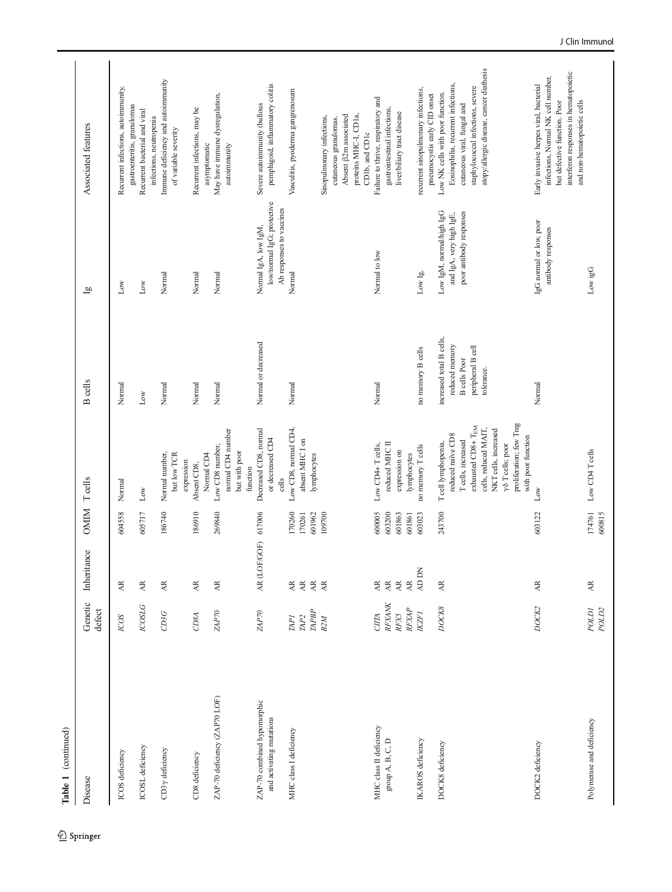| Disease                                                      | Genetic<br>defect                                                | Inheritance                                                                                       | OMIM Teells                          |                                                                                                                                                               | <b>B</b> cells                                         | $\overline{a}$                                                                 | Associated features                                                                                                                                                                  |
|--------------------------------------------------------------|------------------------------------------------------------------|---------------------------------------------------------------------------------------------------|--------------------------------------|---------------------------------------------------------------------------------------------------------------------------------------------------------------|--------------------------------------------------------|--------------------------------------------------------------------------------|--------------------------------------------------------------------------------------------------------------------------------------------------------------------------------------|
| ICOS deficiency                                              | ICOS                                                             | AR.                                                                                               | 604558                               | Normal                                                                                                                                                        | Normal                                                 | Low                                                                            | Recurrent infections, autoimmunity,                                                                                                                                                  |
| ICOSL deficiency                                             | <b>COSLG</b>                                                     | $\mathbb{A}\mathbb{R}$                                                                            | 605717                               | $_{\rm Low}$                                                                                                                                                  | $_{\rm Low}$                                           | $_{\rm Low}$                                                                   | gastroenteritis, granulomas<br>Recurrent bacterial and viral                                                                                                                         |
| $CD3\gamma$ deficiency                                       | CDSG                                                             | $\overline{\mathbf{A}}$                                                                           | 186740                               | Normal number,                                                                                                                                                | Normal                                                 | Normal                                                                         | Immune deficiency and autoimmunity<br>infections, neutropenia                                                                                                                        |
| CD8 deficiency                                               | CD8A                                                             | $\overline{\mathbf{A}}$                                                                           | 186910                               | but low TCR<br>expression<br>Absent CD8,                                                                                                                      | Normal                                                 | Normal                                                                         | Recurrent infections, may be<br>of variable severity                                                                                                                                 |
| ZAP-70 deficiency (ZAP70 LOF)                                | $\emph{ZAP70}$                                                   | $\overline{\mathbf{A}}\mathbf{R}$                                                                 | 269840                               | Low CD8 number,<br>Normal CD4                                                                                                                                 | Normal                                                 | Normal                                                                         | May have immune dysregulation,<br>asymptomatic                                                                                                                                       |
|                                                              |                                                                  |                                                                                                   |                                      | normal CD4 number<br>but with poor<br>function                                                                                                                |                                                        |                                                                                | autoimmunity                                                                                                                                                                         |
| ZAP-70 combined hypomorphic<br>and activating mutations      | ZAP70                                                            | AR (LOF/GOF) 617006                                                                               |                                      | Decreased CD8, normal<br>or decreased CD4<br>cells                                                                                                            | Normal or decreased                                    | low/normal IgG; protective<br>Ab responses to vaccines<br>Normal IgA, low IgM, | pemphigoid, inflammatory colitis<br>Severe autoimmunity (bullous                                                                                                                     |
| MHC class I deficiency                                       | $\mathbb{R} P$<br>TAP <sub>I</sub><br>${\it \, \overline{M} P2}$ | $\overline{\mathsf{A}}\mathsf{R}$<br>AR<br>AR<br>$\overline{AR}$                                  | 170260<br>601962<br>170261           | Low CD8, normal CD4,<br>absent MHC I on<br>lymphocytes                                                                                                        | Normal                                                 | Normal                                                                         | Vasculitis, pyoderma gangrenosum                                                                                                                                                     |
|                                                              | B2M                                                              |                                                                                                   | 109700                               |                                                                                                                                                               |                                                        |                                                                                | proteins MHC-I, CD1a,<br>Absent β2m associated<br>Sinopulmonary infections,<br>cutaneous granulomas.<br>CD1b, and CD1c                                                               |
| MHC class II deficiency<br>$\operatorname{group}$ A, B, C, D | RFXANK<br>RFXAP<br><b>RFX5</b><br><b>CITA</b>                    | $\overline{\mathbf{A}}$<br>$\overline{\mathbf{A}}$<br>$\overline{\mathsf{AR}}$<br>$\overline{AR}$ | 600005<br>603200<br>601863<br>601861 | reduced MHC II<br>Low CD4+Teells,<br>expression on<br>lymphocytes                                                                                             | Normal                                                 | Normal to low                                                                  | Failure to thrive, respiratory and<br>gastrointestinal infections,<br>liver/biliary tract disease                                                                                    |
| <b>IKAROS</b> deficiency                                     | <b>IKZF1</b>                                                     | AD DN                                                                                             | 603023                               | no memory T cells                                                                                                                                             | no memory B cells                                      | $_{\rm Low\ Ig,}$                                                              | recurrent sinopulmonary infections,                                                                                                                                                  |
| DOCK8 deficiency                                             | DOCK8                                                            | $\mathbb{A}\mathbb{R}$                                                                            | 243700                               | reduced naïve CD8<br>T cell lymphopenia,                                                                                                                      | increased total B cells,<br>reduced memory             | Low IgM, normal/high IgG<br>and IgA, very high IgE,                            | Eosinophilia, recurrent infections,<br>Low NK cells with poor function.<br>pneumocystis early CID onset                                                                              |
|                                                              |                                                                  |                                                                                                   |                                      | proliferation; few Treg<br>exhausted CD8+ TEM<br>cells, reduced MAIT,<br>NKT cells, increased<br>with poor function<br>T cells, increased<br>γδ T cells; poor | peripheral B cell<br><b>B</b> cells Poor<br>tolerance. | poor antibody responses                                                        | atopy/allergic disease, cancer diathesis<br>staphylococcal infections, severe<br>cutaneous viral, fungal and                                                                         |
| DOCK2 deficiency                                             | <b>DOCK2</b>                                                     | AR.                                                                                               | 603122                               | Low                                                                                                                                                           | Normal                                                 | IgG normal or low, poor<br>antibody responses                                  | interferon responses in hematopoietic<br>infections, Normal NK cell number,<br>Early invasive herpes viral, bacterial<br>and non-hematopoietic cells<br>but defective function. Poor |
| Polymerase and deficiency                                    | POLDI<br>POLD <sub>2</sub>                                       | AR.                                                                                               | 174761<br>600815                     | Low CD4 T cells                                                                                                                                               |                                                        | Low igG                                                                        |                                                                                                                                                                                      |

Table 1 (continued) Table 1 (continued)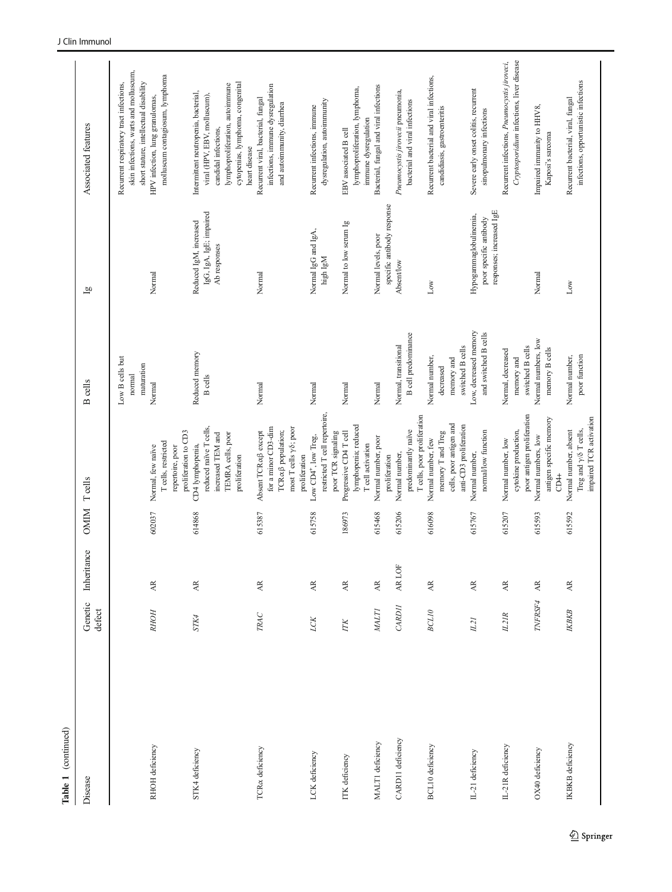| Table 1 (continued)         |                   |                                   |             |                                                                                                                                 |                                                               |                                                                              |                                                                                                                                                                                      |
|-----------------------------|-------------------|-----------------------------------|-------------|---------------------------------------------------------------------------------------------------------------------------------|---------------------------------------------------------------|------------------------------------------------------------------------------|--------------------------------------------------------------------------------------------------------------------------------------------------------------------------------------|
| Disease                     | Genetic<br>defect | Inheritance                       | <b>OMIM</b> | $\rm T$ cells                                                                                                                   | <b>B</b> cells                                                | $\overline{g}$                                                               | Associated features                                                                                                                                                                  |
|                             |                   |                                   |             |                                                                                                                                 | Low B cells but<br>maturation<br>normal                       |                                                                              | skin infections, warts and molluscum,<br>short stature, intellectual disability<br>Recurrent respiratory tract infections,                                                           |
| RHOH deficiency             | <b>RHOH</b>       | AR                                | 602037      | proliferation to CD3<br>T cells, restricted<br>Normal, few naïve<br>repertoire, poor                                            | Normal                                                        | Normal                                                                       | molluscum contagiosum, lymphoma<br>HPV infection, lung granulomas,                                                                                                                   |
| STK4 deficiency             | STK4              | $\overline{\mathbf{A}}\mathbf{R}$ | 614868      | reduced naïve T cells,<br>TEMRA cells, poor<br>increased TEM and<br>CD4 lymphopenia,<br>proliferation                           | Reduced memory<br><b>B</b> cells                              | IgG, IgA, IgE; impaired<br>Reduced IgM, increased<br>Ab responses            | cytopenias, lymphoma, congenital<br>lymphoproliferation, autoimmune<br>Intermittent neutropenia, bacterial,<br>viral (HPV, EBV, molluscum),<br>candidal infections,<br>heart disease |
| TCR <sub>o</sub> deficiency | TRAC              | $\mathbb{A}\mathbb{R}$            | 615387      | for a minor CD3-dim<br>most T cells $\gamma\delta$ ; poor<br>TCR acß population;<br>Absent TCRa $\beta$ except<br>proliferation | Normal                                                        | Normal                                                                       | infections, immune dysregulation<br>Recurrent viral, bacterial, fungal<br>and autoimmunity, diarrhea                                                                                 |
| LCK deficiency              | LCK               | $\mathbb{A}\mathbb{R}$            | 615758      | restricted T cell repertoire,<br>poor TCR signaling<br>Low CD4 <sup>+</sup> , low Treg,                                         | Normal                                                        | Normal IgG and IgA,<br>high $\lg M$                                          | dysregulation, autoimmunity<br>Recurrent infections, immune                                                                                                                          |
| ITK deficiency              | $\sqrt{2}$        | $\overline{\mathbf{A}}\mathbf{R}$ | 186973      | lymphopenia; reduced<br>Progressive CD4 T cell<br>T cell activation                                                             | Normal                                                        | Normal to low serum Ig                                                       | lymphoproliferation, lymphoma,<br>immune dysregulation<br>EBV associated B cell                                                                                                      |
| MALTI deficiency            | <b>MALTI</b>      | $\mathbb{A}\mathbb{R}$            | 615468      | Normal number, poor<br>proliferation                                                                                            | Normal                                                        | specific antibody response<br>Normal levels, poor                            | Bacterial, fungal and viral infections                                                                                                                                               |
| CARD11 deficiency           | CARDII            | AR LOF                            | 615206      | T cells, poor proliferation<br>predominantly naïve<br>Normal number,                                                            | <b>B</b> cell predominance<br>Normal, transitional            | Absent/low                                                                   | Pneumocystis jirovecii pneumonia,<br>bacterial and viral infections                                                                                                                  |
| BCL10 deficiency            | <b>BCL10</b>      | $\overrightarrow{AR}$             | 616098      | cells, poor antigen and<br>anti-CD3 proliferation<br>memory T and Treg<br>Normal number, few                                    | switched B cells<br>Normal number,<br>memory and<br>decreased | $_{\rm Low}$                                                                 | Recurrent bacterial and viral infections,<br>candidiasis, gastroenteritis                                                                                                            |
| IL-21 deficiency            | L2I               | $\mathbb{A}\mathbb{R}$            | 615767      | normal/low function<br>Normal number,                                                                                           | Low, decreased memory<br>and switched B cells                 | responses; increased IgE<br>Hypogammaglobulinemia,<br>poor specific antibody | Severe early onset colitis, recurrent<br>sinopulmonary infections                                                                                                                    |
| L-21R deficiency            | L2IR              | $\overline{\mathbf{A}}\mathbf{R}$ | 615207      | poor antigen proliferation<br>cytokine production,<br>Normal number, low                                                        | switched B cells<br>Normal, decreased<br>memory and           |                                                                              | Cryptosporidium infections, liver disease<br>Recurrent infections, Pneumocystis jiroveci,                                                                                            |
| OX40 deficiency             | TNFRSF4           | $\mathbb{A}\mathbb{R}$            | 615593      | antigen specific memory<br>Normal numbers, low<br>CD4+                                                                          | Normal numbers, low<br>memory B cells                         | Normal                                                                       | Impaired immunity to HHV8,<br>Kaposi's sarcoma                                                                                                                                       |
| IKBKB deficiency            | КВКВ              | AR.                               | 615592      | impaired TCR activation<br>Normal number, absent<br>Treg and $\gamma/\delta$ T cells,                                           | poor function<br>Normal number,                               | Low                                                                          | infections, opportunistic infections<br>Recurrent bacterial, viral, fungal                                                                                                           |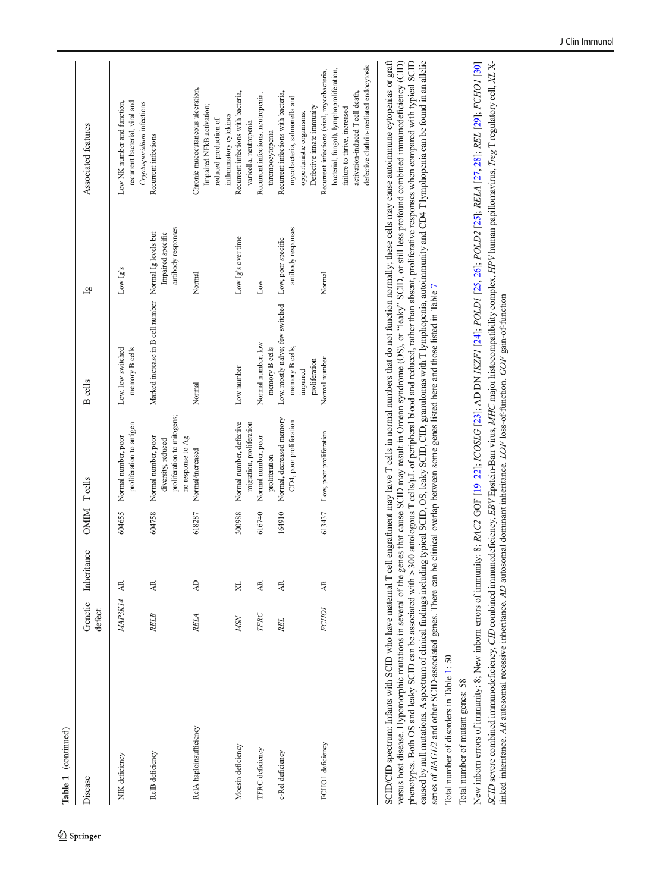Table 1 (continued) Table 1 (continued)

Springer

| Disease                 | defect      | Genetic Inheritance | OMIM Teells |                                                                         | <b>B</b> cells                                                 | $\overline{a}$                           | Associated features                                                                                                  |
|-------------------------|-------------|---------------------|-------------|-------------------------------------------------------------------------|----------------------------------------------------------------|------------------------------------------|----------------------------------------------------------------------------------------------------------------------|
| NIK deficiency          | MAP3K14 AR  |                     | 604655      | proliferation to antigen<br>Normal number, poor                         | memory B cells<br>Low, low switched                            | Low Ig's                                 | recurrent bacterial, viral and<br>Low NK number and function,                                                        |
| RelB deficiency         | <b>RELB</b> | AR.                 | 604758      | proliferation to mitogens;<br>Normal number, poor<br>diversity, reduced | Marked increase in B cell number Normal Ig levels but          | antibody responses<br>Impaired specific  | Cryptosporidium infections<br>Recurrent infections                                                                   |
| RelA haploinsufficiency | RELA        | $\overline{A}$      | 618287      | no response to Ag<br>Normal/increased                                   | Normal                                                         | Normal                                   | Chronic mucocutaneous ulceration,<br>Impaired NFkB activation;<br>reduced production of                              |
| Moesin deficiency       | <b>MSN</b>  | XL                  | 300988      | Normal number, defective                                                | Low number                                                     | Low Ig's over time                       | Recurrent infections with bacteria,<br>inflammatory cytokines                                                        |
| <b>TFRC</b> deficiency  | TFRC        | AR.                 | 616740      | migration, proliferation<br>Normal number, poor<br>proliferation        | Normal number, low<br>memory B cells                           | Low                                      | Recurrent infections, neutropenia,<br>varicella, neutropenia                                                         |
| c-Rel deficiency        | REL.        | AR.                 | 164910      | Normal, decreased memory<br>CD4, poor proliferation                     | Low, mostly naïve; few switched<br>memory B cells,<br>impaired | antibody responses<br>Low, poor specific | Recurrent infections with bacteria,<br>mycobacteria, salmonella and<br>opportunistic organisms.<br>thrombocy topenia |
| FCHO1 deficiency        | FCHO1       | AR.                 | 613437      | Low, poor proliferation                                                 | proliferation<br>Normal number                                 | Normal                                   | bacterial, fungal), lymphoproliferation,<br>Recurrent infections (viral, mycobacteria,<br>Defective imate immunity   |
|                         |             |                     |             |                                                                         |                                                                |                                          | activation-induced T cell death,<br>failure to thrive, increased                                                     |

SCID/CID spectrum: Infants with SCID who have maternal T cell engraftment may have T cells in normal numbers that do not function normally; these cells may cause autoimmune cytopenias or graft SCID/CID spectrum: Infants with SCID who have maternal T cell engraftment may have T cells in normal numbers that do not function normally; these cells may cause autoimmune cytopenias or graft versus host disease. Hypomorphic mutations in several of the genes that cause SCID may result in Omenn syndrome (OS), or "leaky" SCID, or still less profound combined immunodeficiency (CID) versus host disease. Hypomorphic mutations in several of the genes that cause SCID may result in Omenn syndrome (OS), or "leaky" SCID, or still less profound combined immunodeficiency (CID) phenotypes. Both OS and leaky SCID can be associated with > 300 autologous T cells/uL of peripheral blood and reduced, rather than absent, proliferative responses when compared with typical SCID phenotypes. Both OS and leaky SCID can be associated with > 300 autologous T cells/μL of peripheral blood and reduced, rather than absent, proliferative responses when compared with typical SCID caused by null mutations. A spectrum of clinical findings including typical SCID, OS, leaky SCID, CID, granulomas with T lymphopenia, autoimmunity and CD4 T lymphopenia can be found in an allelic caused by null mutations. A spectrum of clinical findings including typical SCID, OS, leaky SCID, CID, granulomas with T lymphopenia, autoimmunity and CD4 T lymphopenia can be found in an allelic series of *RAG1/2* and other SCID-associated genes. There can be clinical overlap between some genes listed here and those listed in Table 7 series of RAG1/2 and other SCID-associated genes. There can be clinical overlap between some genes listed here and those listed in Table [7](#page-27-0)

defective clathrin-mediated endocytosis

defective clathrin-mediated endocytosis

Total number of disorders in Table 1: 50 Total number of disorders in Table [1](#page-4-0): 50

Total number of mutant genes: 58 Total number of mutant genes: 58

New inborn errors of immunity: 8; New inborn errors of immunity: 8; RAC2 GOF [19-22]; ICOSLG [23]; AD DN IKZF1 [24]; POLD1 [25, 26]; POLD2 [25]; RELA [27, 28]; REL [29]; FCHO1 [30] SCID severe combined immunodeficiency, CID combined immunodeficiency, EBV Epstein-Barr virus, MHC major histocompatibility complex, HPV human papillomavirus, Treg T regulatory cell, XI X-SCID severe combined immunodeficiency, CID combined immunodeficiency, EBV Epstein-Barr virus, MHC major histocompatibility complex, HPV human papillomavirus, Treg T regulatory cell, XL X-New inborn errors of immunity: 8; New inborn errors of immunity: 8; RAC2 GOF [[19](#page-36-0)–[22](#page-36-0)]; ICOSLG [\[23\]](#page-36-0); AD DN IKZF1 [[24](#page-37-0)]; POLD1 [[25](#page-37-0), [26](#page-37-0)]; POLD2 [25]; RELA [[27](#page-37-0), [28](#page-37-0)]; REL [[29](#page-37-0)]; FCHO1 [[30](#page-37-0)] inked inheritance, AR autosomal recessive inheritance, AD autosomal dominant inheritance,  $LOF$  loss-of-function,  $GOF$  gain-of-function linked inheritance, AR autosomal recessive inheritance, AD autosomal dominant inheritance, LOF loss-of-function, GOF gain-of-function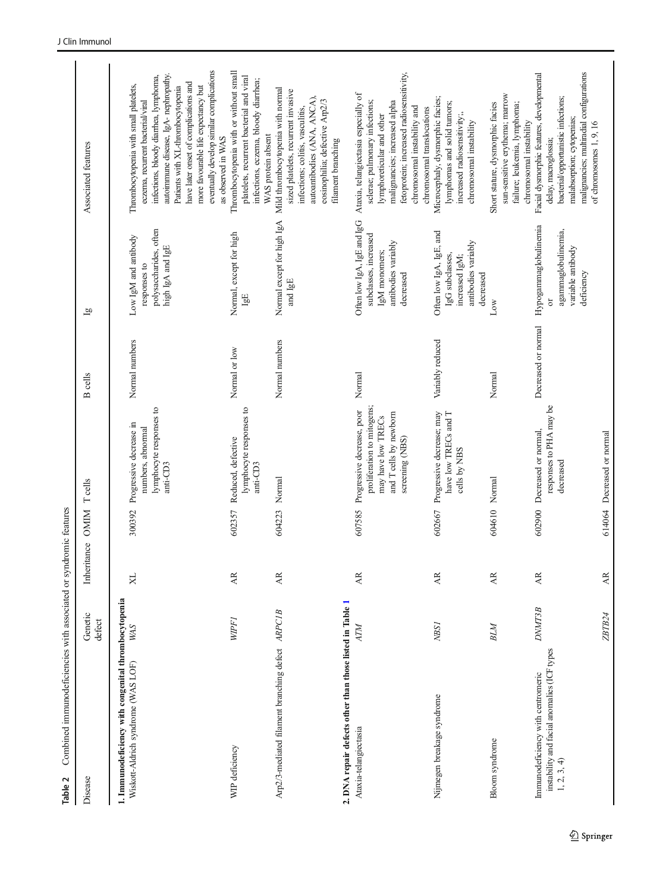<span id="page-8-0"></span>

| Disease                                                                                        | Genetic<br>defect | Inheritance OMIM        |        | <b>T</b> cells                                                                                                              | <b>B</b> cells      | $\overline{a}$                                                                                           | Associated features                                                                                                                                                                                                                                                                                                                                   |
|------------------------------------------------------------------------------------------------|-------------------|-------------------------|--------|-----------------------------------------------------------------------------------------------------------------------------|---------------------|----------------------------------------------------------------------------------------------------------|-------------------------------------------------------------------------------------------------------------------------------------------------------------------------------------------------------------------------------------------------------------------------------------------------------------------------------------------------------|
| 1. Immunodeficiency with congenital thrombocytopenia<br>Wiskott-Aldrich syndrome (WAS LOF)     | <b>WAS</b>        | $\aleph$                | 300392 | lymphocyte responses to<br>Progressive decrease in<br>numbers, abnormal<br>anti-CD3                                         | Normal numbers      | polysaccharides, often<br>Low IgM and antibody<br>high IgA and IgE<br>responses to                       | eventually develop similar complications<br>autoimmune disease, IgA- nephropathy.<br>infections, bloody diarrhea, lymphoma,<br>have later onset of complications and<br>Thrombocytopenia with small platelets,<br>more favourable life expectancy but<br>Patients with XL-thrombocytopenia<br>eczema, recurrent bacterial/viral<br>as observed in WAS |
| WIP deficiency                                                                                 | <b>WPF1</b>       | AR.                     | 602357 | lymphocyte responses to<br>Reduced, defective<br>anti-CD3                                                                   | Normal or low       | Normal, except for high<br>1gE                                                                           | Thrombocytopenia with or without small<br>platelets, recurrent bacterial and viral<br>infections, eczema, bloody diarrhea;<br>WAS protein absent                                                                                                                                                                                                      |
| Arp2/3-mediated filament branching defect ARPC1B                                               |                   | $\overline{\mathbb{A}}$ |        | 604223 Normal                                                                                                               | Normal numbers      | Normal except for high IgA<br>and IgE                                                                    | Mild thrombocytopenia with normal<br>sized platelets, recurrent invasive<br>autoantibodies (ANA, ANCA),<br>eosinophilia; defective Arp2/3<br>infections; colitis, vasculitis,<br>filament branching                                                                                                                                                   |
| 2. DNA repair defects other than those listed in Table 1<br>Ataxia-telangiectasia              | AТM               | AR.                     | 607585 | proliferation to mitogens;<br>Progressive decrease, poor<br>and T cells by newborn<br>may have low TRECs<br>screening (NBS) | Normal              | Often low IgA, IgE and IgG<br>subclasses, increased<br>antibodies variably<br>IgM monomers;<br>decreased | fetoprotein; increased radiosensitivity,<br>Ataxia, telangiectasia especially of<br>malignancies; increased alpha<br>sclerae; pulmonary infections;<br>chromosomal instability and<br>chromosomal translocations<br>lymphoreticular and other                                                                                                         |
| Nijmegen breakage syndrome                                                                     | NBS1              | AR.                     | 602667 | Progressive decrease; may<br>have low TRECs and T<br>cells by NBS                                                           | Variably reduced    | Often low IgA, IgE, and<br>antibodies variably<br>IgG subclasses,<br>increased IgM;<br>decreased         | Microcephaly, dysmorphic facies;<br>lymphomas and solid tumors;<br>increased radiosensitivity;,<br>chromosomal instability                                                                                                                                                                                                                            |
| Bloom syndrome                                                                                 | BLM               | AR.                     |        | 604610 Normal                                                                                                               | Normal              | Low                                                                                                      | sun-sensitive erythema; marrow<br>Short stature, dysmorphic facies<br>failure; leukemia, lymphoma;<br>chromosomal instability                                                                                                                                                                                                                         |
| instability and facial anomalies (ICF types<br>Immunodeficiency with centromeric<br>1, 2, 3, 4 | <b>DNMT3B</b>     | AR.                     | 602900 | responses to PHA may be<br>Decreased or normal,<br>decreased                                                                | Decreased or normal | Hypogammaglobulinemia<br>agammaglobulinemia,<br>variable antibody<br>deficiency<br>$\sigma$              | malignancies; multiradial configurations<br>Facial dysmorphic features, developmental<br>bacterial/opportunistic infections;<br>malabsorption; cytopenias;<br>of chromosomes 1, 9, 16<br>delay, macroglossia;                                                                                                                                         |
|                                                                                                | ZBTB24            | $\overline{AB}$         |        | 614064 Decreased or normal                                                                                                  |                     |                                                                                                          |                                                                                                                                                                                                                                                                                                                                                       |

Table 2 Combined immunodeficiencies with associated or syndromic features

Table 2 Combined immunodeficiencies with associated or syndromic features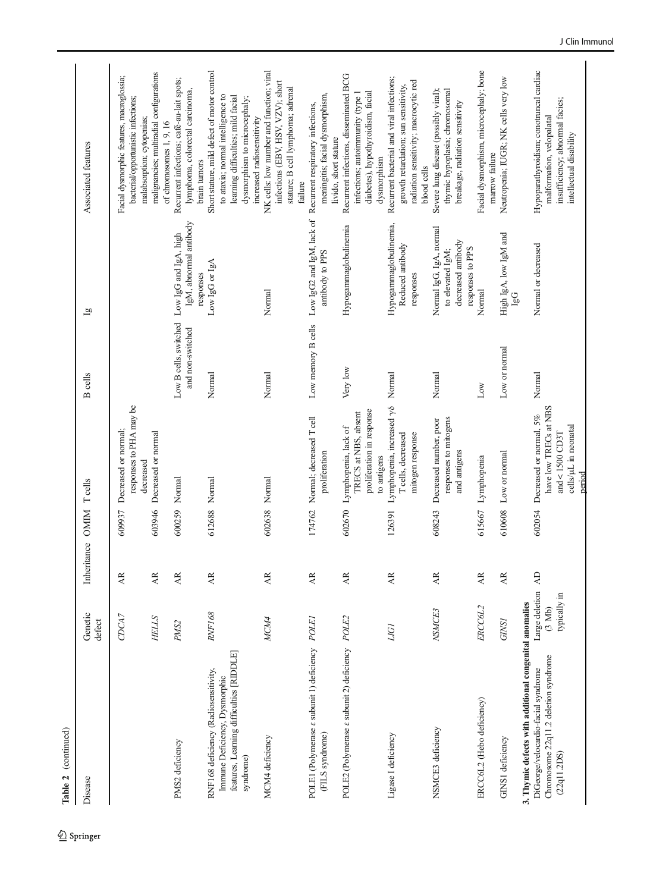| Table 2 (continued)                                                                                                            |                                          |                         |                  |                                                                                                                |                                           |                                                                                       |                                                                                                                                                                                      |
|--------------------------------------------------------------------------------------------------------------------------------|------------------------------------------|-------------------------|------------------|----------------------------------------------------------------------------------------------------------------|-------------------------------------------|---------------------------------------------------------------------------------------|--------------------------------------------------------------------------------------------------------------------------------------------------------------------------------------|
| Disease                                                                                                                        | Genetic<br>defect                        | Inheritance OMIM Teells |                  |                                                                                                                | <b>B</b> cells                            | $\bar{g}$                                                                             | Associated features                                                                                                                                                                  |
|                                                                                                                                | CDCA7                                    | AR.                     | 609937           | responses to PHA may be<br>Decreased or normal;<br>decreased                                                   |                                           |                                                                                       | Facial dysmorphic features, macroglossia;<br>bacterial/opportunistic infections;<br>malabsorption; cytopenias;                                                                       |
|                                                                                                                                | <b>HELLS</b>                             | <b>AR</b>               | 603946           | Decreased or normal                                                                                            |                                           |                                                                                       | malignancies; multiradial configurations<br>of chromosomes 1, 9, 16                                                                                                                  |
| PMS2 deficiency                                                                                                                | PMS <sub>2</sub>                         | AR.                     | 600259           | Normal                                                                                                         | Low B cells, switched<br>and non-switched | IgM, abnormal antibody<br>Low IgG and IgA, high<br>responses                          | Recurrent infections; café-au-lait spots;<br>lymphoma, colorectal carcinoma,<br>brain tumors                                                                                         |
| features, Learning difficulties [RIDDLE]<br>RNF168 deficiency (Radiosensitivity,<br>Immune Deficiency, Dysmorphic<br>syndrome) | <b>RNF168</b>                            | <b>AR</b>               | 612688 Normal    |                                                                                                                | Normal                                    | Low IgG or IgA                                                                        | Short stature, mild defect of motor control<br>to ataxia; normal intelligence to<br>learning difficulties; mild facial<br>dysmorphism to microcephaly;<br>increased radiosensitivity |
| MCM4 deficiency                                                                                                                | MCM4                                     | AR.                     | 602638 Normal    |                                                                                                                | Normal                                    | Normal                                                                                | NK cells: low number and function; viral<br>infections (EBV, HSV, VZV); short<br>stature; B cell lymphoma; adrenal<br>failure                                                        |
| POLE1 (Polymerase & subunit 1) deficiency POLE1<br>(FILS syndrome)                                                             |                                          | AR.                     | 174762           | Normal; decreased T cell<br>proliferation                                                                      |                                           | Low memory B cells Low IgG2 and IgM, lack of<br>antibody to PPS                       | meningitis; facial dysmorphism,<br>Recurrent respiratory infections,<br>livido, short stature                                                                                        |
| POLE2 (Polymerase $\varepsilon$ subunit 2) deficiency POLE2                                                                    |                                          | Æ                       | 602670           | proliferation in response<br>TRECS at NBS, absent<br>Lymphopenia, lack of<br>to antigens                       | Very low                                  | Hypogammaglobulinemia                                                                 | Recurrent infections, disseminated BCG<br>diabetes), hypothyroidism, facial<br>infections; autoimmunity (type 1<br>dysmorphism                                                       |
| Ligase I deficiency                                                                                                            | <b>LIGI</b>                              | AR.                     | 126391           | Lymphopenia, increased $\gamma\delta$<br>T cells, decreased<br>mitogen response                                | Normal                                    | Hypogammaglobulinemia,<br>Reduced antibody<br>responses                               | Recurrent bacterial and viral infections;<br>radiation sensitivity; macrocytic red<br>growth retardation; sun sensitivity,<br>blood cells                                            |
| NSMCE3 deficiency                                                                                                              | NSMCE3                                   | AR.                     | 608243           | responses to mitogens<br>Decreased number, poor<br>and antigens                                                | Normal                                    | Normal IgG, IgA, normal<br>decreased antibody<br>responses to PPS<br>to elevated IgM; | thymic hypoplasia; chromosomal<br>Severe lung disease (possibly viral);<br>breakage, radiation sensitivity                                                                           |
| ERCC6L2 (Hebo deficiency)<br>GINS1 deficiency                                                                                  | ERCC6L2<br><b>GINS1</b>                  | AR.<br>AR.              | 615667<br>610608 | Lymphopenia                                                                                                    | $_{\rm Low}$                              | Normal                                                                                | Facial dysmorphism, microcephaly; bone<br>marrow failure                                                                                                                             |
| 3. Thymic defects with additional congenital anomalies                                                                         |                                          |                         |                  | Low or normal                                                                                                  | Low or normal                             | High IgA, low IgM and<br><b>Dal</b>                                                   | Neutropenia; IUGR; NK cells very low                                                                                                                                                 |
| Chromosome 22q11.2 deletion syndrome<br>DiGeorge/velocardio-facial syndrome<br>(22q11.2DS)                                     | Large deletion<br>typically in<br>(3 Mb) | $\overline{A}$          |                  | have low TRECs at NBS<br>602054 Decreased or normal, 5%<br>cells/µL in neonatal<br>and $<$ 1500 CD3T<br>period | Normal                                    | Normal or decreased                                                                   | Hypoparathyroidism; conotruncal cardiac<br>insufficiency; abnormal facies;<br>malformation, velopalatal<br>intellectual disability                                                   |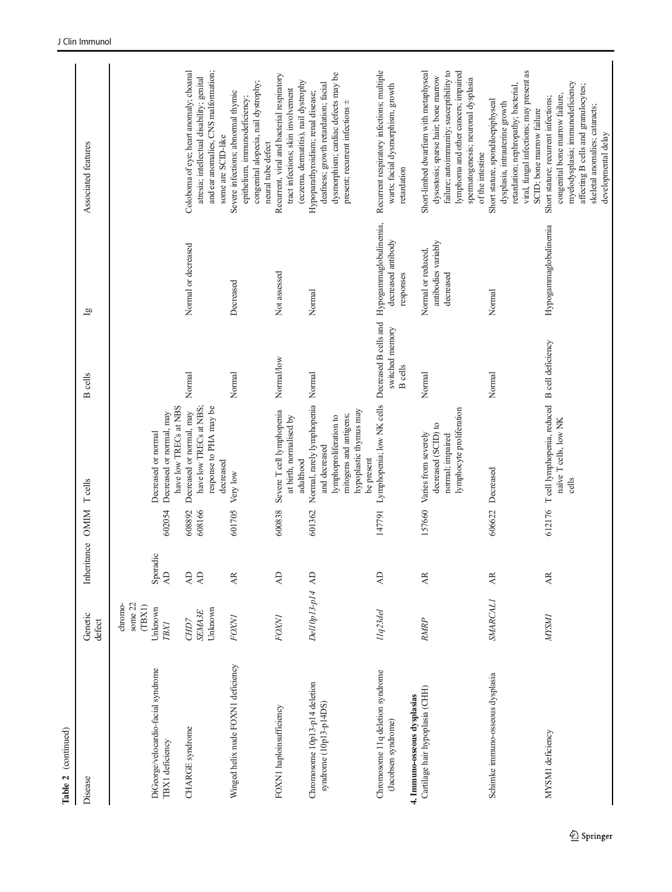| Disease                                                                                 | Genetic<br>defect                                     | Inheritance OMIM                 |                  | <b>T</b> cells                                                                                                                                 | <b>B</b> cells                    | $\bar{g}$                                              | Associated features                                                                                                                                                                                                           |
|-----------------------------------------------------------------------------------------|-------------------------------------------------------|----------------------------------|------------------|------------------------------------------------------------------------------------------------------------------------------------------------|-----------------------------------|--------------------------------------------------------|-------------------------------------------------------------------------------------------------------------------------------------------------------------------------------------------------------------------------------|
| DiGeorge/velocardio-facial syndrome<br>TBX1 deficiency                                  | chromo-<br>some 22<br>(TBXI)<br>Unknown<br>$T\!B\!XI$ | Sporadic<br>$\overline{A}$       | 602054           | have low TRECs at NBS<br>Decreased or normal, may<br>Decreased or normal                                                                       |                                   |                                                        |                                                                                                                                                                                                                               |
| CHARGE syndrome                                                                         | Unknown<br><b>SEMA3E</b><br>CHD7                      | $\overline{A}$<br>$\overline{A}$ | 608892<br>608166 | have low TRECs at NBS;<br>response to PHA may be<br>Decreased or normal, may<br>decreased                                                      | Normal                            | Normal or decreased                                    | and ear anomalies, CNS malformation;<br>Coloboma of eye; heart anomaly; choanal<br>atresia; intellectual disability; genital<br>some are SCID-like                                                                            |
| Winged helix nude FOXN1 deficiency                                                      | <b>FOXVI</b>                                          | AR.                              | 601705           | Very low                                                                                                                                       | Normal                            | Decreased                                              | congenital alopecia, nail dystrophy;<br>Severe infections; abnormal thymic<br>epithelium, immunodeficiency;<br>neural tube defect                                                                                             |
| FOXN1 haploinsufficiency                                                                | <b>FOXNI</b>                                          | $\overline{A}$                   | 600838           | Severe T cell lymphopenia<br>at birth, normalised by<br>adulthood                                                                              | Normal/low                        | Not assessed                                           | Recurrent, viral and bacterial respiratory<br>(eczema, dermatitis), nail dystrophy<br>tract infections; skin involvement                                                                                                      |
| Chromosome 10p13-p14 deletion<br>syndrome (10p13-p14DS)                                 | Del10p13-p14 AD                                       |                                  | 601362           | Normal, rarely lymphopenia Normal<br>hypoplastic thymus may<br>mitogens and antigens;<br>lymphoproliferation to<br>and decreased<br>be present |                                   | Normal                                                 | dysmorphism; cardiac defects may be<br>deafness; growth retardation; facial<br>Hypoparathyroidism; renal disease;<br>present; recurrent infections ±                                                                          |
| Chromosome 11q deletion syndrome<br>4. Immuno-osseous dysplasias<br>(Jacobsen syndrome) | I1q23del                                              | $\overline{A}$                   | 147791           | Lymphopenia; low NK cells Decreased B cells and Hypogammaglobulinemia,                                                                         | switched memory<br><b>B</b> cells | decreased antibody<br>responses                        | Recurrent respiratory infections; multiple<br>warts; facial dysmorphism, growth<br>retardation                                                                                                                                |
| Cartilage hair hypoplasia (CHH)                                                         | RMRP                                                  | AR.                              | 157660           | lymphocyte proliferation<br>decreased (SCID) to<br>Varies from severely<br>normal; impaired                                                    | Normal                            | antibodies variably<br>Normal or reduced,<br>decreased | failure; autoimmunity; susceptibility to<br>lymphoma and other cancers; impaired<br>Short-limbed dwarfism with metaphyseal<br>dysostosis; sparse hair; bone marrow<br>spermatogenesis; neuronal dysplasia<br>of the intestine |
| Schimke immuno-osseous dysplasia                                                        | <b>SMARCALI</b>                                       | Æ                                | 606622           | Decreased                                                                                                                                      | Normal                            | Normal                                                 | viral, fungal infections; may present as<br>retardation; nephropathy; bacterial,<br>Short stature, spondiloepiphyseal<br>dysplasia, intrauterine growth<br>SCID; bone marrow failure                                          |
| MYSM1 deficiency                                                                        | <b>NYSMI</b>                                          | AR.                              | 612176           | Teell lymphopenia, reduced B cell deficiency<br>naïve T cells, low NK<br>cells                                                                 |                                   | Hypogammaglobulinemia                                  | myelodysplasia; immunodeficiency<br>affecting B cells and granulocytes;<br>congenital bone marrow failure,<br>Short stature; recurrent infections;<br>skeletal anomalies; cataracts;<br>developmental delay                   |

Table 2 (continued)

Table 2  $\,$  (continued)  $\,$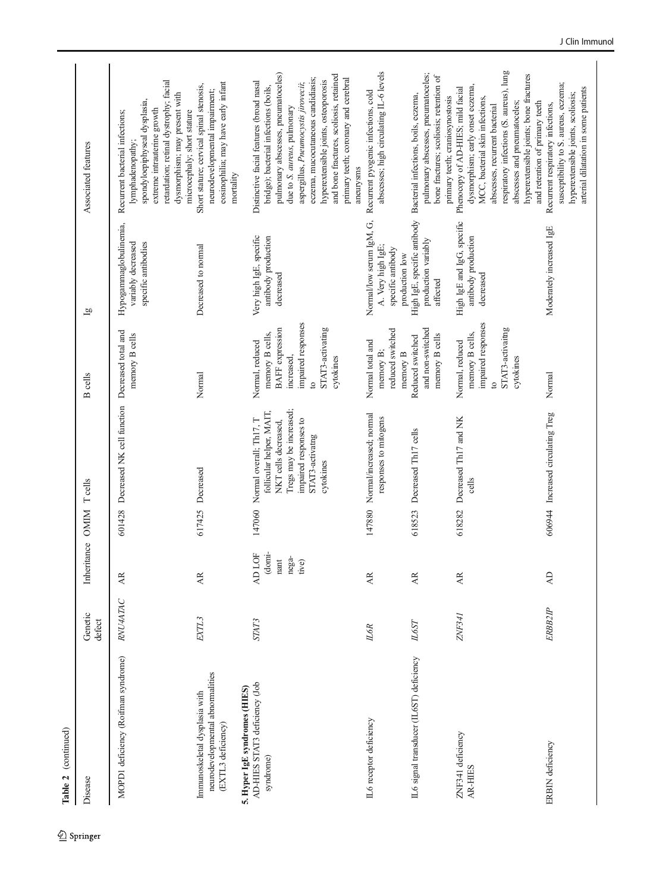| (continued)<br>Table 2                                                                  |                   |                                            |        |                                                                                                                                                                        |                                                                                                                                                     |                                                                                      |                                                                                                                                                                                                                                                                                                                                                                               |
|-----------------------------------------------------------------------------------------|-------------------|--------------------------------------------|--------|------------------------------------------------------------------------------------------------------------------------------------------------------------------------|-----------------------------------------------------------------------------------------------------------------------------------------------------|--------------------------------------------------------------------------------------|-------------------------------------------------------------------------------------------------------------------------------------------------------------------------------------------------------------------------------------------------------------------------------------------------------------------------------------------------------------------------------|
| Disease                                                                                 | Genetic<br>defect | Inheritance OMIM Teells                    |        |                                                                                                                                                                        | cells<br>$\mathbf{D}$                                                                                                                               | $\bar{g}$                                                                            | Associated features                                                                                                                                                                                                                                                                                                                                                           |
| MOPD1 deficiency (Roifman syndrome)                                                     | RNU4ATAC          | Æ                                          | 601428 | Decreased NK cell function                                                                                                                                             | Decreased total and<br>memory B cells                                                                                                               | Hypogammaglobulinemia,<br>variably decreased<br>specific antibodies                  | retardation; retinal dystrophy; facial<br>dysmorphism; may present with<br>spondyloepiphyseal dysplasia,<br>extreme intrauterine growth<br>Recurrent bacterial infections;<br>lymphadenopathy;                                                                                                                                                                                |
| neurodevelopmental abnormalities<br>Immunoskeletal dysplasia with<br>(EXTL3 deficiency) | EXTL3             | AR.                                        |        | 617425 Decreased                                                                                                                                                       | Normal                                                                                                                                              | Decreased to normal                                                                  | eosinophilia; may have early infant<br>Short stature; cervical spinal stenosis,<br>neurodevelopmental impairment;<br>microcephaly; short stature<br>mortality                                                                                                                                                                                                                 |
| AD-HIES STAT3 deficiency (Job<br>5. Hyper IgE syndromes (HIES)<br>syndrome)             | STAT3             | AD LOF<br>(domi-<br>nega-<br>nant<br>tive) |        | Tregs may be increased;<br>follicular helper, MAIT,<br>147060 Normal overall; Th17, T<br>impaired responses to<br>NKT cells decreased,<br>STAT3-activatng<br>cytokines | impaired responses<br><b>BAFF</b> expression<br>STAT3-activating<br>memory B cells,<br>Normal, reduced<br>increased,<br>cytokines<br>$\overline{c}$ | Very high IgE, specific<br>antibody production<br>decreased                          | pulmonary abscesses, pneumatoceles)<br>and bone fractures, scoliosis, retained<br>eczema, mucocutaneous candidiasis;<br>primary teeth; coronary and cerebral<br>hyperextensible joints, osteoporosis<br>Distinctive facial features (broad nasal<br>aspergillus, Pneumocystis jirovecii;<br>bridge); bacterial infections (boils,<br>due to S. aureus, pulmonary<br>aneurysms |
| IL6 receptor deficiency                                                                 | L6R               | AR                                         |        | 147880 Normal/increased; normal<br>responses to mitogens                                                                                                               | reduced switched<br>Normal total and<br>memory B;<br>memory $B$                                                                                     | Normal/low serum IgM, G,<br>A. Very high IgE;<br>specific antibody<br>production low | abscesses; high circulating IL-6 levels<br>Recurrent pyogenic infections, cold                                                                                                                                                                                                                                                                                                |
| IL6 signal transducer (IL6ST) deficiency                                                | <b>IL6ST</b>      | AR.                                        | 618523 | Decreased Th17 cells                                                                                                                                                   | and non-switched<br>memory B cells<br>Reduced switched                                                                                              | production variably<br>affected                                                      | pulmonary abscesses, pneumatoceles;<br>bone fractures; scoliosis; retention of<br>High IgE, specific antibody Bacterial infections, boils, eczema,                                                                                                                                                                                                                            |
| ZNF341 deficiency<br>AR-HIES                                                            | ZNF341            | <b>AR</b>                                  | 618282 | Decreased Th <sub>17</sub> and NK<br>cells                                                                                                                             | impaired responses<br>STAT3-activaitng<br>memory B cells,<br>Normal, reduced<br>cytokines<br>$\overline{c}$                                         | High IgE and IgG, specific<br>antibody production<br>decreased                       | respiratory infections (S. aureus), lung<br>hyperextensible joints; bone fractures<br>dysmorphism; early onset eczema,<br>Phenocopy of AD-HIES; mild facial<br>primary teeth; craniosynostosis<br>MCC, bacterial skin infections,<br>abscesses and pneumatoceles;<br>abscesses, recurrent bacterial                                                                           |
| ERBIN deficiency                                                                        | ERBB2IP           | $\overline{A}$                             |        | 606944 Increased circulating Treg                                                                                                                                      | Normal                                                                                                                                              | Moderately increased IgE                                                             | susceptibility to S. aureus, eczema;<br>arterial dilatation in some patients<br>hyperextensible joints, scoliosis;<br>and retention of primary teeth<br>Recurrent respiratory infections,                                                                                                                                                                                     |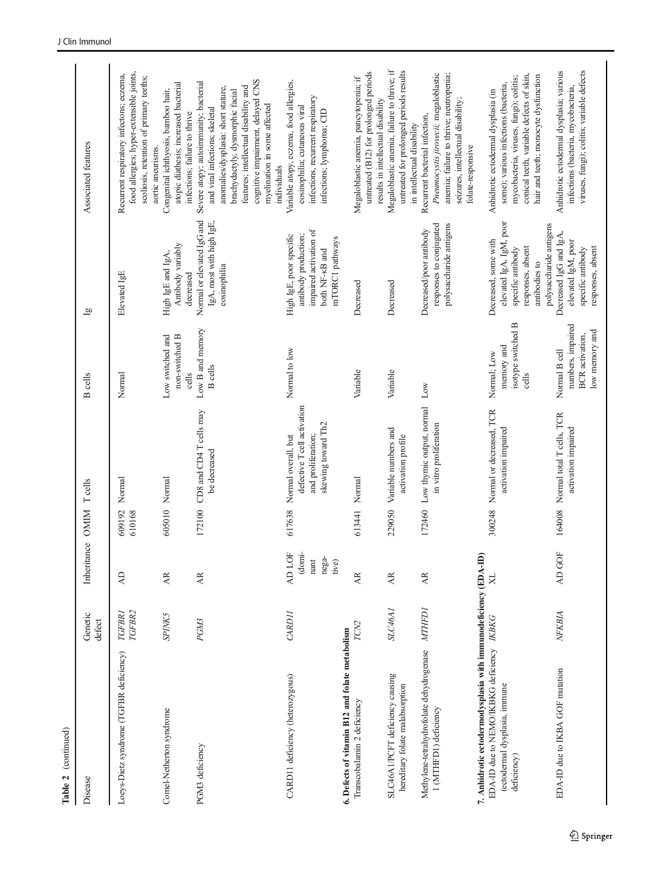| Table 2 (continued)                                                                                                                                          |                   |                                                             |                  |                                                                                                                   |                                                                                |                                                                                                                                       |                                                                                                                                                                                                                                                                                 |
|--------------------------------------------------------------------------------------------------------------------------------------------------------------|-------------------|-------------------------------------------------------------|------------------|-------------------------------------------------------------------------------------------------------------------|--------------------------------------------------------------------------------|---------------------------------------------------------------------------------------------------------------------------------------|---------------------------------------------------------------------------------------------------------------------------------------------------------------------------------------------------------------------------------------------------------------------------------|
| Disease                                                                                                                                                      | Genetic<br>defect | Inheritance                                                 | <b>OMIM</b>      | <b>T</b> cells                                                                                                    | <b>B</b> cells                                                                 | $\overline{a}$                                                                                                                        | Associated features                                                                                                                                                                                                                                                             |
| Loeys-Dietz syndrome (TGFBR deficiency)                                                                                                                      | TGFBR2<br>TGFBRI  | E                                                           | 609192<br>610168 | Normal                                                                                                            | Normal                                                                         | Elevated IgE                                                                                                                          | food allergies; hyper-extensible joints,<br>Recurrent respiratory infectons; eczema,<br>scoliosis, retention of primary teeths;<br>aortic aneurisms.                                                                                                                            |
| Comel-Netherton syndrome                                                                                                                                     | <b>SPINK5</b>     | <b>AR</b>                                                   | 605010           | Normal                                                                                                            | Low switched and<br>non-switched B<br>cells                                    | Antibody variably<br>High IgE and IgA,<br>decreased                                                                                   | atopic diathesis; increased bacterial<br>Congenital ichthyosis, bamboo hair,<br>infections; failure to thrive                                                                                                                                                                   |
| PGM3 deficiency                                                                                                                                              | PGM3              | <b>AR</b>                                                   | 172100           | CD8 and CD4 T cells may<br>be decreased                                                                           | Low B and memory<br><b>B</b> cells                                             | Normal or elevated IgG and<br>IgA, most with high IgE,<br>eosinophilia                                                                | cognitive impairment, delayed CNS<br>Severe atopy; autoimmunity; bacterial<br>features; intellectual disability and<br>anomalies/dysplasia: short stature,<br>brachydactyly, dysmorphic facial<br>myelination in some affected<br>and viral infections; skeletal<br>individuals |
| CARD11 deficiency (heterozygous)                                                                                                                             | <b>CARDII</b>     | LOF<br>$(domi-$<br>nega-<br>nant<br>tive)<br>$\overline{A}$ |                  | defective T cell activation<br>skewing toward Th <sub>2</sub><br>and proliferation;<br>617638 Normal overall, but | Normal to low                                                                  | impaired activation of<br>High IgE, poor specific<br>antibody production;<br>mTORC1 pathways<br>both NF- <sub>KB</sub> and            | Variable atopy, eczema, food allergies,<br>infections, recurrent respiratory<br>eosinophilia; cutaneous viral<br>infections; lymphoma; CID                                                                                                                                      |
| 6. Defects of vitamin B12 and folate metabolism<br>Transcobalamin 2 deficiency                                                                               | TCN <sub>2</sub>  | AR.                                                         | 613441           | Normal                                                                                                            | Variable                                                                       | Decreased                                                                                                                             | untreated (B12) for prolonged periods<br>Megaloblastic anemia, pancytopenia; if<br>results in intellectual disability                                                                                                                                                           |
| SLC46A1/PCFT deficiency causing<br>hereditary folate malabsorption                                                                                           | <b>SLC46A1</b>    | <b>AR</b>                                                   | 229050           | Variable numbers and<br>activation profile                                                                        | Variable                                                                       | Decreased                                                                                                                             | Megaloblastic anemia, failure to thrive; if<br>untreated for prolonged periods results<br>in intellectual disability                                                                                                                                                            |
| Methylene-tetrahydrofolate dehydrogenase MTHFD1<br>1 (MTHFD1) deficiency                                                                                     |                   | <b>AR</b>                                                   | 172460           | Low thymic output, normal Low<br>in vitro proliferation                                                           |                                                                                | responses to conjugated<br>polysaccharide antigens<br>Decreased/poor antibody                                                         | Pneumocystis jirovecii; megaloblastic<br>anemia; failure to thrive; neutropenia;<br>seizures, intellectual disability;<br>Recurrent bacterial infection,<br>folate-responsive                                                                                                   |
| 7. Anhidrotic ectodermodysplasia with immunodeficiency (EDA-ID)<br>EDA-ID due to NEMO/IKBKG deficiency IKBKG<br>(ectodermal dysplasia, immune<br>deficiency) |                   | $\boxtimes$                                                 |                  | 300248 Normal or decreased, TCR<br>activation impaired                                                            | isotype switched B<br>memory and<br>Normal; Low<br>cells                       | elevated IgA, IgM, poor<br>polysaccharide antigens<br>Decreased, some with<br>responses, absent<br>specific antibody<br>antibodies to | conical teeth, variable defects of skin,<br>hair and teeth; monocyte dysfunction<br>mycobacteria, viruses, fungi); colitis;<br>some); various infections (bacteria,<br>Anhidrotic ectodermal dysplasia (in                                                                      |
| EDA-ID due to IKBA GOF mutation                                                                                                                              | NFKBIA            | GOF<br>$\overline{A}$                                       |                  | 164008 Normal total T cells, TCR<br>activation impaired                                                           | numbers, impaired<br>low memory and<br><b>BCR</b> activation,<br>Normal B cell | Decreased IgG and IgA,<br>elevated IgM, poor<br>responses, absent<br>specific antibody                                                | viruses, fungi); colitis; variable defects<br>Anhidrotic ectodermal dysplasia; various<br>infections (bacteria, mycobacteria,                                                                                                                                                   |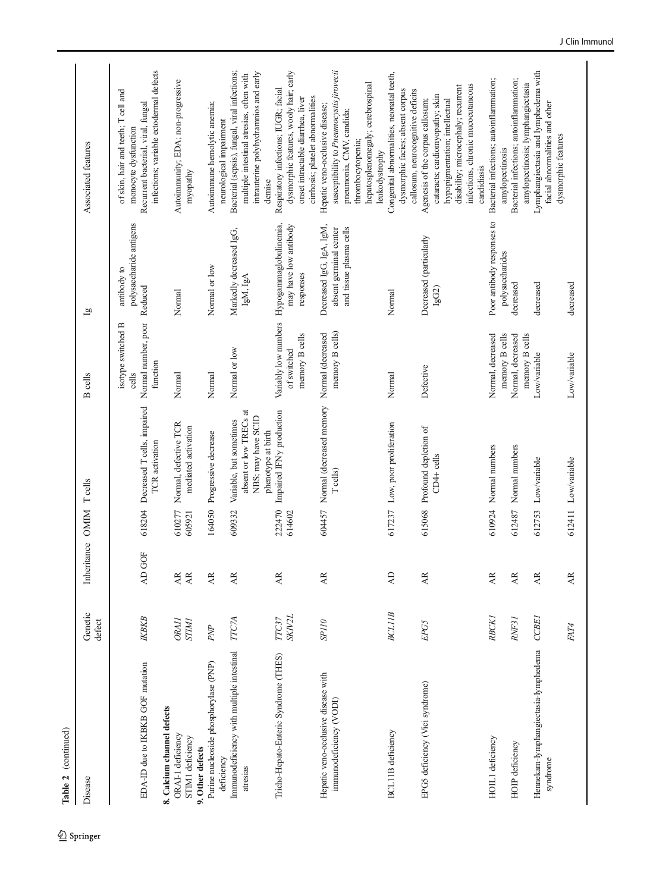| Table 2 (continued)                                                     |                              |                              |                  |                                                                                               |                                                                        |                                                                                   |                                                                                                                                                                                                                                       |
|-------------------------------------------------------------------------|------------------------------|------------------------------|------------------|-----------------------------------------------------------------------------------------------|------------------------------------------------------------------------|-----------------------------------------------------------------------------------|---------------------------------------------------------------------------------------------------------------------------------------------------------------------------------------------------------------------------------------|
| Disease                                                                 | Genetic<br>defect            | Inheritance OMIM             |                  | $T$ cells                                                                                     | <b>B</b> cells                                                         | $\vec{g}$                                                                         | Associated features                                                                                                                                                                                                                   |
| EDA-ID due to IKBKB GOF mutation                                        | IKBKB                        | AD GOF                       |                  | 618204 Decreased T cells, impaired<br>TCR activation                                          | Normal number, poor Reduced<br>isotype switched B<br>function<br>cells | polysaccharide antigens<br>antibody to                                            | infections; variable ectodermal defects<br>of skin, hair and teeth; T cell and<br>Recurrent bacterial, viral, fungal<br>monocyte dysfunction                                                                                          |
| 8. Calcium channel defects<br>ORAI-1 deficiency<br>STIM1 deficiency     | <b>ORAII</b><br><b>STIM1</b> | <b>AR</b><br>$\overline{AB}$ | 610277<br>605921 | Normal, defective TCR<br>mediated activation                                                  | Normal                                                                 | Normal                                                                            | Autoimmunity; EDA; non-progressive<br>myopathy                                                                                                                                                                                        |
| Purine nucleoside phosphorylase (PNP)<br>9. Other defects<br>deficiency | ${\cal P}{\cal N\!P}$        | Æ                            | 164050           | Progressive decrease                                                                          | Normal                                                                 | Normal or low                                                                     | Autoimmune hemolytic anemia;                                                                                                                                                                                                          |
| Immunodeficiency with multiple intestinal<br>atresias                   | <b>TTC7A</b>                 | AR                           | 609332           | absent or low TRECs at<br>NBS; may have SCID<br>Variable, but sometimes<br>phenotype at birth | Normal or low                                                          | Markedly decreased IgG,<br>IgM, IgA                                               | Bacterial (sepsis), fungal, viral infections;<br>intrauterine polyhydramnios and early<br>multiple intestinal atresias, often with<br>neurological impairment                                                                         |
| Tricho-Hepato-Enteric Syndrome (THES)                                   | <b>SKIV2L</b><br>TTC37       | AR.                          | 222470<br>614602 | Impaired IFNy production                                                                      | memory B cells<br>of switched                                          | Variably low numbers Hypogammaglobulinemia,<br>may have low antibody<br>responses | dysmorphic features, wooly hair; early<br>Respiratory infections; IUGR; facial<br>cirrhosis; platelet abnormalities<br>onset intractable diarrhea, liver<br>demise                                                                    |
| Hepatic veno-occlusive disease with<br>immunodeficiency (VODI)          | SPI10                        | AR.                          | 604457           | Normal (decreased memory<br>T cells)                                                          | memory B cells)<br>Normal (decreased                                   | Decreased IgG, IgA, IgM,<br>and tissue plasma cells<br>absent germinal center     | susceptibility to Pneumocystis jirovecii<br>hepatosplenomegaly; cerebrospinal<br>Hepatic veno-occlusive disease;<br>pneumonia, CMV, candida;<br>thrombocytopenia;                                                                     |
| <b>BCL11B</b> deficiency                                                | <b>BCLIIB</b>                | $\overline{A}$               |                  | 617237 Low, poor proliferation                                                                | Normal                                                                 | Normal                                                                            | Congenital abnormalities, neonatal teeth,<br>dysmorphic facies; absent corpus<br>leukodystrophy                                                                                                                                       |
| EPG5 deficiency (Vici syndrome)                                         | EPG5                         | AR.                          |                  | 615068 Profound depletion of<br>$CD4+$ cells                                                  | Defective                                                              | Decreased (particularly<br>IgG2)                                                  | infections, chronic mucocutaneous<br>disability; microcephaly; recurrent<br>callosum, neurocognitive deficits<br>cataracts; cardiomyopathy; skin<br>Agenesis of the corpus callosum;<br>hypopigmentation; intellectual<br>candidiasis |
| HOIL1 deficiency                                                        | <b>RBCK1</b>                 | AR.                          | 610924           | Normal numbers                                                                                | Normal, decreased                                                      | Poor antibody responses to                                                        | Bacterial infections; autoinflammation;                                                                                                                                                                                               |
| HOIP deficiency                                                         | RNF31                        | Æ                            | 612487           | Normal numbers                                                                                | memory B cells<br>memory B cells<br>Normal, decreased                  | polysaccharides<br>decreased                                                      | Bacterial infections; autoinflammation;<br>amylopectinosis; lymphangiectasia<br>amylopectinosis                                                                                                                                       |
| Hennekam-lymphangiectasia-lymphedema<br>syndrome                        | <b>CCBE</b>                  | AR.                          | 612753           | Low/variable                                                                                  | Low/variable                                                           | decreased                                                                         | Lymphangiectasia and lymphedema with<br>facial abnormalities and other                                                                                                                                                                |
|                                                                         | FAT4                         | $\overline{\rm AR}$          |                  | 612411 Low/variable                                                                           | Low/variable                                                           | decreased                                                                         | dysmorphic features                                                                                                                                                                                                                   |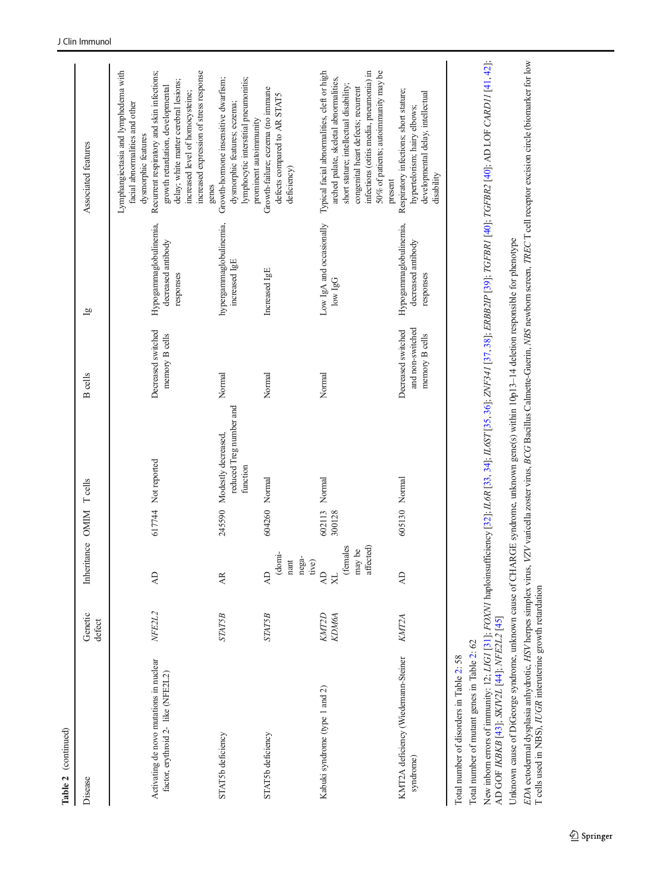| Disease                                                                       | Genetic<br>defect     | Inheritance OMIM Teells                                      |                         |                                                                   | <b>B</b> cells                                           | $\overline{a}$                                            | Associated features                                                                                                                                                                                                                                                                                               |
|-------------------------------------------------------------------------------|-----------------------|--------------------------------------------------------------|-------------------------|-------------------------------------------------------------------|----------------------------------------------------------|-----------------------------------------------------------|-------------------------------------------------------------------------------------------------------------------------------------------------------------------------------------------------------------------------------------------------------------------------------------------------------------------|
| Activating de novo mutations in nuclear<br>factor, erythroid 2- like (NFE2L2) | NFE2L2                | $\overline{A}$                                               |                         | 617744 Not reported                                               | Decreased switched<br>memory B cells                     | Hypogammaglobulinemia,<br>decreased antibody<br>responses | Lymphangiectasia and lymphedema with<br>Recurrent respiratory and skin infections;<br>increased expression of stress response<br>delay; white matter cerebral lesions;<br>growth retardation, developmental<br>increased level of homocysteine;<br>facial abnormalities and other<br>dysmorphic features<br>genes |
| STAT5b deficiency                                                             | <b>STAT5B</b>         | AR.                                                          |                         | reduced Treg number and<br>245590 Modestly decreased,<br>function | Normal                                                   | hypergammaglobulinemia,<br>increased IgE                  | Growth-hormone insensitive dwarfism;<br>lymphocytic interstitial pneumonitis;<br>dysmorphic features; eczema;<br>prominent autoimmunity                                                                                                                                                                           |
| STAT5b deficiency                                                             | <b>STAT5B</b>         | (domi-<br>nant<br>nega-<br>tive)<br>$\overline{A}$           | 604260 Normal           |                                                                   | Normal                                                   | Increased IgE                                             | Growth-failure; eczema (no immune<br>defects compared to AR STAT5<br>deficiency)                                                                                                                                                                                                                                  |
| Kabuki syndrome (type 1 and 2)                                                | <b>KMT2D</b><br>КДМбА | (females<br>affected)<br>may be<br>$\overline{z}$<br>$\rm X$ | 602113 Normal<br>300128 |                                                                   | Normal                                                   | Low IgA and occasionally<br>$low$ $lgG$                   | Typical facial abnormalities, cleft or high<br>infections (otitis media, pneumonia) in<br>50% of patients; autoimmunity may be<br>arched palate, skeletal abnormalities,<br>short stature; intellectual disability;<br>congenital heart defects; recurrent                                                        |
| KMT2A deficiency (Wiedemann-Steiner<br>syndrome)                              | <b>KMT2A</b>          | $\overline{A}$                                               | 605130 Normal           |                                                                   | and non-switched<br>Decreased switched<br>memory B cells | Hypogammaglobulinemia,<br>decreased antibody<br>responses | Respiratory infections; short stature;<br>developmental delay, intellectual<br>hypertelorism; hairy elbows;<br>disability<br>present                                                                                                                                                                              |
| Total number of disorders in Table 2: 58                                      |                       |                                                              |                         |                                                                   |                                                          |                                                           |                                                                                                                                                                                                                                                                                                                   |

Table 2 (continued) Table 2 (continued) Total number of mutant genes in Table 2: 62 Total number of mutant genes in Table [2](#page-8-0): 62

New inborn errors of immunity: 12; *LIGI* [31]; *FOXNI* haploinsufficiency [32]; *IL6R* [33, 34]; *IL6ST* [35, 36]; *ZNF341* [37, 38]; *ERBB2IP* [39]; *TGFBR1* [40]; *TGFBR2* [40]; AD LOF CARD11 [41, 42];<br>AD GOF *IKBKB* [4 New inborn errors of immunity: 12; LIG1 [[31](#page-37-0)]; FOXN1 haploinsufficiency [[32](#page-37-0)]; IL6R [[33](#page-37-0), [34](#page-37-0)]; IL6ST [\[35](#page-37-0), [36\]](#page-37-0); ZNFBB2IP [[39](#page-37-0)]; IC6FBR2 [[40](#page-37-0)]; AD LOF CARD11 [[41](#page-37-0), [42](#page-37-0)]; AD GOF IKBKB [[43](#page-37-0)]; SKIV2L [[44](#page-37-0)]; NFE2L2 [[45](#page-37-0)]

Unknown cause of DiGeorge syndrome, unknown cause of CHARGE syndrome, unknown gene(s) within 10p13-14 deletion responsible for phenotype Unknown cause of DiGeorge syndrome, unknown cause of CHARGE syndrome, unknown gene(s) within 10p13–14 deletion responsible for phenotype

EDA ectodermal dysplasia anhydrotic, HSV herpes simplex virus, VZV varicella zoster virus, BCG Bacillus Calmette-Guerin, NBS newborn screen, TREC T cell receptor excision circle (biomarker for low<br>T cells used in NBS), IUG EDA ectodermal dysplasia anhydrotic, HSV herpes simplex virus, VZV varicella zoster virus, BCG Bacillus Calmette-Guerin, NBS newborn screen, TREC T cell receptor excision circle (biomarker for low T cells used in NBS), IUGR interuterine growth retardation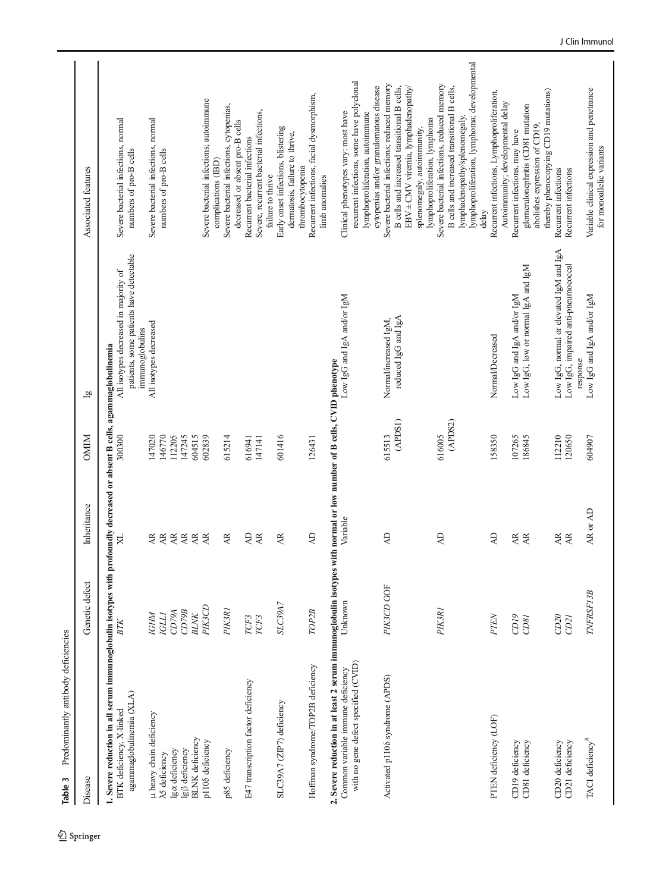<span id="page-15-0"></span>

| Predominantly antibody deficiencies<br>Table 3                                                                                                                                                    |                          |                        |                            |                                                                                                     |                                                                                                                                                                                                                       |
|---------------------------------------------------------------------------------------------------------------------------------------------------------------------------------------------------|--------------------------|------------------------|----------------------------|-----------------------------------------------------------------------------------------------------|-----------------------------------------------------------------------------------------------------------------------------------------------------------------------------------------------------------------------|
| Disease                                                                                                                                                                                           | Genetic defect           | Inheritance            | <b>OMIM</b>                | $\overline{a}$                                                                                      | Associated features                                                                                                                                                                                                   |
| 1. Severe reduction in all serum immunoglobulin isotypes with profoundly decreased or absent B cells, agammaglobulinemia<br>agammaglobulinemia (XLA)<br>BTK deficiency, X-linked                  | ВTK                      | R                      | 300300                     | patients, some patients have detectable<br>All isotypes decreased in majority of<br>immunoglobulins | Severe bacterial infections, normal<br>numbers of pro-B cells                                                                                                                                                         |
| µ heavy chain deficiency<br><b>N5</b> deficiency                                                                                                                                                  | <b>IGLI</b><br>IGHM      | Æ<br>$\overline{AB}$   | 146770<br>147020           | All isotypes decreased                                                                              | Severe bacterial infections, normal<br>numbers of pro-B cells                                                                                                                                                         |
| <b>BLNK</b> deficiency<br>lgß deficiency<br>Iga deficiency                                                                                                                                        | CD79B<br>CD79A<br>$BLNK$ | AE<br>$\overline{AB}$  | 112205<br>147245<br>604515 |                                                                                                     |                                                                                                                                                                                                                       |
| p1108 deficiency                                                                                                                                                                                  | PK3CD                    | $\overline{AB}$<br>AR. | 602839                     |                                                                                                     | Severe bacterial infections; autoimmune<br>complications (IBD)                                                                                                                                                        |
| p85 deficiency                                                                                                                                                                                    | PIK3R1                   | AR                     | 615214                     |                                                                                                     | Severe bacterial infections, cytopenias,<br>decreased or absent pro-B cells                                                                                                                                           |
| E47 transcription factor deficiency                                                                                                                                                               | TCF3<br>TCF3             | $\Delta \rm D$<br>AR   | 616941<br>147141           |                                                                                                     | Severe, recurrent bacterial infections,<br>Recurrent bacterial infections                                                                                                                                             |
| SLC39A7 (ZIP7) deficiency                                                                                                                                                                         | SLC39A7                  | AR                     | 601416                     |                                                                                                     | Early onset infections, blistering<br>dermatosis, failure to thrive,<br>failure to thrive                                                                                                                             |
| Hoffman syndrome/TOP2B deficiency                                                                                                                                                                 | TOP <sub>2</sub> B       | ą                      | 126431                     |                                                                                                     | Recurrent infections, facial dysmorphism,<br>thrombocytopenia<br>limb anomalies                                                                                                                                       |
| 2. Severe reduction in at least 2 serum immunoglobulin isotypes with normal or low number of B cells, CVID phenotype<br>with no gene defect specified (CVID)<br>Common variable immune deficiency | Unknown                  | Variable               |                            | Low IgG and IgA and/or IgM                                                                          | recurrent infections, some have polyclonal<br>Clinical phenotypes vary: most have<br>lymphoproliferation, autoimmune                                                                                                  |
| Activated p1106 syndrome (APDS)                                                                                                                                                                   | PIK3CD GOF               | $\overline{A}$         | (APDS1)<br>615513          | reduced IgG and IgA<br>Normal/increased IgM,                                                        | Severe bacterial infections; reduced memory<br>EBV ± CMV viremia, lymphadenopathy/<br>cytopenias and/or granulomatous disease<br>B cells and increased transitional B cells,<br>splenomegaly, autoimmunity,           |
|                                                                                                                                                                                                   | PIK3R1                   | $\overline{A}$         | (APDS2)<br>616005          |                                                                                                     | lymphoproliferation, lymphoma; developmental<br>Severe bacterial infections, reduced memory<br>B cells and increased transitional B cells,<br>lymphadenopathy/splenomegaly,<br>lymphoproliferation, lymphoma<br>delay |
| PTEN deficiency (LOF)                                                                                                                                                                             | PTEN                     | $\overline{A}$         | 158350                     | Normal/Decreased                                                                                    | Recurrent infections, Lymphoproliferation,<br>Autoimmunity; developmental delay                                                                                                                                       |
| CD81 deficiency<br>CD19 deficiency                                                                                                                                                                | CD <sub>19</sub><br>CD81 | Æ<br>AR                | 107265<br>186845           | Low IgG, low or normal IgA and IgM<br>Low IgG and IgA and/or IgM                                    | glomerulonephritis (CD81 mutation<br>abolishes expression of CD19,<br>Recurrent infections, may have                                                                                                                  |
| CD20 deficiency<br>CD21 deficiency                                                                                                                                                                | CD20<br>CD <sub>21</sub> | Æ<br>AE                | 112210<br>120650           | Low IgG, normal or elevated IgM and IgA<br>Low IgG, impaired anti-pneumococcal<br>response          | thereby phenocopying CD19 mutations)<br>Recurrent infections<br>Recurrent infections                                                                                                                                  |
| TACI deficiency <sup>#</sup>                                                                                                                                                                      | TNFRSF13B                | AR or AD               | 604907                     | Low IgG and IgA and/or IgM                                                                          | Variable clinical expression and penetrance<br>for monoallelic variants                                                                                                                                               |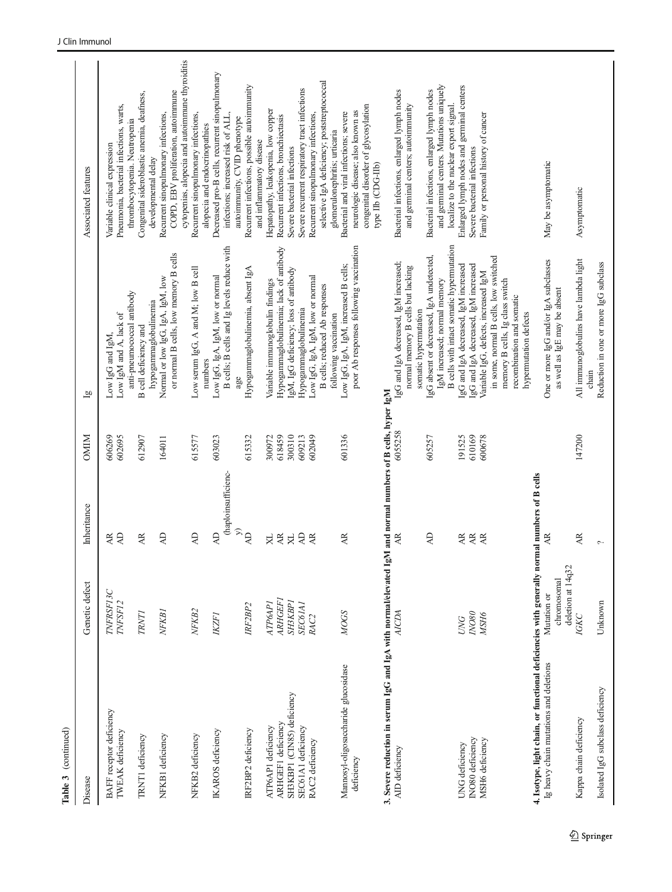| Disease                                                                                      | Genetic defect                                  | Inheritance                                 | <b>NIMO</b>      | $\overline{a}$                                                                                                                 | Associated features                                                                                                   |
|----------------------------------------------------------------------------------------------|-------------------------------------------------|---------------------------------------------|------------------|--------------------------------------------------------------------------------------------------------------------------------|-----------------------------------------------------------------------------------------------------------------------|
| <b>BAFF</b> receptor deficiency<br>TWEAK deficiency                                          | TNFRSF13C<br>TNFSF12                            | $\Delta$<br>AR                              | 606269<br>602695 | Low IgM and A, lack of<br>Low IgG and IgM,                                                                                     | Pneumonia, bacterial infections, warts,<br>Variable clinical expression                                               |
| TRNT1 deficiency                                                                             | <b>TRNTI</b>                                    | AR                                          | 612907           | anti-pneumococcal antibody<br>B cell deficiency and                                                                            | Congenital sideroblastic anemia, deafness,<br>thrombocytopenia. Neutropenia<br>developmental delay                    |
| NFKB1 deficiency                                                                             | NFKB1                                           | $\overline{A}$                              | 164011           | or normal B cells, low memory B cells<br>Normal or low IgG, IgA, IgM, low<br>hypogammaglobulinemia                             | COPD, EBV proliferation, autoimmune<br>Recurrent sinopulmonary infections,                                            |
| NFKB2 deficiency                                                                             | NFKB2                                           | $\overline{A}$                              | 615577           | Low serum IgG, A and M; low B cell<br>numbers                                                                                  | cytopenias, alopecia and autoimmune thyroiditis<br>Recurrent sinopulmonary infections,                                |
| IKAROS deficiency                                                                            | <b>IKZFI</b>                                    | (haploinsufficienc-<br>$\overline{A}$       | 603023           | B cells; B cells and Ig levels reduce with<br>Low IgG, IgA, IgM, low or normal                                                 | Decreased pro-B cells, recurrent sinopulmonary<br>infections; increased risk of ALL,<br>alopecia and endocrinopathies |
| IRF2BP2 deficiency                                                                           | IRF <sub>2</sub> BP <sub>2</sub>                | $\mathcal{L}$<br>$\overline{A}$             | 615332           | Hypogammaglobulinemia, absent IgA                                                                                              | Recurrent infections, possible autoimmunity<br>autoimmunity, CVID phenotype<br>and inflammatory disease               |
| ARHGEF1 deficiency<br>ATP6AP1 deficiency                                                     | <b>ARHGEF1</b><br><b>ATP6API</b>                | $\overline{AB}$<br>$\mathbf{X}$             | 618459<br>300972 | Hypogammaglobulinemia; lack of antibody<br>Variable immunoglobulin findings                                                    | Hepatopathy, leukopenia, low copper<br>Recurrent infections, bronchiectasis                                           |
| SH3KBP1 (CIN85) deficiency                                                                   | SH3KBP1                                         | $\bowtie$                                   | 300310           | IgM, IgG deficiency; loss of antibody                                                                                          | Severe bacterial infections                                                                                           |
| SEC61A1 deficiency<br>RAC2 deficiency                                                        | <b>SEC6IAI</b><br>RAC <sub>2</sub>              | $\overline{A}$<br>AR.                       | 602049<br>609213 | Hypogammaglobulinemia                                                                                                          | Severe recurrent respiratory tract infections                                                                         |
|                                                                                              |                                                 |                                             |                  | Low IgG, IgA, IgM, low or normal<br>B cells; reduced Ab responses<br>following vaccination                                     | selective IgA deficiency; poststreptococcal<br>Recurrent sinopulmonary infections,<br>glomerulonephritis; urticaria   |
| Mannosyl-oligosaccharide glucosidase                                                         | <b>MOGS</b>                                     | Æ                                           | 601336           | Low IgG, IgA, IgM, increased B cells;                                                                                          | Bacterial and viral infections; severe                                                                                |
| deficiency                                                                                   |                                                 |                                             |                  | poor Ab responses following vaccination                                                                                        | congenital disorder of glycosylation<br>neurologic disease; also known as<br>type IIb (CDG-IIb)                       |
| 3. Severe reduction in serum IgG and IgA with normal/elevated I                              |                                                 | gM and normal numbers of B cells, hyper IgM |                  |                                                                                                                                |                                                                                                                       |
| AID deficiency                                                                               | AICDA                                           | Æ                                           | 6055258          | IgG and IgA decreased, IgM increased;<br>normal memory B cells but lacking<br>somatic hypermutation                            | Bacterial infections, enlarged lymph nodes<br>and germinal centers; autoimmunity                                      |
|                                                                                              |                                                 | $\overline{A}$                              | 605257           | IgG absent or decreased, IgA undetected,<br>IgM increased; normal memory                                                       | and germinal centers. Mutations uniquely<br>Bacterial infections, enlarged lymph nodes                                |
|                                                                                              |                                                 |                                             |                  | B cells with intact somatic hypermutation                                                                                      | localize to the nuclear export signal.                                                                                |
| INO80 deficiency<br>UNG deficiency                                                           | $NOSO$<br><b>UNG</b>                            | AR.<br>$\overline{AB}$                      | 610169<br>191525 | IgG and IgA decreased, IgM increased                                                                                           | Enlarged lymph nodes and germinal centers<br>Severe bacterial infections                                              |
| MSH6 deficiency                                                                              | MSH6                                            | AR.                                         | 600678           | IgG and IgA decreased, IgM increased<br>Variable IgG, defects, increased IgM                                                   | Family or personal history of cancer                                                                                  |
|                                                                                              |                                                 |                                             |                  | in some, normal B cells, low switched<br>memory B cells, Ig class switch<br>recombination and somatic<br>hypermutation defects |                                                                                                                       |
| 4. Isotype, light chain, or functional deficiencies with generally normal numbers of B cells |                                                 |                                             |                  |                                                                                                                                |                                                                                                                       |
| Ig heavy chain mutations and deletions                                                       | deletion at 14q32<br>chromosomal<br>Mutation or | Æ                                           |                  | One or more IgG and/or IgA subclasses<br>as well as IgE may be absent                                                          | May be asymptomatic                                                                                                   |
| Kappa chain deficiency                                                                       | IGKC                                            | AR.                                         | 147200           | All immunoglobulins have lambda light                                                                                          | Asymptomatic                                                                                                          |
| Isolated IgG subclass deficiency                                                             | Unknown                                         | $\sim$                                      |                  | chain                                                                                                                          |                                                                                                                       |
|                                                                                              |                                                 |                                             |                  | Reduction in one or more IgG subclass                                                                                          |                                                                                                                       |

Table 3 (continued)

Table 3 (continued)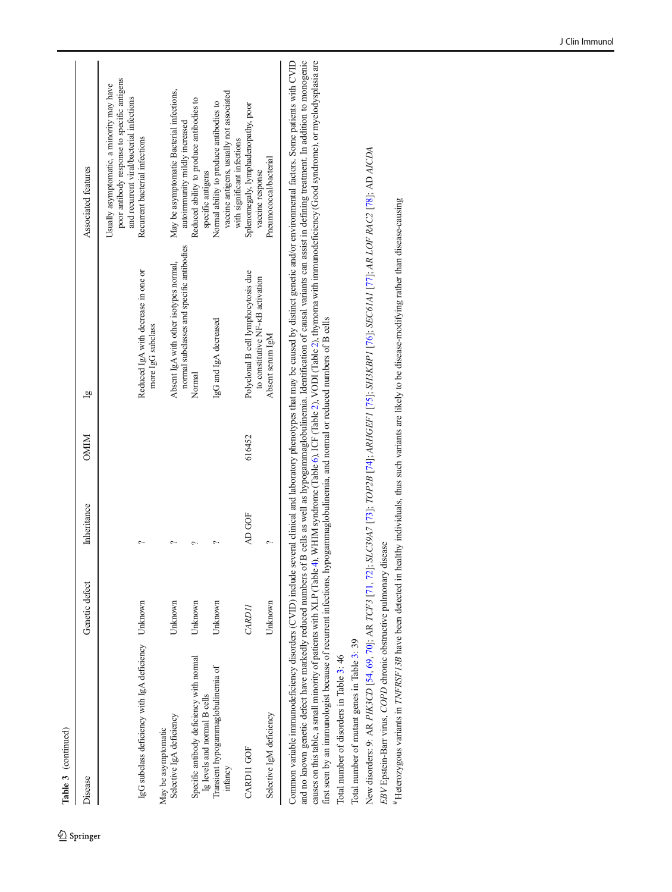| ŧ |
|---|
| ÷ |

<sup>2</sup> Springer

| Disease                                                                  | Genetic defect | Inheritance | <b>NIMO</b> | $\overline{a}$                                                                      | Associated features                                                                                                                  |
|--------------------------------------------------------------------------|----------------|-------------|-------------|-------------------------------------------------------------------------------------|--------------------------------------------------------------------------------------------------------------------------------------|
|                                                                          |                |             |             |                                                                                     | poor antibody response to specific antigens<br>Usually asymptomatic, a minority may have<br>and recurrent viral/bacterial infections |
| IgG subclass deficiency with IgA deficiency Unknown                      |                |             |             | Reduced IgA with decrease in one or<br>more IgG subclass                            | Recurrent bacterial infections                                                                                                       |
| May be asymptomatic                                                      |                |             |             |                                                                                     |                                                                                                                                      |
| Selective IgA deficiency                                                 | Unknown        |             |             | normal subclasses and specific antibodies<br>Absent IgA with other isotypes normal, | May be asymptomatic Bacterial infections,<br>autoimmunity mildly increased                                                           |
| Specific antibody deficiency with normal<br>Ig levels and normal B cells | Unknown        |             |             | Normal                                                                              | Reduced ability to produce antibodies to<br>specific antigens                                                                        |
| Transient hypogammaglobulinemia of<br>infancy                            | Unknown        |             |             | IgG and IgA decreased                                                               | vaccine antigens, usually not associated<br>Normal ability to produce antibodies to<br>with significant infections                   |
| <b>CARD11 GOF</b>                                                        | CARDII         | AD GOF      | 616452      | Polyclonal B cell lymphocytosis due<br>to constitutive NF-KB activation             | Splenomegaly, lymphadenopathy, poor                                                                                                  |
| Selective IgM deficiency                                                 | Unknown        |             |             | Absent serum IgM                                                                    | Pneumococcal/bacterial<br>vaccine response                                                                                           |
|                                                                          |                |             |             |                                                                                     |                                                                                                                                      |

Common variable immunodeficiency disorders (CVID) include several clinical and laboratory phenotypes that may be caused by distinct genetic and/or environmental factors. Some patients with CVID and no known genetic defect Common variable immunodeficiency disorders (CVID) include several clinical and laboratory phenotypes that may be caused by distinct genetic and/or environmental factors. Some patients with CVID and no known genetic defect have markedly reduced numbers of B cells as well as hypogammaglobulinemia. Identification of causal variants can assist in defining treatment. In addition to monogenic causes on this table, a small minority of patients with XLP (Table [4](#page-18-0)), WHIM syndrome (Table [6](#page-24-0)), ICF (Table [2\)](#page-8-0), VODI (Table [2\)](#page-8-0), thymoma with immunodeficiency (Good syndrome), or myelodysplasia are first seen by an immunologist because of recurrent infections, hypogammaglobulinemia, and normal or reduced numbers of B cells first seen by an immunologist because of recurrent infections, hypogammaglobulinemia, and normal or reduced numbers of B cells

Total number of disorders in Table 3: 46 Total number of disorders in Table [3](#page-15-0): 46

Total number of mutant genes in Table 3: 39 Total number of mutant genes in Table [3](#page-15-0): 39

New disorders: 9: AR *PIK3CD* [54, 69, 70]; AR *TCF3* [71, 72]; *SLC39A7* [73]; *TOP2B* [74]; *ARHGEF1* [75]; *SH3KBP1* [76]; *SEC61A1* [77]; A*R LOF RAC2* [78]; AD *AICDA* New disorders: 9: AR PIK3CD [\[54](#page-38-0), [69](#page-38-0), [70](#page-38-0)]; AR TCF3 [[71](#page-38-0), [72](#page-38-0)]; SLC39A7 [\[73](#page-38-0)]; TOP2B [\[74](#page-38-0)]; ARHGEF1 [[75](#page-38-0)]; SH3KBP1 [\[76](#page-38-0)]; SEC61A1 [[77](#page-38-0)]; AR LOF RAC2 [[78](#page-38-0)]; AD AICDA EBV Epstein-Barr virus, COPD chronic obstructive pulmonary disease EBV Epstein-Barr virus, COPD chronic obstructive pulmonary disease

Heterozygous variants in TNFRSF13B have been detected in healthy individuals, thus such variants are likely to be disease-modifying rather than disease-causing Heterozygous variants in TNFRSF13B have been detected in healthy individuals, thus such variants are likely to be disease-modifying rather than disease-causing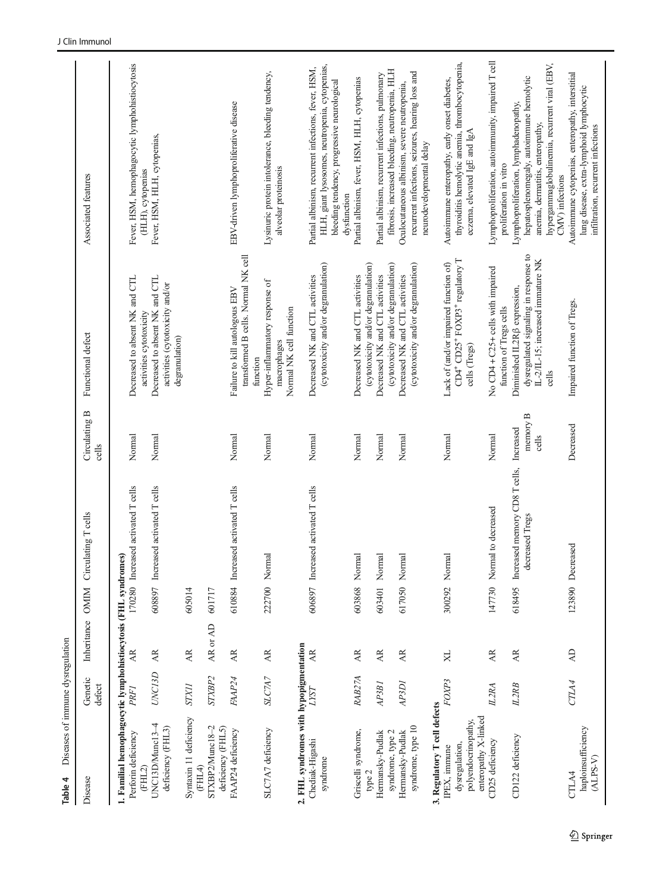<span id="page-18-0"></span>

| Diseases of immune dysregulation<br>Table 4                                           |                    |                 |             |                                                         |                                |                                                                                                                      |                                                                                                                                                                        |
|---------------------------------------------------------------------------------------|--------------------|-----------------|-------------|---------------------------------------------------------|--------------------------------|----------------------------------------------------------------------------------------------------------------------|------------------------------------------------------------------------------------------------------------------------------------------------------------------------|
| Disease                                                                               | Genetic<br>defect  | Inheritance     | <b>OMIN</b> | Circulating T cells                                     | Circulating B<br>cells         | Functional defect                                                                                                    | Associated features                                                                                                                                                    |
| 1. Familial hemophagocytic lymphohistiocytosis (FHL syndromes)<br>Perforin deficiency | PRFI               | Æ               |             | 170280 Increased activated T cells                      | Normal                         | Decreased to absent NK and CTL                                                                                       | Fever, HSM, hemophagocytic lymphohistiocytosis                                                                                                                         |
| 4<br>deficiency (FHL3)<br>UNC13D/Munc13<br>(FHL2)                                     | UNC13D             | AR.             |             | 608897 Increased activated T cells                      | Normal                         | Decreased to absent NK and CTL<br>activities (cytotoxicity and/or<br>activities cytotoxicity                         | Fever, HSM, HLH, cytopenias,<br>(HLH), cytopenias                                                                                                                      |
| Syntaxin 11 deficiency                                                                | <b>STX11</b>       | AR.             | 605014      |                                                         |                                | degranulation)                                                                                                       |                                                                                                                                                                        |
| STXBP2/Munc18-2<br>(FHL4)                                                             | STXBP <sub>2</sub> | AR or AD        | 601717      |                                                         |                                |                                                                                                                      |                                                                                                                                                                        |
| deficiency (FHL5)<br>FAAP24 deficiency                                                | FAAP24             | AR.             |             | 610884 Increased activated T cells                      | Normal                         | transformed B cells. Normal NK cell<br>Failure to kill autologous EBV                                                | EBV-driven lymphoproliferative disease                                                                                                                                 |
| SLC7A7 deficiency                                                                     | SLC7A7             | AR.             |             | 222700 Normal                                           | Normal                         | Hyper-inflammatory response of<br>Normal NK cell function<br>macrophages<br>function                                 | Lysinuric protein intolerance, bleeding tendency,<br>alveolar proteinosis                                                                                              |
| 2. FHL syndromes with hypopigmentation                                                |                    |                 |             |                                                         |                                |                                                                                                                      |                                                                                                                                                                        |
| Chediak-Higashi<br>syndrome                                                           | LYST               | $\overline{AB}$ |             | 606897 Increased activated T cells                      | Normal                         | (cytotoxicity and/or degranulation)<br>Decreased NK and CTL activities                                               | HLH, giant lysosomes, neutropenia, cytopenias,<br>Partial albinism, recurrent infections, fever, HSM,<br>bleeding tendency, progressive neurological<br>dysfunction    |
| Griscelli syndrome,<br>type $2$                                                       | RAB27A             | AR.             |             | 603868 Normal                                           | Normal                         | (cytotoxicity and/or degranulation)<br>Decreased NK and CTL activities                                               | Partial albinism, fever, HSM, HLH, cytopenias                                                                                                                          |
| Hermansky-Pudlak                                                                      | AP3B1              | AR              | 603401      | Normal                                                  | Normal                         | Decreased NK and CTL activities                                                                                      | Partial albinism, recurrent infections, pulmonary                                                                                                                      |
| syndrome, type 2                                                                      |                    |                 |             |                                                         |                                | (cytotoxicity and/or degranulation)                                                                                  | fibrosis, increased bleeding, neutropenia, HLH                                                                                                                         |
| syndrome, type 10<br>Hermansky-Pudlak                                                 | AP3D1              | AR              |             | 617050 Normal                                           | Normal                         | (cytotoxicity and/or degranulation)<br>Decreased NK and CTL activities                                               | recurrent infections, seizures, hearing loss and<br>Oculocutaneous albinism, severe neutropenia,<br>neurodevelopmental delay                                           |
| 3. Regulatory T cell defects                                                          |                    |                 |             |                                                         |                                |                                                                                                                      |                                                                                                                                                                        |
| enteropathy X-linked<br>polyendocrinopathy,<br>dysregulation.<br>IPEX, immune         | FOXP3              | XL              |             | 300292 Normal                                           | Normal                         | CD4+ CD25+ FOXP3+ regulatory T<br>Lack of (and/or impaired function of)<br>cells (Tregs)                             | thyroiditis hemolytic anemia, thrombocytopenia,<br>Autoimmune enteropathy, early onset diabetes,<br>eczema, elevated IgE and IgA                                       |
| CD25 deficiency                                                                       | IL2RA              | AR.             |             | to decreased<br>147730 Normal                           | Normal                         | No CD4 + C25+ cells with impaired<br>function of Tregs cells                                                         | Lymphoproliferation, autoimmunity, impaired T cell<br>proliferation in vitro                                                                                           |
| CD122 deficiency                                                                      | IL2RB              | AR              |             | 618495 Increased memory CD8 T cells,<br>decreased Tregs | memory B<br>Increased<br>cells | dysregulated signaling in response to<br>IL-2/IL-15; increased immature NK<br>Diminished IL2R ß expression,<br>cells | hypergammaglobulinemia, recurrent viral (EBV,<br>hepatosplenomegaly, autoimmune hemolytic<br>Lymphoproliferation, lymphadenopathy,<br>anemia, dermatitis, enteropathy, |
| haploinsufficiency<br>$(ALPS-V)$<br>CTLA4                                             | CTLA4              | $\overline{AD}$ |             | 123890 Decreased                                        | Decreased                      | Impaired function of Tregs.                                                                                          | Autoimmune cytopenias, enteropathy, interstitial<br>lung disease, extra-lymphoid lymphocytic<br>infiltration, recurrent infections<br>CMV) infections                  |
|                                                                                       |                    |                 |             |                                                         |                                |                                                                                                                      |                                                                                                                                                                        |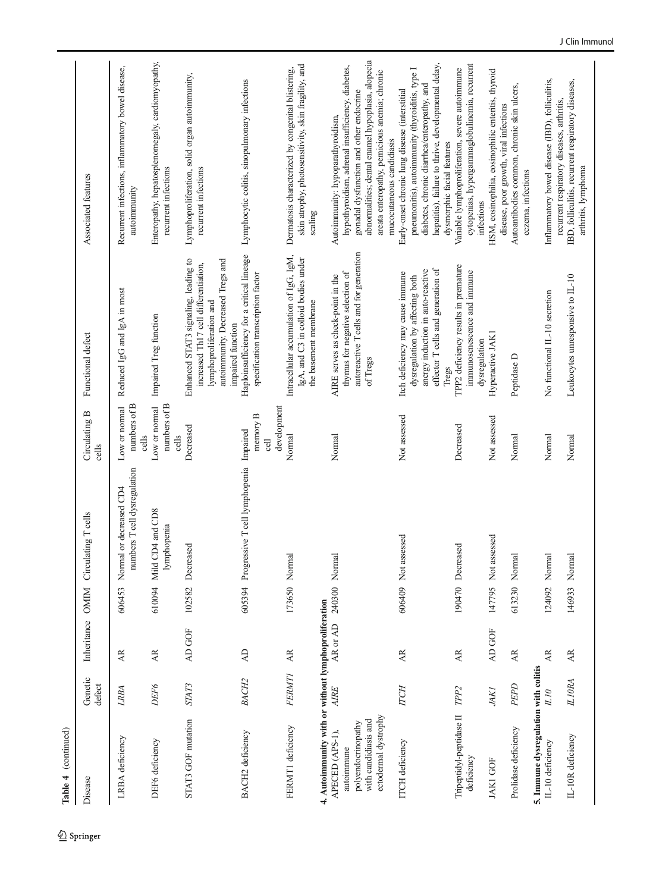| Table 4 (continued)                                                                                                                                        |                   |                                   |               |                                                         |                                         |                                                                                                                                                                   |                                                                                                                                                                                                                                                                      |
|------------------------------------------------------------------------------------------------------------------------------------------------------------|-------------------|-----------------------------------|---------------|---------------------------------------------------------|-----------------------------------------|-------------------------------------------------------------------------------------------------------------------------------------------------------------------|----------------------------------------------------------------------------------------------------------------------------------------------------------------------------------------------------------------------------------------------------------------------|
| Disease                                                                                                                                                    | Genetic<br>defect | Inheritance OMIM                  |               | Circulating T cells                                     | Circulating B<br>cells                  | Functional defect                                                                                                                                                 | Associated features                                                                                                                                                                                                                                                  |
| LRBA deficiency                                                                                                                                            | LRBA              | <b>AR</b>                         | 606453        | numbers T cell dysregulation<br>Normal or decreased CD4 | numbers of B<br>Low or normal<br>cells  | Reduced IgG and IgA in most                                                                                                                                       | Recurrent infections, inflammatory bowel disease,<br>autoimmunity                                                                                                                                                                                                    |
| DEF6 deficiency                                                                                                                                            | DEF6              | AR                                |               | 610094 Mild CD4 and CD8<br>lymphopenia                  | numbers of B<br>Low or normal<br>cells  | Impaired Treg function                                                                                                                                            | Enteropathy, hepatosplenomegaly, cardiomyopathy,<br>recurrent infections                                                                                                                                                                                             |
| STAT3 GOF mutation                                                                                                                                         | STAT3             | AD GOF                            | 102582        | Decreased                                               | Decreased                               | Enhanced STAT3 signaling, leading to<br>autoimmunity. Decreased Tregs and<br>increased Th17 cell differentiation,<br>lymphoproliferation and<br>impaired function | Lymphoproliferation, solid organ autoimmunity,<br>recurrent infections                                                                                                                                                                                               |
| BACH2 deficiency                                                                                                                                           | <b>BACH2</b>      | $\overline{AD}$                   |               | 605394 Progressive T cell lymphopenia Impaired          | development<br>memory ${\bf B}$<br>cell | Haploinsufficiency for a critical lineage<br>specification transcription factor                                                                                   | Lymphocytic colitis, sinopulmonary infections                                                                                                                                                                                                                        |
| FERMT1 deficiency                                                                                                                                          | <b>FERMT1</b>     | $\mathbb{A}\mathbb{R}$            |               | 173650 Normal                                           | Normal                                  | Intracellular accumulation of IgG, IgM,<br>IgA, and C3 in colloid bodies under<br>the basement membrane                                                           | skin atrophy, photosensitivity, skin fragility, and<br>Dermatosis characterized by congenital blistering,<br>scaling                                                                                                                                                 |
| 4. Autoimmunity with or without lymphoproliferation<br>ectodermal dystrophy<br>with candidiasis and<br>polyendocrinopathy<br>APECED (APS-1),<br>autoimmune | AIRE              | AR or AD                          | 240300 Normal |                                                         | Normal                                  | autoreactive T cells and for generation<br>thymus for negative selection of<br>AIRE serves as check-point in the<br>of Tregs                                      | abnormalities; dental enamel hypoplasia, alopecia<br>hypothyroidism, adrenal insufficiency, diabetes,<br>areata enteropathy, pernicious anemia; chronic<br>gonadal dysfunction and other endocrine<br>Autoimmunity: hypoparathyroidism,<br>mucocutaneous candidiasis |
| <b>ITCH</b> deficiency                                                                                                                                     | <b>TCH</b>        | AR.                               |               | 606409 Not assessed                                     | Not assessed                            | effector T cells and generation of<br>anergy induction in auto-reactive<br>Itch deficiency may cause immune<br>dysregulation by affecting both                    | hepatitis), failure to thrive, developmental delay,<br>pneumonitis), autoimmunity (thyroiditis, type I<br>diabetes, chronic diarrhea/enteropathy, and<br>Early-onset chronic lung disease (interstitial                                                              |
| Tripeptidyl-peptidase II<br>deficiency                                                                                                                     | TPP <sub>2</sub>  | $\overline{\mathbf{A}}\mathbf{R}$ |               | 190470 Decreased                                        | Decreased                               | TPP2 deficiency results in premature<br>immunosenescence and immune<br>Tregs                                                                                      | cytopenias, hypergammaglobulinemia, recurrent<br>Variable lymphoproliferation, severe autoimmune<br>dysmorphic facial features                                                                                                                                       |
| <b>JAKI GOF</b>                                                                                                                                            | JAKI              | AD GOF                            |               | 147795 Not assessed                                     | Not assessed                            | Hyperactive JAK1<br>dysregulation                                                                                                                                 | HSM, eosinophilia, eosinophilic enteritis, thyroid<br>disease, poor growth, viral infections<br>infections                                                                                                                                                           |
| Prolidase deficiency                                                                                                                                       | PEPD              | AR.                               | 613230        | Normal                                                  | Normal                                  | Peptidase D                                                                                                                                                       | Autoantibodies common, chronic skin ulcers,<br>eczema, infections                                                                                                                                                                                                    |
| 5. Immune dysregulation with colitis<br>IL-10 deficiency                                                                                                   | <b>OTTI</b>       | <b>AR</b>                         |               | 124092 Normal                                           | Normal                                  | No functional IL-10 secretion                                                                                                                                     | Inflammatory bowel disease (IBD), folliculitis,<br>recurrent respiratory diseases, arthritis,                                                                                                                                                                        |
| IL-10R deficiency                                                                                                                                          | <b>ILIORA</b>     | $\overline{\mathbf{A}}$           |               | 146933 Normal                                           | Normal                                  | Leukocytes unresponsive to IL-10                                                                                                                                  | IBD, folliculitis, recurrent respiratory diseases,<br>arthritis, lymphoma                                                                                                                                                                                            |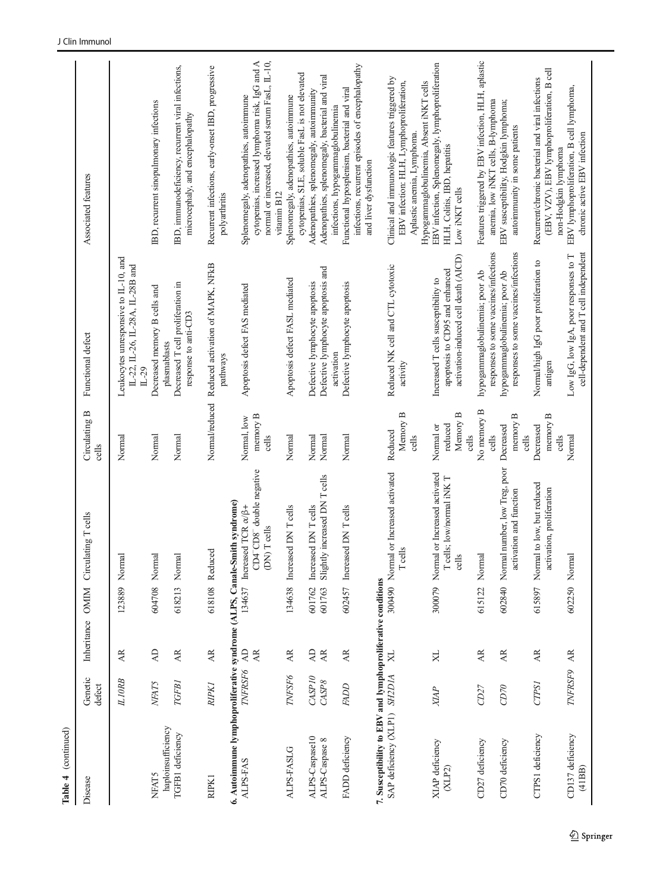| Table 4 (continued)                                                                         |                   |                             |                  |                                                                                                           |                                           |                                                                                                               |                                                                                                                                                                |
|---------------------------------------------------------------------------------------------|-------------------|-----------------------------|------------------|-----------------------------------------------------------------------------------------------------------|-------------------------------------------|---------------------------------------------------------------------------------------------------------------|----------------------------------------------------------------------------------------------------------------------------------------------------------------|
| Disease                                                                                     | Genetic<br>defect | Inheritance OMIM            |                  | Circulating T cells                                                                                       | Circulating B<br>cells                    | Functional defect                                                                                             | Associated features                                                                                                                                            |
|                                                                                             | <b>ILIORB</b>     | AR                          | 123889           | Norma                                                                                                     | Normal                                    | Leukocytes unresponsive to IL-10, and<br>IL-22, IL-26, IL-28A, IL-28B and<br>$IL-29$                          |                                                                                                                                                                |
| haploinsufficiency<br><b>NFAT5</b>                                                          | NFAT5             | <b>AD</b>                   | 604708           | Normal                                                                                                    | Normal                                    | Decreased memory B cells and<br>plasmablasts                                                                  | IBD, recurrent sinopulmonary infections                                                                                                                        |
| TGFB1 deficiency                                                                            | TGFB1             | AR.                         | 618213           | Normal                                                                                                    | Normal                                    | Decreased T cell proliferation in<br>response to anti-CD3                                                     | IBD, immunodeficiency, recurrent viral infections,<br>microcephaly, and encephalopathy                                                                         |
| RIPK 1                                                                                      | <b>RIPK1</b>      | <b>AR</b>                   |                  | 618108 Reduced                                                                                            | Normal/reduced                            | Reduced activation of MAPK, NFkB<br>pathways                                                                  | Recurrent infections, early-onset IBD, progressive<br>polyarthritis                                                                                            |
| 6. Autoimmune lymphoproliferative syndrome (ALPS, Canale-Smith syndrome)<br>ALPS-FAS        | TNFRSF6           | $\overline{A}$<br><b>AR</b> |                  | CD4 <sup>-</sup> CD8 <sup>-</sup> double negative<br>134637 Increased TCR $\alpha/\beta$ +<br>(DN) Teells | memory B<br>Normal, low<br>cells          | Apoptosis defect FAS mediated                                                                                 | cytopenias, increased lymphoma risk, IgG and A<br>normal or increased, elevated serum FasL, IL-10,<br>Splenomegaly, adenopathies, autoimmune<br>vitamin B12    |
| <b>ALPS-FASLG</b>                                                                           | TNFSF6            | AR.                         | 134638           | Increased DN T cells                                                                                      | Normal                                    | Apoptosis defect FASL mediated                                                                                | cytopenias, SLE, soluble FasL is not elevated<br>Splenomegaly, adenopathies, autoimmune                                                                        |
| ALPS-Caspase10<br>ALPS-Caspase 8                                                            | CASPI0<br>CASP8   | <b>AD</b><br>AR             | 601763<br>601762 | Slightly increased DN T cells<br>Increased DN T cells                                                     | Normal<br>Normal                          | Defective lymphocyte apoptosis and<br>Defective lymphocyte apoptosis                                          | Adenopathies, splenomegaly, bacterial and viral<br>Adenopathies, splenomegaly, autoimmunity                                                                    |
| FADD deficiency                                                                             | <b>FADD</b>       | AR                          |                  | 602457 Increased DN T cells                                                                               | Normal                                    | Defective lymphocyte apoptosis<br>activation                                                                  | infections, recurrent episodes of encephalopathy<br>Functional hyposplenism, bacterial and viral<br>infections, hypogammaglobulinemia<br>and liver dysfunction |
| 7. Susceptibility to EBV and lymphoproliferative conditions<br>SAP deficiency (XLP1) SH2D1A |                   | $_{\rm X}$                  |                  | 300490 Normal or Increased activated<br>T cells                                                           | Memory B<br>Reduced<br>cells              | Reduced NK cell and CTL cytotoxic<br>activity                                                                 | Clinical and immunologic features triggered by<br>EBV infection: HLH, Lymphoproliferation,<br>Aplastic anemia, Lymphoma.                                       |
| XIAP deficiency<br>(XLP2)                                                                   | <b>XIAP</b>       | X <sub>L</sub>              |                  | 300079 Normal or Increased activated<br>T cells; low/normal iNK T<br>cells                                | Memory B<br>reduced<br>Normal or<br>cells | activation-induced cell death (AICD)<br>apoptosis to CD95 and enhanced<br>Increased T cells susceptibility to | EBV infection, Splenomegaly, lymphoproliferation<br>Hypogammaglobulinemia, Absent iNKT cells<br>HLH, Colitis, IBD, hepatitis<br>Low iNKT cells                 |
| CD27 deficiency                                                                             | CD27              | AR                          | 615122           | Normal                                                                                                    | No memory B<br>cells                      | responses to some vaccines/infections<br>hypogammaglobulinemia; poor Ab                                       | Features triggered by EBV infection, HLH, aplastic<br>anemia, low iNKT cells, B-lymphoma                                                                       |
| CD70 deficiency                                                                             | CD70              | $\mathbb{A}\mathbb{R}$      |                  | 602840 Normal number, low Treg, poor<br>activation and function                                           | memory B<br>Decreased<br>cells            | responses to some vaccines/infections<br>hypogammaglobulinemia; poor Ab                                       | EBV susceptibility, Hodgkin lymphoma;<br>autoimmunity in some patients                                                                                         |
| CTPS1 deficiency                                                                            | <b>CTPSI</b>      | AR                          | 615897           | Normal to low, but reduced<br>activation, proliferation                                                   | memory $B$<br>Decreased<br>cells          | Normal/high IgG poor proliferation to<br>antigen                                                              | (EBV, VZV), EBV lymphoproliferation, B cell<br>Recurrent/chronic bacterial and viral infections<br>non-Hodgkin lymphoma                                        |
| CD137 deficiency<br>(41BB)                                                                  | TNFRSF9           | AR                          | 602250 Norma     |                                                                                                           | Normal                                    | cell-dependent and T cell independent<br>Low IgG, low IgA, poor responses to T                                | EBV lymphoproliferation, B cell lymphoma,<br>chronic active EBV infection                                                                                      |
|                                                                                             |                   |                             |                  |                                                                                                           |                                           |                                                                                                               |                                                                                                                                                                |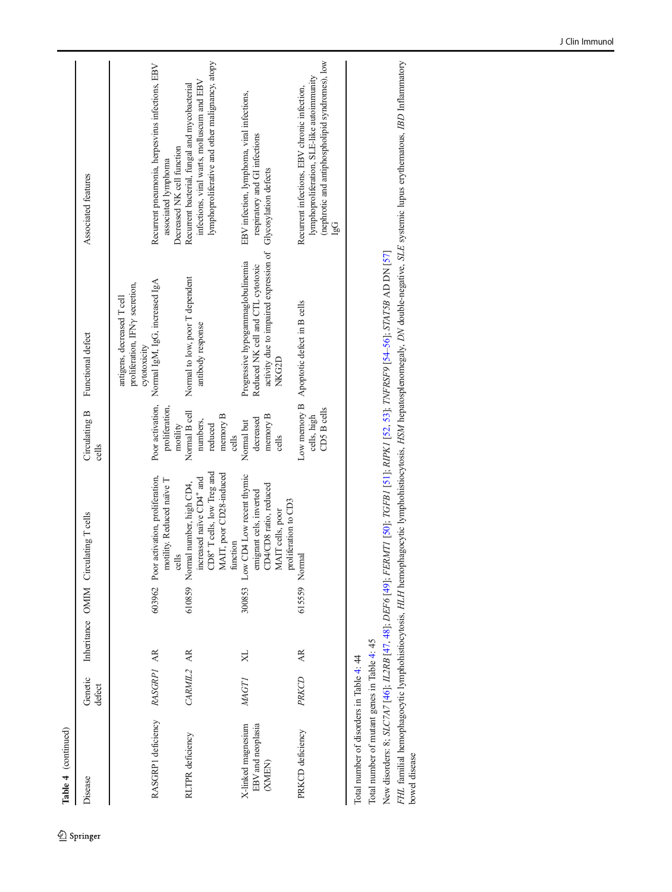| $\sim$ |  |
|--------|--|
| ible 4 |  |

| <b>Disease</b>                                    | Genetic<br>defect |              |               | Inheritance OMIM Circulating T cells                                                                                                      | Circulating B<br>cells                                    | Functional defect                                                                                                                                           | Associated features                                                                                                                                  |
|---------------------------------------------------|-------------------|--------------|---------------|-------------------------------------------------------------------------------------------------------------------------------------------|-----------------------------------------------------------|-------------------------------------------------------------------------------------------------------------------------------------------------------------|------------------------------------------------------------------------------------------------------------------------------------------------------|
|                                                   |                   |              |               |                                                                                                                                           |                                                           | proliferation, IFNy secretion,<br>antigens, decreased T cell<br>cytotoxicity                                                                                |                                                                                                                                                      |
| RASGRP1 deficiency RASGRPI AR                     |                   |              |               | 603962 Poor activation, proliferation,<br>motility. Reduced naïve T<br>cells                                                              | proliferation,<br>motility                                | Poor activation, Normal IgM, IgG, increased IgA                                                                                                             | Recurrent pneumonia, herpesvirus infections, EBV<br>Decreased NK cell function<br>associated lymphoma                                                |
| <b>RLTPR</b> deficiency                           | CARMIL2 AR        |              |               | CD8+T cells, low Treg and<br>AAIT, poor CD28-induced<br>ncreased naïve CD4 <sup>+</sup> and<br>610859 Normal number, high CD4,<br>unction | Normal B cell<br>memory B<br>numbers,<br>reduced<br>cells | Normal to low, poor T dependent<br>antibody response                                                                                                        | lymphoproliferative and other malignancy, atopy<br>infections, viral warts, molluscum and EBV<br>Recurrent bacterial, fungal and mycobacterial       |
| X-linked magnesium<br>EBV and neoplasia<br>(XMEN) | <b>MAGTI</b>      | $\mathbf{X}$ | 300853        | Low CD4 Low recent thymic<br>CD8 ratio, reduced<br>emigrant cels, inverted<br>proliferation to CD3<br>MAIT cells, poor                    | memory B<br>decreased<br>Normal but<br>cells              | activity due to impaired expression of Glycosylation defects<br>Progressive hypogammaglobulinemia<br>Reduced NK cell and CTL cytotoxic<br>NK <sub>G2D</sub> | EBV infection, lymphoma, viral infections,<br>respiratory and GI infections                                                                          |
| PRKCD deficiency                                  | PRKCD             | AR.          | 615559 Normal |                                                                                                                                           | CD5 B cells<br>cells, high                                | Low memory B Apoptotic defect in B cells                                                                                                                    | (nephrotic and antiphospholipid syndromes), low<br>lymphoproliferation, SLE-like autoimmunity<br>Recurrent infections, EBV chronic infection,<br>lgG |

Total number of disorders in Table 4: 44 Total number of disorders in Table [4](#page-18-0): 44

Total number of mutant genes in Table 4: 45 Total number of mutant genes in Table [4](#page-18-0): 45

bowel disease

FHL familial hemophagocytic lymphohistiocytosis, HLH hemophagocytic lymphohistiocytosis, HSM hepatosplenomegaly, DN double-negative, SLE systemic lupus erythematous, IBD Inflammatory<br>bowel disease FHL familial hemophagocytic lymphohistiocytosis, HLH hemophagocytic lymphohistiocytosis, HSM hepatosplenomegaly, DN double-negative, SLE systemic lupus erythematous, IBD Inflammatory New disorders: 8; SLC7A7 [46]; IL2RB [47, 48]; DEF6 [49]; FERMTI [50]; TGFB1 [51]; RIPKI [52, 53]; TNFRSF9 [54-56]; STAT5B AD DN [57] New disorders: 8; SLC7A7 [\[46](#page-37-0)]; IL2RB [[47](#page-37-0), [48](#page-37-0)]; DEF6 [[49](#page-37-0)]; FERMT1 [[50](#page-37-0)]; TGFB1 [[51](#page-37-0)]; RIPK1 [[52](#page-37-0), [53](#page-37-0)]; TNFRSF9 [[54](#page-38-0)–[56\]](#page-38-0); STAT5B AD DN [[57](#page-38-0)]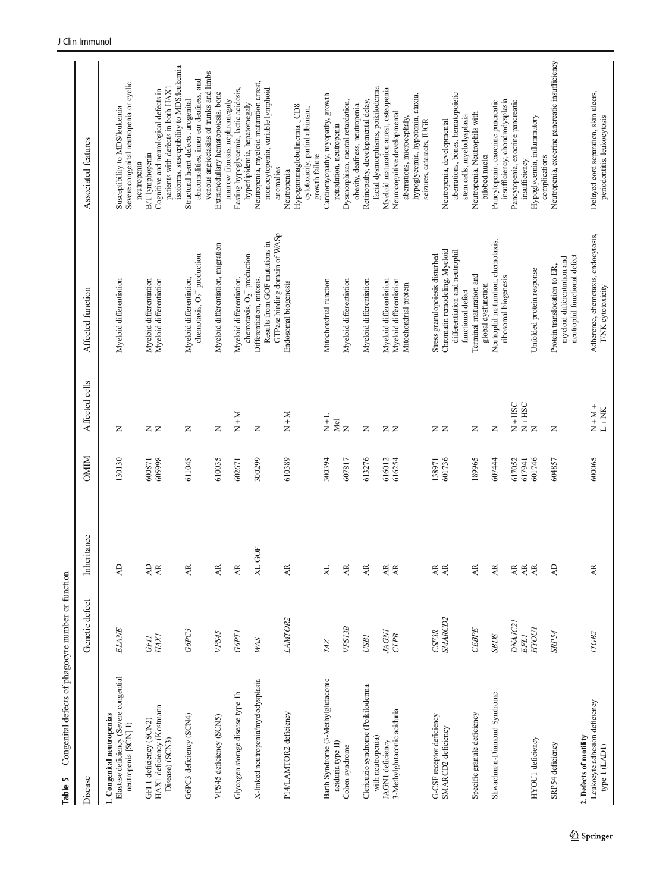<span id="page-22-0"></span>

| Congenital defects of phagocyte number or function<br>Table 5                                |                            |                                                                        |                  |                                                                                                     |                                                                                              |                                                                                                                                         |
|----------------------------------------------------------------------------------------------|----------------------------|------------------------------------------------------------------------|------------------|-----------------------------------------------------------------------------------------------------|----------------------------------------------------------------------------------------------|-----------------------------------------------------------------------------------------------------------------------------------------|
| Disease                                                                                      | Genetic defect             | Inheritance                                                            | <b>OMIM</b>      | Affected cells                                                                                      | Affected function                                                                            | Associated features                                                                                                                     |
| Elastase deficiency (Severe congential<br>1. Congenital neutropenias<br>neutropenia [SCN] 1) | ELANE                      | $\overline{A}$                                                         | 130130           | Z                                                                                                   | Myeloid differentiation                                                                      | Severe congenital neutropenia or cyclic<br>Susceptibility to MDS/leukemia                                                               |
| HAX1 deficiency (Kostmann<br>GFI 1 deficiency (SCN2)<br>Disease) (SCN3)                      | $H\!A X\!I$<br><b>GFII</b> | $\overline{A}$<br>$\overline{\mathbf{A}}\mathbf{R}$                    | 605998<br>600871 | zz                                                                                                  | Myeloid differentiation<br>Myeloid differentiation                                           | patients with defects in both HAX1<br>Cognitive and neurological defects in<br>B/T lymphopenia<br>neutropenia                           |
| G6PC3 deficiency (SCN4)                                                                      | G6PC3                      | $\overline{\mathbf{A}}\mathbf{R}$                                      | 611045           | Z                                                                                                   | chemotaxis, $O_2^-$ production<br>Myeloid differentiation,                                   | isoforms, susceptibility to MDS/leukemia<br>abnormalities, inner ear deafness, and<br>Structural heart defects, urogenital              |
| VPS45 deficiency (SCN5)                                                                      | VPS45                      | $\overline{\mathbf{A}}$                                                | 610035           | Z                                                                                                   | Myeloid differentiation, migration                                                           | venous angiectasias of trunks and limbs<br>Extramedullary hematopoiesis, bone                                                           |
| Glycogen storage disease type 1b                                                             | G6PT1                      | $\overline{\rm AR}$                                                    | 602671           | $N+N$                                                                                               | Myeloid differentiation,                                                                     | Fasting hypoglycemia, lactic acidosis,<br>marrow fibrosis, nephromegaly                                                                 |
| X-linked neutropenia/myelodysplasia                                                          | <b>WAS</b>                 | GOF<br>X                                                               | 300299           | $\mathsf{z}$                                                                                        | Results from GOF mutations in<br>chemotaxis, $O_2^-$ production<br>Differentiation, mitosis. | Neutropenia, myeloid maturation arrest,<br>monocytopenia, variable lymphoid<br>hyperlipidemia, hepatomegaly                             |
| P14/LAMTOR2 deficiency                                                                       | LAMTOR2                    | AR                                                                     | 610389           | $N+N$                                                                                               | GTPase binding domain of WASp<br>Endosomal biogenesis                                        | Hypogammaglobulinemia <sub>J</sub> CD8<br>cytotoxicity, partial albinism,<br>anomalies<br>Neutropenia                                   |
| Barth Syndrome (3-Methylglutaconic<br>aciduria type II)                                      | TAZ                        | XL                                                                     | 300394           | $\frac{1}{X}$                                                                                       | Mitochondrial function                                                                       | Cardiomyopathy, myopathy, growth<br>retardation, neutropenia<br>growth failure                                                          |
| Cohen syndrome                                                                               | VPS13B                     | $\overline{AR}$                                                        | 607817           | $\frac{d}{dz}$                                                                                      | Myeloid differentiation                                                                      | Dysmorphism, mental retardation,<br>obesity, deafness, neutropenia                                                                      |
| Clericuzio syndrome (Poikiloderma<br>with neutropenia)                                       | <b>USBI</b>                | $\overline{\mathbf{A}}\mathbf{R}$                                      | 613276           | Z                                                                                                   | Myeloid differentiation                                                                      | facial dysmorphisms, poikiloderma<br>Retinopathy, developmental delay,                                                                  |
| 3-Methylglutaconic aciduria<br>JAGN1 deficiency                                              | JAGN1<br>CLPB              | $\overline{\mathbf{A}}\mathbf{R}$<br>$\overline{\mathbf{A}}\mathbf{R}$ | 616012<br>616254 | ZZ                                                                                                  | Myeloid differentiation<br>Myeloid differentiation<br>Mitochondrial protein                  | Myeloid maturation arrest, osteopenia<br>hypoglycemia, hypotonia, ataxia,<br>Neurocognitive developmental<br>aberrations, microcephaly, |
| G-CSF receptor deficiency                                                                    | CSF3R                      | $\mathbb{A}\mathbb{R}$                                                 | 138971           | zz                                                                                                  | Stress granulopoiesis disturbed                                                              | seizures, cataracts, IUGR                                                                                                               |
| SMARCD2 deficiency                                                                           | SMARCD <sub>2</sub>        | $\overline{\mathbf{A}}$                                                | 601736           |                                                                                                     | Chromatin remodeling, Myeloid<br>differentiation and neutrophil<br>functional defect         | aberrations, bones, hematopoietic<br>stem cells, myelodysplasia<br>Neutropenia, developmental                                           |
| Specific granule deficiency                                                                  | CEBPE                      | $\overline{\mathbf{A}}\mathbf{R}$                                      | 189965           | Z                                                                                                   | Terminal maturation and<br>global dysfunction                                                | Neutropenia, Neutrophils with<br>bilobed nuclei                                                                                         |
| Shwachman-Diamond Syndrome                                                                   | SBDS                       | $\overline{\mathbf{A}}\mathbf{R}$                                      | 607444           | Z                                                                                                   | Neutrophil maturation, chemotaxis,<br>ribosomal biogenesis                                   | insufficiency, chondrodysplasia<br>Pancytopenia, exocrine pancreatic                                                                    |
|                                                                                              | DNAJC21<br>EFL1            | $\overline{\rm AR}$<br>$\overline{\mathbf{A}}\mathbf{R}$               | 617052<br>617941 | $\begin{array}{c} \mathtt{X} + \mathtt{HSC} \\ \mathtt{X} + \mathtt{HSC} \\ \mathtt{X} \end{array}$ |                                                                                              | Pancytopenia, exocrine pancreatic<br>insufficiency                                                                                      |
| HYOU1 deficiency                                                                             | <b>HYOUI</b>               | $\overline{\mathbf{A}}\mathbf{R}$                                      | 601746           |                                                                                                     | Unfolded protein response                                                                    | Hypoglycemia, inflammatory<br>complications                                                                                             |
| SRP54 deficiency                                                                             | SRP54                      | $\overline{A}$                                                         | 604857           | Z                                                                                                   | neutrophil functional defect<br>myeloid differentiation and<br>Protein translocation to ER,  | Neutropenia, exocrine pancreatic insufficiency                                                                                          |
| Leukocyte adhesion deficiency<br>2. Defects of motility<br>type I (LADI)                     | ГГСВ2                      | $\overline{\mathbf{A}}\mathbf{R}$                                      | 600065           | $\frac{+}{1+NN}$                                                                                    | Adherence, chemotaxis, endocytosis,<br>T/NK cytotoxicity                                     | Delayed cord separation, skin ulcers,<br>periodontitis, leukocytosis                                                                    |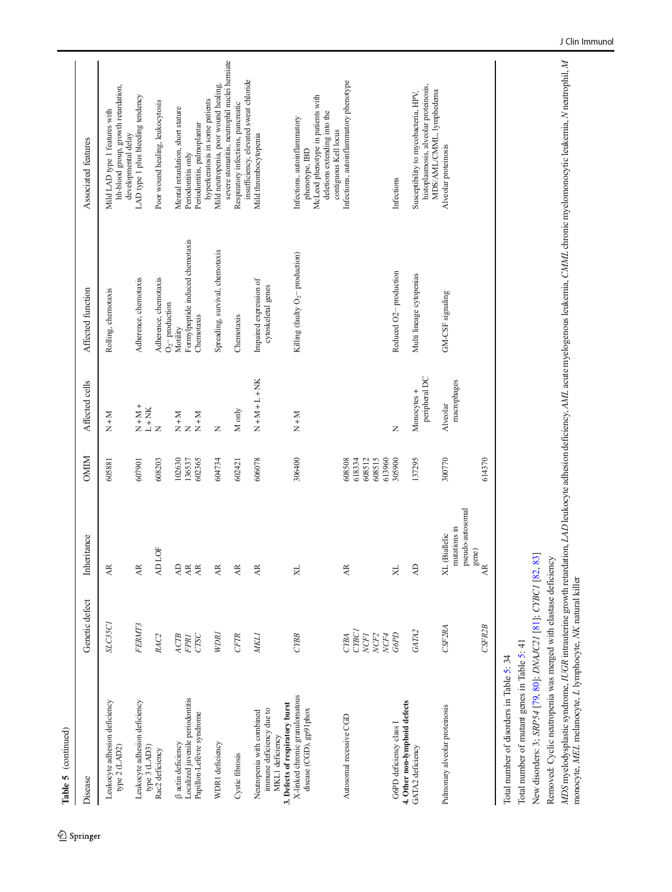| Table 5 (continued)                                                                                         |                                                          |                                                                                                                                                  |                                                |                                                                                                    |                                              |                                                                                                                                              |
|-------------------------------------------------------------------------------------------------------------|----------------------------------------------------------|--------------------------------------------------------------------------------------------------------------------------------------------------|------------------------------------------------|----------------------------------------------------------------------------------------------------|----------------------------------------------|----------------------------------------------------------------------------------------------------------------------------------------------|
| Disease                                                                                                     | Genetic defect                                           | Inheritance                                                                                                                                      | <b>OMIM</b>                                    | Affected cells                                                                                     | Affected function                            | Associated features                                                                                                                          |
| Leukocyte adhesion deficiency<br>type 2 (LAD2)                                                              | SLC35C1                                                  | AR.                                                                                                                                              | 605881                                         | $N + M$                                                                                            | Rolling, chemotaxis                          | hh-blood group, growth retardation,<br>Mild LAD type 1 features with<br>developmental delay                                                  |
| Leukocyte adhesion deficiency<br>type 3 (LAD3)                                                              | FERMT3                                                   | $\overline{\mathbf{A}}$                                                                                                                          | 607901                                         | $\begin{array}{lcl} \displaystyle \frac{1}{N+1}+N+1\\ \displaystyle \frac{1}{N+1}+N+1 \end{array}$ | Adherence, chemotaxis                        | LAD type 1 plus bleeding tendency                                                                                                            |
| Rac2 deficiency                                                                                             | RAC <sub>2</sub>                                         | LOF<br>$\overline{A}$                                                                                                                            | 608203                                         |                                                                                                    | Adherence, chemotaxis<br>$O2$ production     | Poor wound healing, leukocytosis                                                                                                             |
| β actin deficiency                                                                                          | ACTB                                                     | $\overline{A}$                                                                                                                                   | 102630                                         |                                                                                                    | Motility                                     | Mental retardation, short stature                                                                                                            |
| Localized juvenile periodontitis                                                                            | FPR1                                                     | $\overline{AB}$                                                                                                                                  | 136537                                         | $\begin{array}{c}\n\Sigma + N \\ \Sigma + N\n\end{array}$                                          | Formylpeptide induced chemotaxis             | Periodontitis only                                                                                                                           |
| Papillon-Lefèvre syndrome                                                                                   | CTSC                                                     | $\overline{AB}$                                                                                                                                  | 602365                                         |                                                                                                    | Chemotaxis                                   | hyperkeratosis in some patients<br>Periodontitis, palmoplantar                                                                               |
| WDR1 deficiency                                                                                             | WDRI                                                     | AR.                                                                                                                                              | 604734                                         | Z                                                                                                  | Spreading, survival, chemotaxis              | severe stomatitis, neutrophil nuclei herniate<br>Mild neutropenia, poor wound healing,                                                       |
| Cystic fibrosis                                                                                             | <b>CFTR</b>                                              | Æ                                                                                                                                                | 602421                                         | M only                                                                                             | Chemotaxis                                   | insufficiency, elevated sweat chloride<br>Respiratory infections, pancreatic                                                                 |
| 3. Defects of respiratory burst<br>immune deficiency due to<br>Neutropenia with combined<br>MKL1 deficiency | <b>MKL1</b>                                              | AR.                                                                                                                                              | 606078                                         | $N + M + L + NK$                                                                                   | Impaired expression of<br>cytoskeletal genes | Mild thrombocytopenia                                                                                                                        |
| X-linked chronic granulomatous<br>disease (CGD), gp91phox                                                   | <b>CYBB</b>                                              | $\aleph$                                                                                                                                         | 306400                                         | $N + M$                                                                                            | Killing (faulty $O_2$ – production)          | McLeod phenotype in patients with<br>deletions extending into the<br>Infections, autoinflammatory<br>contiguous Kell locus<br>phenotype, IBD |
| Autosomal recessive CGD                                                                                     | CYBC1<br>NCF <sub>2</sub><br>CYBA<br><b>NCFI</b><br>NCF4 | $\overline{AB}$                                                                                                                                  | 608515<br>613960<br>608508<br>618334<br>608512 |                                                                                                    |                                              | Infections, autoinflammatory phenotype                                                                                                       |
| 4. Other non-lymphoid defects<br>G6PD deficiency class I                                                    | G6PD                                                     | $\aleph$                                                                                                                                         | 305900                                         | Z                                                                                                  | Reduced O <sub>2</sub> -production           | Infections                                                                                                                                   |
| GATA2 deficiency                                                                                            | GATA2                                                    | $\overline{A}$                                                                                                                                   | 137295                                         | peripheral DC<br>Monocytes +                                                                       | Multi lineage cytopenias                     | histoplasmosis, alveolar proteinosis,<br>MDS/AML/CMML, lymphedema<br>Susceptibility to mycobacteria, HPV,                                    |
| Pulmonary alveolar proteinosis                                                                              | CSF2RA                                                   | pseudo-autosomal<br>mutations in<br><b>Biallelic</b><br>$_{\mbox{\footnotesize\sc R}}^{\mbox{\footnotesize\sc gene}}$<br>$\overline{\mathbf{X}}$ | 300770                                         | macrophages<br>Alveolar                                                                            | GM-CSF signaling                             | Alveolar proteinosis                                                                                                                         |
|                                                                                                             | CSFR2B                                                   |                                                                                                                                                  | 614370                                         |                                                                                                    |                                              |                                                                                                                                              |

Total number of disorders in Table 5: 34 Total number of disorders in Table [5](#page-22-0): 34

Total number of mutant genes in Table 5: 41 Total number of mutant genes in Table [5](#page-22-0): 41

New disorders: 3; SRP54 [79, 80]; DNAJC21 [81]; CYBC1 [82, 83] New disorders: 3; SRP54 [[79](#page-38-0), [80](#page-38-0)]; DNAJC21 [[81](#page-38-0)]; CYBC1 [\[82](#page-38-0), [83](#page-39-0)]

Removed: Cyclic neutropenia was merged with elastase deficiency Removed: Cyclic neutropenia was merged with elastase deficiency

MDS myelodysplastic syndrome, IUGR intrauterine growth retardation, LAD leukocyte adhesion deficiency, AML acute myelogenous leukemia, CMML chronic myelomonocytic leukemia, N neutrophil, M<br>monocyte, MEL melanocyte, L lymph MDS myelodysplastic syndrome, IUGR intrauterine growth retardation, LAD leukocyte adhesion deficiency, AML acute myelogenous leukemia, CMML chronic myelomonocytic leukemia, N neutrophil, M monocyte, MEL melanocyte, L lymphocyte, NK natural killer

 $\underline{\textcircled{\tiny 2}}$  Springer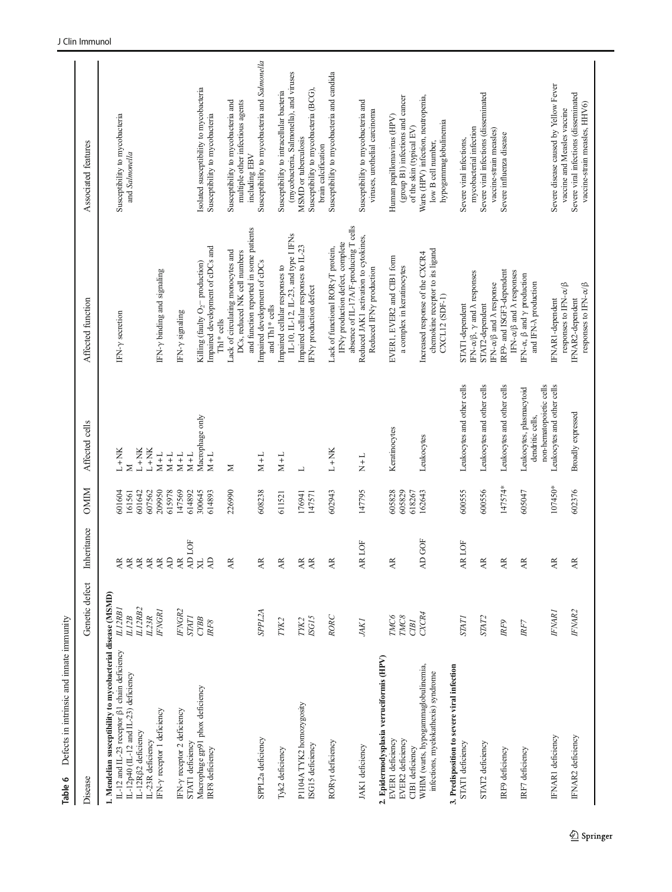<span id="page-24-0"></span>

| Defects in intrinsic and innate immunity<br>Table 6                                                                                                                         |                              |                                                                   |                            |                                                                         |                                                                                                                |                                                                                                                                 |
|-----------------------------------------------------------------------------------------------------------------------------------------------------------------------------|------------------------------|-------------------------------------------------------------------|----------------------------|-------------------------------------------------------------------------|----------------------------------------------------------------------------------------------------------------|---------------------------------------------------------------------------------------------------------------------------------|
| Disease                                                                                                                                                                     | Genetic defect               | Inheritance                                                       | OMIM                       | Affected cells                                                          | Affected function                                                                                              | Associated features                                                                                                             |
| 1. Mendelian susceptibility to mycobacterial disease (MSMD)<br>IL-12 and IL-23 receptor β1 chain deficiency<br>IL-12p40 (IL-12 and IL-23) deficiency<br>IL-12Rβ2 deficiency | ILI2RB2<br>ILI2RBI<br>L12B   | $\overline{\mathcal{A}}$<br>$\overline{\mathcal{A}}$<br>$\rm \AA$ | 601604<br>161561<br>501642 | $L+NK$<br>$L+NK$<br>Σ                                                   | IFN-y secretion                                                                                                | Susceptibility to mycobacteria<br>and Salmonella                                                                                |
| IFN-y receptor 1 deficiency<br>IL-23R deficiency                                                                                                                            | <b>IFNGR1</b><br>IL23R       | $\frac{1}{2}$                                                     | 607562<br>209950           | $L+NK$<br>$M+L$                                                         | IFN- $\gamma$ binding and signaling                                                                            |                                                                                                                                 |
| FN-y receptor 2 deficiency<br>STAT1 deficiency                                                                                                                              | <b>FNGR2</b><br><b>STATI</b> | AD LOF<br>$\Delta \rm D$<br>$\overline{\mathcal{A}}$              | 615978<br>147569<br>614892 | $M+L$<br>$M+L$<br>$M+L$                                                 | IFN-y signaling                                                                                                |                                                                                                                                 |
| Macrophage gp91 phox deficiency<br>IRF8 deficiency                                                                                                                          | CYBB<br>IRF8                 | $\bowtie$<br>$\overline{A}$                                       | 300645<br>614893           | Macrophage only<br>$M+L$                                                | Impaired development of cDCs and<br>Killing (faulty O <sub>2</sub> – production)<br>Th1* cells                 | Isolated susceptibility to mycobacteria<br>Susceptibility to mycobacteria                                                       |
|                                                                                                                                                                             |                              | $\overline{\mathbf{A}}$                                           | 226990                     | Σ                                                                       | and function reported in some patients<br>Lack of circulating monocytes and<br>DCs, reduced NK cell numbers    | Susceptibility to mycobacteria and<br>multiple other infectious agents<br>including EBV                                         |
| SPPL2a deficiency                                                                                                                                                           | SPPL2A                       | $\mathbb{A}^{\mathbb{R}}$                                         | 608238                     | $M+L$                                                                   | Impaired development of cDCs<br>and Th1* cells                                                                 | Susceptibility to mycobacteria and Salmonella                                                                                   |
| Tyk2 deficiency                                                                                                                                                             | TYK2                         | $\overline{AB}$                                                   | 611521                     | $M+L$                                                                   | Impaired cellular responses to                                                                                 | Susceptibility to intracellular bacteria                                                                                        |
| P1104ATYK2 homozygosity<br>ISG15 deficiency                                                                                                                                 | ISG15<br>TYK2                | $\overline{\mathsf{A}}\mathsf{R}$<br>$\overline{\mathbf{A}}$      | 176941<br>147571           | $\overline{\phantom{0}}$                                                | IL-10, IL-12, IL-23, and type I IFNs<br>Impaired cellular responses to IL-23<br>IFNy production defect         | (mycobacteria, Salmonella), and viruses<br>Susceptibility to mycobacteria (BCG),<br>MSMD or tuberculosis<br>brain calcification |
| RORyt deficiency                                                                                                                                                            | RORC                         | $\overline{\mathbf{A}}$                                           | 602943                     | $L+NK$                                                                  | absence of IL-17A/F-producing T cells<br>IFNy production defect, complete<br>Lack of functional RORYT protein, | Susceptibility to mycobacteria and candida                                                                                      |
| JAK1 deficiency                                                                                                                                                             | <b>JAKI</b>                  | AR LOF                                                            | 147795                     | $\frac{1}{X}$                                                           | Reduced JAK1 activation to cytokines,<br>Reduced IFNy production                                               | Susceptibility to mycobacteria and<br>viruses, urothelial carcinoma                                                             |
| 2. Epidermodysplasia verruciformis (HPV)<br>EVER2 deficiency<br>EVER1 deficiency<br>CIB1 deficiency                                                                         | TMC8<br>TMC6<br>CIBI         | $\overline{AB}$                                                   | 605828<br>605829<br>618267 | Keratinocytes                                                           | EVER1, EVER2 and CIB1 form<br>a complex in keratinocytes                                                       | (group B1) infections and cancer<br>Human papillomavirus (HPV)<br>of the skin (typical EV)                                      |
| WHIM (warts, hypogammaglobulinemia,<br>infections, myelokathexis) syndrome                                                                                                  | CXCR4                        | AD GOF                                                            | 162643                     | Leukocytes                                                              | chemokine receptor to its ligand<br>Increased response of the CXCR4<br>CXCL12 (SDF-1)                          | Warts (HPV) infection, neutropenia,<br>hypogammaglobulinemia<br>low B cell number,                                              |
| 3. Predisposition to severe viral infection<br>STAT1 deficiency                                                                                                             | <b>STATI</b>                 | AR LOF                                                            | 600555                     | Leukocytes and other cells                                              | IFN- $\alpha/\beta$ , $\gamma$ and $\lambda$ responses<br>STAT1-dependent                                      | mycobacterial infection<br>Severe viral infections,                                                                             |
| STAT2 deficiency                                                                                                                                                            | STAT <sub>2</sub>            | $\overline{AB}$                                                   | 600556                     | Leukocytes and other cells                                              | IFN-α/β and λ response<br>STAT2-dependent                                                                      | Severe viral infections (disseminated<br>vaccine-strain measles)                                                                |
| IRF9 deficiency                                                                                                                                                             | IRF9                         | $\overline{AB}$                                                   | 147574*                    | Leukocytes and other cells                                              | IRF9- and ISGF3-dependent<br>IFN- $\alpha/\beta$ and $\lambda$ responses                                       | Severe influenza disease                                                                                                        |
| IRF7 deficiency                                                                                                                                                             | RF7                          | $\overline{\mathbf{A}}$                                           | 605047                     | non-hematopoietic cells<br>Leukocytes, plasmacytoid<br>dendritic cells, | IFN-α, β and γ production<br>and IFN-A production                                                              |                                                                                                                                 |
| IFNAR1 deficiency                                                                                                                                                           | <b>IFNARI</b>                | $\overline{\mathbf{A}}\mathbf{R}$                                 | 107450*                    | Leukocytes and other cells                                              | responses to IFN- $\alpha/\beta$<br>IFNAR1-dependent                                                           | Severe disease caused by Yellow Fever<br>vaccine and Measles vaccine                                                            |
| IFNAR2 deficiency                                                                                                                                                           | <b>IFNAR2</b>                | Æ                                                                 | 602376                     | Broadly expressed                                                       | responses to $\text{IFN-}\alpha/\beta$<br>IFNAR2-dependent                                                     | Severe viral infections (disseminated<br>vaccine-strain measles, HHV6)                                                          |
|                                                                                                                                                                             |                              |                                                                   |                            |                                                                         |                                                                                                                |                                                                                                                                 |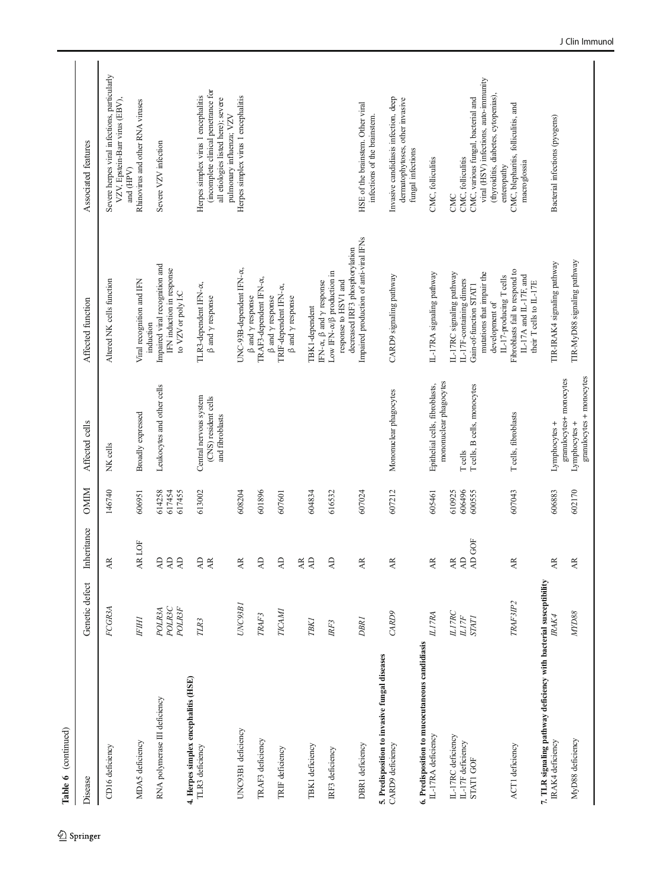| Table 6 (continued)                                                                   |                                                               |                                                                |                            |                                                                         |                                                                                                                                                               |                                                                                                                                                     |
|---------------------------------------------------------------------------------------|---------------------------------------------------------------|----------------------------------------------------------------|----------------------------|-------------------------------------------------------------------------|---------------------------------------------------------------------------------------------------------------------------------------------------------------|-----------------------------------------------------------------------------------------------------------------------------------------------------|
| Disease                                                                               | Genetic defect                                                | Inheritance                                                    | <b>OMIM</b>                | Affected cells                                                          | Affected function                                                                                                                                             | Associated features                                                                                                                                 |
| CD16 deficiency                                                                       | FCGR3A                                                        | $\approx$<br>≺                                                 | 146740                     | NK cells                                                                | Altered NK cells function                                                                                                                                     | Severe herpes viral infections, particularly<br>VZV, Epstein-Barr virus (EBV),<br>and (HPV)                                                         |
| MDA5 deficiency                                                                       | <b>IFIH1</b>                                                  | R LOF<br>≺                                                     | 606951                     | Broadly expressed                                                       | Viral recognition and IFN<br>induction                                                                                                                        | Rhinovirus and other RNA viruses                                                                                                                    |
| RNA polymerase III deficiency                                                         | POLR3C<br><b>POLR3F</b><br><b>POLR3A</b>                      | $\Box$<br>$\Delta$<br>$\Delta \rm D$<br>≺                      | 614258<br>617454<br>617455 | Leukocytes and other cells                                              | Impaired viral recognition and<br>IFN induction in response<br>to VZV or poly I:C                                                                             | Severe VZV infection                                                                                                                                |
| 4. Herpes simplex encephalitis (HSE)<br>TLR3 deficiency                               | TLR3                                                          | $\overline{A}$<br>$\overline{\mathcal{A}}$                     | 613002                     | Central nervous system<br>(CNS) resident cells<br>and fibroblasts       | TLR3-dependent IFN-a,<br>$\beta$ and $\gamma$ response                                                                                                        | (incomplete clinical penetrance for<br>Herpes simplex virus 1 encephalitis<br>all etiologies listed here); severe                                   |
| UNC93B1 deficiency                                                                    | UNC93B1                                                       | $\simeq$<br>≺                                                  | 608204                     |                                                                         | UNC-93B-dependent IFN-a,                                                                                                                                      | Herpes simplex virus 1 encephalitis<br>pulmonary influenza; VZV                                                                                     |
| TRAF3 deficiency                                                                      | TRAF3                                                         | ≏<br>≺                                                         | 601896                     |                                                                         | TRAF3-dependent IFN-a,<br>$\beta$ and $\gamma$ response                                                                                                       |                                                                                                                                                     |
| TRIF deficiency                                                                       | <b>TICAMI</b>                                                 | $\mathsf{R}$                                                   | 607601                     |                                                                         | TRIF-dependent IFN-a,<br>$\upbeta$ and $\upgamma$ response<br>$\upbeta$ and $\upgamma$ response                                                               |                                                                                                                                                     |
| TBK1 deficiency                                                                       | <b>TBK1</b>                                                   | <b>以为</b>                                                      | 604834                     |                                                                         | TBK1-dependent                                                                                                                                                |                                                                                                                                                     |
| IRF3 deficiency                                                                       | IRF3                                                          | $\overline{A}$                                                 | 616532                     |                                                                         | Low IFN- $\alpha$ / $\beta$ production in<br>IFN-α, β and γ response                                                                                          |                                                                                                                                                     |
|                                                                                       |                                                               |                                                                |                            |                                                                         | decreased IRF3 phosphorylation<br>response to HSV1 and                                                                                                        |                                                                                                                                                     |
| DBR1 deficiency                                                                       | <b>DBRI</b>                                                   | ≃<br>≺                                                         | 607024                     |                                                                         | Impaired production of anti-viral IFNs                                                                                                                        | HSE of the brainstem. Other viral<br>infections of the brainstem.                                                                                   |
| 5. Predisposition to invasive fungal diseases<br>CARD9 deficiency                     | CARD9                                                         | $\overrightarrow{AR}$                                          | 607212                     | Mononuclear phagocytes                                                  | CARD9 signaling pathway                                                                                                                                       | Invasive candidiasis infection, deep<br>dermatophytoses, other invasive<br>fungal infections                                                        |
| 6. Predisposition to mucocutaneous candidiasis<br>IL-17RA deficiency                  | <b>ILITRA</b>                                                 | $\simeq$<br>≺                                                  | 605461                     | Epithelial cells, fibroblasts,                                          | IL-17RA signaling pathway                                                                                                                                     | CMC, folliculitis                                                                                                                                   |
| IL-17RC deficiency<br>IL-17F deficiency<br>STATI GOF                                  | <b>ILITRC</b><br><b>ILITF</b><br>$\ensuremath{\mathit{STAT}}$ | $\frac{\text{AD}}{\text{AD GOF}}$<br>$\mathbb{A}^{\mathbb{R}}$ | 606496<br>610925<br>600555 | mononuclear phagocytes<br>T cells, B cells, monocytes<br><b>T</b> cells | IL-17RC signaling pathway<br>IL-17F-containing dimers<br>Gain-of-function STAT1                                                                               | CMC, various fungal, bacterial and<br>CMC, folliculitis<br>CMC                                                                                      |
| ACT1 deficiency                                                                       | TRAF3IP <sub>2</sub>                                          | ≃<br>≺                                                         | 607043                     | T cells, fibroblasts                                                    | Fibroblasts fail to respond to<br>mutations that impair the<br>IL-17A and IL-17F, and<br>IL-17-producing T cells<br>their T cells to IL-17E<br>development of | viral (HSV) infections, auto-immunity<br>(thyroiditis, diabetes, cytopenias),<br>CMC, blepharitis, folliculitis, and<br>macroglossia<br>enteropathy |
| 7. TLR signaling pathway deficiency with bacterial susceptibility<br>IRAK4 deficiency | IRAK4                                                         | $\approx$<br>≺                                                 | 606883                     | Lymphocytes +                                                           | TIR-IRAK4 signaling pathway                                                                                                                                   | Bacterial infections (pyogens)                                                                                                                      |
| MyD88 deficiency                                                                      | MTDS8                                                         | ≃<br>≺                                                         | 602170                     | granulocytes + monocytes<br>granulocytes+ monocytes<br>Lymphocytes +    | TIR-MyD88 signaling pathway                                                                                                                                   |                                                                                                                                                     |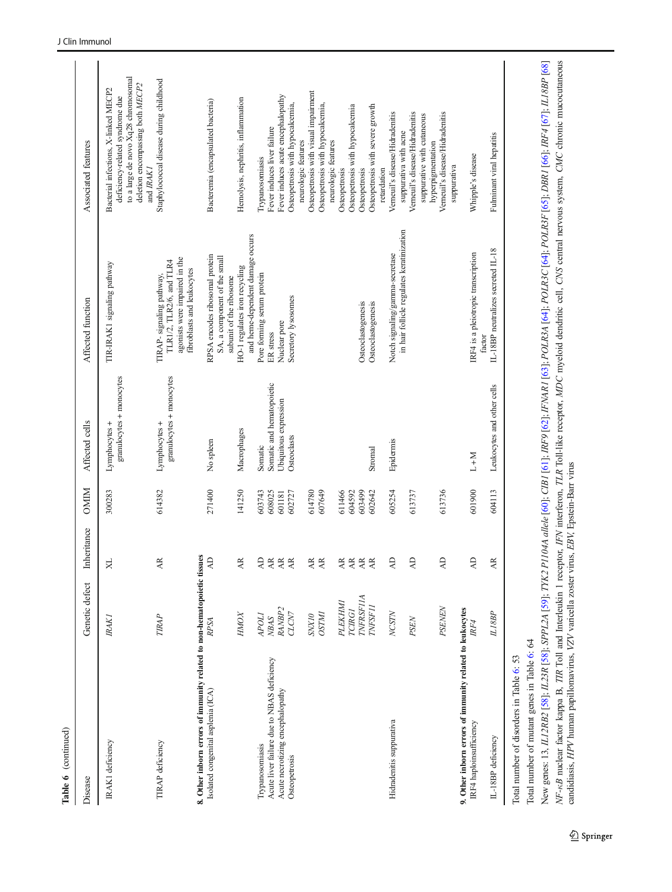| Disease                                                                                                       | Genetic defect                                                 | Inheritance                                                                                              | <b>OMIM</b>                          | Affected cells                            | Affected function                                                                                                    | Associated features                                                                                                                                             |
|---------------------------------------------------------------------------------------------------------------|----------------------------------------------------------------|----------------------------------------------------------------------------------------------------------|--------------------------------------|-------------------------------------------|----------------------------------------------------------------------------------------------------------------------|-----------------------------------------------------------------------------------------------------------------------------------------------------------------|
| <b>IRAK1</b> deficiency                                                                                       | <b>IRAK1</b>                                                   | X                                                                                                        | 300283                               | granulocytes + monocytes<br>Lymphocytes + | TIR-IRAK1 signaling pathway                                                                                          | to a large de novo Xq28 chromosomal<br>deletion encompassing both MECP2<br>Bacterial infections, X-linked MECP2<br>deficiency-related syndrome due<br>and IRAK1 |
| <b>TIRAP</b> deficiency                                                                                       | <b>TIRAP</b>                                                   | AR.                                                                                                      | 614382                               | granulocytes + monocytes<br>Lymphocytes + | agonists were impaired in the<br>TLR1/2, TLR2/6, and TLR4<br>fibroblasts and leukocytes<br>TIRAP- signaling pathway, | Staphylococcal disease during childhood                                                                                                                         |
| 8. Other inborn errors of immunity related to non-hematopoietic tissues<br>Isolated congenital asplenia (ICA) | <b>RPSA</b>                                                    | $\Delta$                                                                                                 | 271400                               | No spleen                                 | RPSA encodes ribosomal protein<br>SA, a component of the small<br>subunit of the ribosome                            | Bacteremia (encapsulated bacteria)                                                                                                                              |
|                                                                                                               | HMOX                                                           | $\overline{AB}$                                                                                          | 141250                               | Macrophages                               | and heme-dependent damage occurs<br>HO-1 regulates iron recycling                                                    | Hemolysis, nephritis, inflammation                                                                                                                              |
| Acute liver failure due to NBAS deficiency<br>Trypanosomiasis                                                 | <b>APOLI</b><br>NBAS                                           | $\overline{A}$<br>$\overline{\mathbf{A}}$                                                                | 603743<br>608025                     | Somatic and hematopoietic<br>Somatic      | Pore forming serum protein<br>ER stress                                                                              | Fever induces liver failure<br>Trypanosomiasis                                                                                                                  |
| Acute necrotizing encephalopathy<br>Osteopetrosis                                                             | RANBP <sub>2</sub><br>CLCN7                                    | $\overline{\mathbb{A}}$<br>$\overline{\mathbb{A}}$                                                       | 601181<br>602727                     | Ubiquitous expression<br>Osteoclasts      | Secretory lysosomes<br>Nuclear pore                                                                                  | Fever induces acute encephalopathy<br>Osteopetrosis with hypocalcemia,<br>neurologic features                                                                   |
|                                                                                                               | <b>OSTM1</b><br>SNXI <sub>0</sub>                              | $\overline{AB}$<br>$\overline{AB}$                                                                       | 614780<br>607649                     |                                           |                                                                                                                      | Osteopetrosis with visual impairment<br>Osteopetrosis with hypocalcemia,                                                                                        |
|                                                                                                               | <b>TNFRSF11A</b><br>PLEKHMI<br><b>TNFSF11</b><br><b>TCIRGI</b> | $\overrightarrow{AR}$<br>$\overline{\mathbf{A}}$<br>$\mathbb{A}^{\mathbb{R}}$<br>$\overline{\mathbf{A}}$ | 611466<br>604592<br>603499<br>602642 | Stromal                                   | Osteoclastogenesis<br>Osteoclastogenesis                                                                             | Osteopetrosis with hypocalcemia<br>Osteopetrosis with severe growth<br>neurologic features<br>Osteopetrosis<br>Osteopetrosis                                    |
| Hidradenitis suppurativa                                                                                      | NCSTN<br>PSEN                                                  | $\overline{A}$<br>$\overline{A}$                                                                         | 605254<br>613737                     | Epidermis                                 | in hair follicle regulates keratinization<br>Notch signaling/gamma-secretase                                         | Verneuil's disease/Hidradenitis<br>Verneuil's disease/Hidradenitis<br>suppurative with cutaneous<br>suppurativa with acne<br>hyperpigmentation<br>retardation   |
| 9. Other inborn errors of immunity related to leukocytes<br>IRF4 haploinsufficiency                           | PSENEN<br>IRF4                                                 | $\overline{A}$<br>$\Delta$                                                                               | 601900<br>613736                     | $L+M$                                     | IRF4 is a pleiotropic transcription                                                                                  | Verneuil's disease/Hidradenitis<br>Whipple's disease<br>suppurativa                                                                                             |
| IL-18BP deficiency                                                                                            | L18BP                                                          | $\overline{AB}$                                                                                          | 604113                               | Leukocytes and other cells                | IL-18BP neutralizes secreted IL-18<br>factor                                                                         | Fulminant viral hepatitis                                                                                                                                       |
| Total number of mutant genes in Table 6: 64<br>Total number of disorders in Table 6: 53                       |                                                                |                                                                                                          |                                      |                                           |                                                                                                                      |                                                                                                                                                                 |

NF-kB nuclear factor kappa B, TIR Toll and Interleukin 1 receptor, IFN interferon, TLR Toll-like receptor, MDC myeloid dendritic cell, CNS central nervous system, CMC chronic mucocutaneous<br>candidiasis, HPV human papillomav New genes: 13, IL12RB2 [58]; IL23R [58]; SPPL2A [59]; TYK2 P1104A allele [60]; CIBI [61]; IRF9 [62]; IFNARI [63]; POLR3A [64]; POLR3C [64]; POLR3F [65]; DBRI [66]; IRF4 [67]; IL18BP [68] NF-<sub>KB</sub> nuclear factor kappa B, TIR Toll and Interleukin 1 receptor, IFN interferon, TLR Toll-like receptor, MDC myeloid dendritic cell, CNS central nervous system, CMC chronic mucocutaneous New genes: 13, *IL12RB2* [[58](#page-38-0)]; *IL23R* [\[58](#page-38-0)]; *SPPL2A* [[59](#page-38-0)]; *TYK2 P1104A allele* [[60](#page-38-0)]; *CIB1* [[61](#page-38-0)]; *IRF9* [[62](#page-38-0)]; *IFNAR1* [[63](#page-38-0)]; *POLR*3A [[64](#page-38-0)]; *POLR3F* [[65](#page-38-0)]; *DBR1* [[66](#page-38-0)]; *IRF4* [[67](#page-38-0)]; *IL18BP* [[68](#page-38-0)] candidiasis, HPV human papillomavirus, VZV varicella zoster virus, EBV, Epstein-Barr virus

Table 6 (continued)

Table 6 (continued)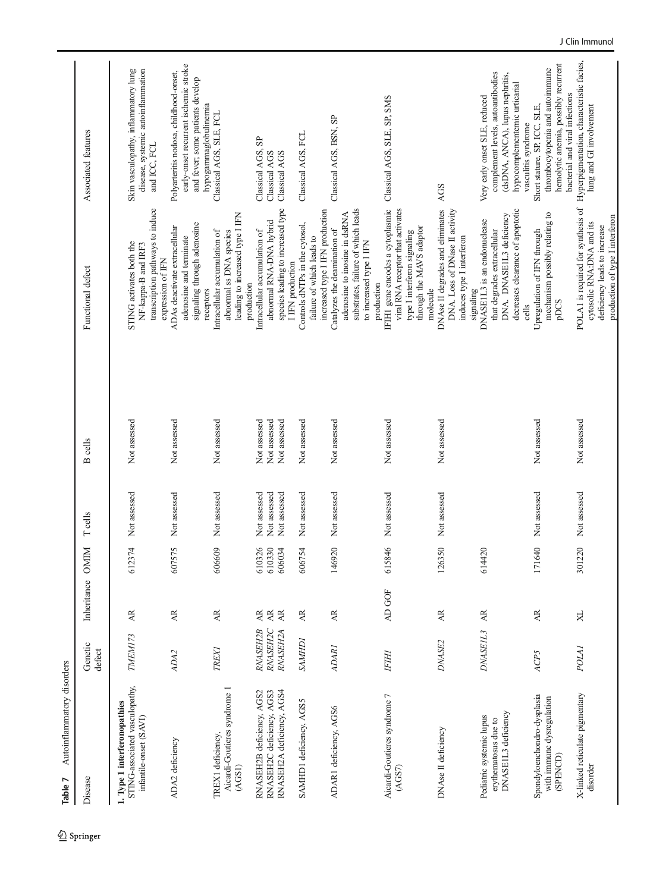<span id="page-27-0"></span>

| Autoinflammatory disorders<br>Table 7                                                    |                                         |                                                           |                            |                                              |                                              |                                                                                                                                                                   |                                                                                                                                        |
|------------------------------------------------------------------------------------------|-----------------------------------------|-----------------------------------------------------------|----------------------------|----------------------------------------------|----------------------------------------------|-------------------------------------------------------------------------------------------------------------------------------------------------------------------|----------------------------------------------------------------------------------------------------------------------------------------|
| Disease                                                                                  | Genetic<br>defect                       | Inheritance                                               | <b>OMIM</b>                | <b>T</b> cells                               | <b>B</b> cells                               | Functional defect                                                                                                                                                 | Associated features                                                                                                                    |
| STING-associated vasculopathy,<br>1. Type 1 interferonopathies<br>infantile-onset (SAVI) | TMEM173                                 | Æ                                                         | 612374                     | Not assessed                                 | Not assessed                                 | transcription pathways to induce<br>STING activates both the<br>NF-kappa-B and IRF3                                                                               | Skin vasculopathy, inflammatory lung<br>disease, systemic autoinflammation<br>and ICC, FCL                                             |
| ADA2 deficiency                                                                          | ADA2                                    | AR                                                        | 607575                     | Not assessed                                 | Not assessed                                 | signaling through adenosine<br>ADAs deactivate extracellular<br>adenosine and terminate<br>expression of IFN                                                      | early-onset recurrent ischemic stroke<br>Polyarteritis nodosa, childhood-onset,<br>and fever; some patients develop                    |
| Aicardi-Goutieres syndrome 1<br>TREX1 deficiency,<br>(AGS1)                              | <b>TREXI</b>                            | AR                                                        | 606609                     | Not assessed                                 | Not assessed                                 | leading to increased type I IFN<br>Intracellular accumulation of<br>abnormal ss DNA species<br>receptors                                                          | hypogammaglobulinemia<br>Classical AGS, SLE, FCL                                                                                       |
| RNASEH2A deficiency, AGS4<br>RNASEH2C deficiency, AGS3<br>RNASEH2B deficiency, AGS2      | <b>RNASEH2C</b><br>RNASEH2B<br>RNASEH2A | <b>AR</b><br>$\overline{\rm AR}$<br>$\overrightarrow{AR}$ | 610326<br>610330<br>606034 | Not assessed<br>Not assessed<br>Not assessed | Not assessed<br>Not assessed<br>Not assessed | species leading to increased type<br>abnormal RNA-DNA hybrid<br>Intracellular accumulation of<br>production                                                       | Classical AGS, SP<br>Classical AGS<br>Classical AGS                                                                                    |
| SAMHD1 deficiency, AGS5                                                                  | <b>IGHNAS</b>                           | Æ                                                         | 606754                     | Not assessed                                 | Not assessed                                 | Controls dNTPs in the cytosol,<br>failure of which leads to<br>I IFN production                                                                                   | Classical AGS, FCL                                                                                                                     |
| ADAR1 deficiency, AGS6                                                                   | <b>ADARI</b>                            | $\overline{\mathbf{A}}$                                   | 146920                     | Not assessed                                 | Not assessed                                 | substrates, failure of which leads<br>increased type I IFN production<br>adenosine to inosine in dsRNA<br>Catalyzes the deamination of<br>to increased type I IFN | Classical AGS, BSN, SP                                                                                                                 |
| Aicardi-Goutieres syndrome 7<br>(AGST)                                                   | <b>FIHI</b>                             | AD GOF                                                    | 615846                     | Not assessed                                 | Not assessed                                 | IFIH1 gene encodes a cytoplasmic<br>viral RNA receptor that activates<br>through the MAVS adaptor<br>type I interferon signaling<br>production                    | Classical AGS, SLE, SP, SMS                                                                                                            |
| DNAse II deficiency                                                                      | DNASE <sub>2</sub>                      | AR.                                                       | 126350                     | Not assessed                                 | Not assessed                                 | DNAse II degrades and eliminates<br>DNA. Loss of DNase II activity<br>induces type I interferon<br>molecule                                                       | AGS                                                                                                                                    |
| DNASEIL3 deficiency<br>Pediatric systemic lupus<br>erythematosus due to                  | DNASEIL3                                | Æ                                                         | 614420                     |                                              |                                              | decreases clearance of apoptotic<br>DNA. DNASE1L3 deficiency<br>DNASEIL3 is an endonuclease<br>that degrades extracellular<br>signaling                           | complement levels, autoantibodies<br>(dsDNA, ANCA), lupus nephritis,<br>hypocomplementemic urticarial<br>Very early onset SLE, reduced |
| Spondyloenchondro-dysplasia<br>with immune dysregulation<br>(SPENCD)                     | ACP5                                    | AR.                                                       | 1640<br>$\overline{17}$    | Not assessed                                 | Not assessed                                 | mechanism possibly relating to<br>Upregulation of IFN through<br>pDCS<br>cells                                                                                    | hemolytic anemia, possibly recurrent<br>thrombocytopenia and autoimmune<br>Short stature, SP, ICC, SLE,<br>vasculitis syndrome         |
| X-linked reticulate pigmentary<br>disorder                                               | POLA <sub>I</sub>                       | $\times$                                                  | 301220                     | Not assessed                                 | Not assessed                                 | POLA1 is required for synthesis of<br>production of type I interferon<br>cytosolic RNA:DNA and its<br>deficiency leads to increase                                | Hyperpigmentation, characteristic facies,<br>bacterial and viral infections<br>lung and GI involvement                                 |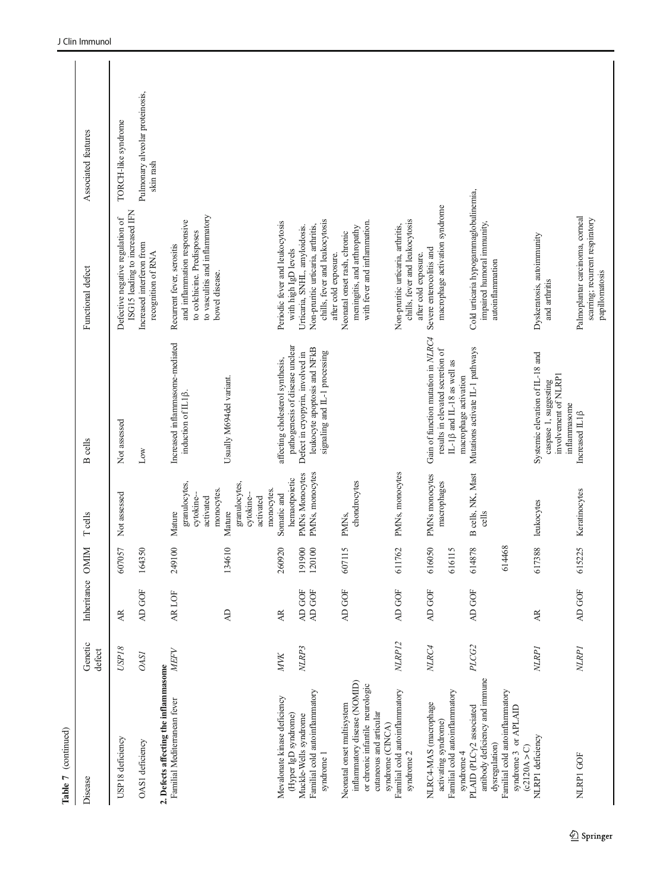| Table 7 (continued)                                                   |                   |                |                         |                                                   |                                                                                  |                                                                                                                           |                                              |
|-----------------------------------------------------------------------|-------------------|----------------|-------------------------|---------------------------------------------------|----------------------------------------------------------------------------------|---------------------------------------------------------------------------------------------------------------------------|----------------------------------------------|
| Disease                                                               | Genetic<br>defect | Inheritance    | Z<br>DNI                | <b>T</b> cells                                    | cells<br>$\mathbf{r}$                                                            | Functional defect                                                                                                         | Associated features                          |
| USP18 deficiency                                                      | $USP18$           | Æ              | 607057                  | Not assessed                                      | Not assessed                                                                     | ISG15 leading to increased IFN<br>Defective negative regulation of                                                        | TORCH-like syndrome                          |
| OAS1 deficiency                                                       | <b>OASI</b>       | AD GOF         | 164350                  |                                                   | Low                                                                              | Increased interferon from<br>recognition of RNA                                                                           | Pulmonary alveolar proteinosis,<br>skin rash |
| 2. Defects affecting the inflammasome<br>Familial Mediterranean fever | <b>MEFV</b>       | AR LOF         | 249100                  |                                                   | Increased inflammasome-mediated                                                  |                                                                                                                           |                                              |
|                                                                       |                   |                |                         | granulocytes,<br>cytokine-<br>activated<br>Mature | induction of IL1 <sup>[2]</sup> .                                                | to vasculitis and inflammatory<br>and inflammation responsive<br>to colchicine. Predisposes<br>Recurrent fever, serositis |                                              |
|                                                                       |                   | $\overline{A}$ | 134610                  | monocytes.<br>Mature                              | Usually M694del variant.                                                         | bowel disease.                                                                                                            |                                              |
|                                                                       |                   |                |                         | granulocytes,<br>cytokine-<br>activated           |                                                                                  |                                                                                                                           |                                              |
| Mevalonate kinase deficiency                                          | <b>MVK</b>        | AR             | 260920                  | monocytes.<br>Somatic and                         | affecting cholesterol synthesis,                                                 | Periodic fever and leukocytosis                                                                                           |                                              |
| (Hyper IgD syndrome)                                                  |                   |                |                         | hemaotpoietic                                     | pathogenesis of disease unclear                                                  | with high IgD levels                                                                                                      |                                              |
| Muckle-Wells syndrome                                                 | NLRP3             | AD GOF         | 191900                  | <b>PMNs Monocytes</b>                             | Defect in cryopyrin, involved in                                                 | Urticaria, SNHL, amyloidosis.                                                                                             |                                              |
| Familial cold autoinflammatory<br>syndrome 1                          |                   | AD GOF         | 120100                  | PMNs, monocytes                                   | leukocyte apoptosis and NFkB<br>signaling and IL-1 processing                    | chills, fever and leukocytosis<br>Non-pruritic urticaria, arthritis,                                                      |                                              |
|                                                                       |                   |                |                         |                                                   |                                                                                  | after cold exposure.                                                                                                      |                                              |
| inflammatory disease (NOMID)<br>Neonatal onset multisystem            |                   | AD GOF         | 607115                  | chondrocytes<br>PMN <sub>S</sub>                  |                                                                                  | meningitis, and arthropathy<br>Neonatal onset rash, chronic                                                               |                                              |
| or chronic infantile neurologic                                       |                   |                |                         |                                                   |                                                                                  | with fever and inflammation.                                                                                              |                                              |
| cutaneous and articular<br>syndrome (CINCA)                           |                   |                |                         |                                                   |                                                                                  |                                                                                                                           |                                              |
| Familial cold autoinflammatory<br>syndrome $2$                        | NLRP12            | AD GOF         | 611762                  | PMNs, monocytes                                   |                                                                                  | chills, fever and leukocytosis<br>Non-pruritic urticaria, arthritis,                                                      |                                              |
| NLRC4-MAS (macrophage                                                 | NLRC4             | AD GOF         | 616050                  | PMNs monocytes                                    | Gain of function mutation in NLRC4                                               | Severe enterocolitis and<br>after cold exposure.                                                                          |                                              |
| activating syndrome)                                                  |                   |                |                         | macrophages                                       | results in elevated secretion of                                                 | macrophage activation syndrome                                                                                            |                                              |
| Familial cold autoinflammatory<br>syndrome 4                          |                   |                | $\overline{15}$<br>6161 |                                                   | $IL-1\beta$ and $IL-18$ as well as<br>macrophage activation                      |                                                                                                                           |                                              |
| PLAID (PLCy2 associated                                               | PLCG2             | AD GOF         | 614878                  | B cells, NK, Mast                                 | Mutations activate IL-1 pathways                                                 | Cold urticaria hypogammaglobulinemia,                                                                                     |                                              |
| antibody deficiency and immune<br>dysregulation)                      |                   |                |                         | cells                                             |                                                                                  | impaired humoral immunity,<br>autoinflammation                                                                            |                                              |
| Familial cold autoinflammatory<br>syndrome 3 or APLAID<br>(2120A > C) |                   |                | 614468                  |                                                   |                                                                                  |                                                                                                                           |                                              |
| NLRP1 deficiency                                                      | NLRP <sub>I</sub> | Æ              | 617388                  | leukocytes                                        | Systemic elevation of IL-18 and<br>involvement of NLRP1<br>caspase 1, suggesting | Dyskeratosis, autoimmunity<br>and arthritis                                                                               |                                              |
| NLRPI GOF                                                             | <b>NLRPI</b>      | AD GOF         | 615225                  | Keratinocytes                                     | inflammasome<br>Increased $IL1\beta$                                             | Palmoplantar carcinoma, corneal<br>scarring; recurrent respiratory<br>papillomatosis                                      |                                              |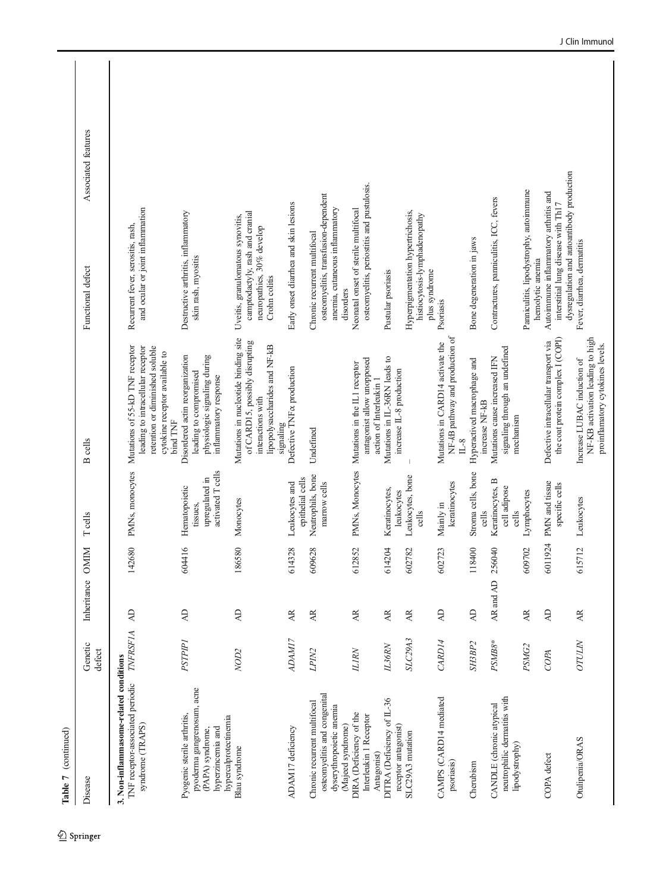| Table 7 (continued)                                                                                                         |                   |                |                            |                                                                  |                                                                                                                                                       |                                                                                                                           |                     |
|-----------------------------------------------------------------------------------------------------------------------------|-------------------|----------------|----------------------------|------------------------------------------------------------------|-------------------------------------------------------------------------------------------------------------------------------------------------------|---------------------------------------------------------------------------------------------------------------------------|---------------------|
| Disease                                                                                                                     | Genetic<br>defect | Inheritance    | $\mathbb N$<br>$_{\rm NO}$ | <b>T</b> cells                                                   | cells<br>$\mathbf{\Omega}$                                                                                                                            | Functional defect                                                                                                         | Associated features |
| 3. Non-inflammasome-related conditions<br>TNF receptor-associated periodic<br>syndrome (TRAPS)                              | <b>TNFRSF1A</b>   | $\overline{A}$ | 142680                     | PMNs, monocytes                                                  | Mutations of 55-kD TNF receptor<br>retention or diminished soluble<br>leading to intracellular receptor<br>cytokine receptor available to<br>bind TNF | and ocular or joint inflammation<br>Recurrent fever, serositis, rash,                                                     |                     |
| pyoderma gangrenosum, acne<br>Pyogenic sterile arthritis,<br>hypercalprotectinemia<br>hyperzincemia and<br>(PAPA) syndrome, | <b>PSTPIP1</b>    | $\overline{A}$ | 604416                     | activated T cells<br>upregulated in<br>Hematopoietic<br>tissues, | Disordered actin reorganization<br>physiologic signaling during<br>leading to compromised<br>inflammatory response                                    | Destructive arthritis, inflammatory<br>skin rash, myositis                                                                |                     |
| Blau syndrome                                                                                                               | NOD <sub>2</sub>  | $\overline{A}$ | 580<br>1865                | Monocytes                                                        | Mutations in nucleotide binding site<br>of CARD15, possibly disrupting<br>lipopolysaccharides and NF-kB<br>interactions with<br>signaling             | camptodactyly, rash and cranial<br>Uveitis, granulomatous synovitis,<br>neuropathies, 30% develop<br>Crohn colitis        |                     |
| ADAM17 deficiency                                                                                                           | ADAM17            | AR             | 528<br>6143                | epithelial cells<br>Leukocytes and                               | Defective TNF & production                                                                                                                            | Early onset diarrhea and skin lesions                                                                                     |                     |
| osteomyelitis and congenital<br>Chronic recurrent multifocal<br>dyserythropoietic anemia<br>(Majeed syndrome)               | LPIN <sub>2</sub> | AR             | 609628                     | Neutrophils, bone<br>marrow cells                                | Undefined                                                                                                                                             | osteomyelitis, transfusion-dependent<br>anemia, cutaneous inflammatory<br>Chronic recurent multifocal<br>disorders        |                     |
| DIRA (Deficiency of the<br>Interleukin 1 Receptor<br>Antagonist)                                                            | <b>ILIRN</b>      | AR             | 52<br>6128                 | PMNs, Monocytes                                                  | antagonist allow unopposed<br>Mutations in the IL1 receptor<br>action of Interleukin 1                                                                | osteomyelitis, periostitis and pustulosis.<br>Neonatal onset of sterile multifocal                                        |                     |
| DITRA (Deficiency of IL-36<br>receptor antagonist)                                                                          | <b>IL36RN</b>     | <b>AR</b>      | 614204                     | Keratinocytes,<br>leukocytes                                     | Mutations in IL-36RN leads to<br>increase IL-8 production                                                                                             | Pustular psoriasis                                                                                                        |                     |
| SLC29A3 mutation                                                                                                            | SLC29A3           | $A$ R          | 82<br>6027                 | Leukocytes, bone<br>cells                                        |                                                                                                                                                       | Hyperpigmentation hypertrichosis,<br>histiocytosis-lymphadenopathy<br>plus syndrome                                       |                     |
| CAMPS (CARD14 mediated<br>psoriasis)                                                                                        | CARD14            | $\overline{A}$ | 723<br>6027                | keratinocytes<br>Mainly in                                       | NF-kB pathway and production of<br>Mutations in CARD14 activate the<br>$L-8$                                                                          | Psoriasis                                                                                                                 |                     |
| Cherubism                                                                                                                   | SH3BP2            | $\overline{A}$ | $\odot$<br>1184            | Stroma cells, bone<br>cells                                      | Hyperactived macrophage and<br>increase NF-kB                                                                                                         | Bone degeneration in jaws                                                                                                 |                     |
| neutrophilic dermatitis with<br>CANDLE (chronic atypical<br>lipodystrophy)                                                  | PSMB8*            | AR and AD      | 256040                     | Keratinocytes, B<br>cell adipose<br>cells                        | signaling through an undefined<br>Mutations cause increased IFN<br>mechanism                                                                          | Contractures, panniculitis, ICC, fevers                                                                                   |                     |
|                                                                                                                             | PSMG2             | AR             | 20 <sub>1</sub><br>6097    | Lymphocytes                                                      |                                                                                                                                                       | Panniculitis, lipodystrophy, autoimmune<br>hemolytic anemia                                                               |                     |
| COPA defect                                                                                                                 | COPA              | $\overline{A}$ | 924<br>6011                | PMN and tissue<br>specific cells                                 | the coat protein complex I (COPI)<br>Defective intracellular transport via                                                                            | dysregulation and autoantibody production<br>Autoimmune inflammatory arthritis and<br>interstitial lung disease with Th17 |                     |
| Otulipenia/ORAS                                                                                                             | <b>OTULIN</b>     | AR.            | 615712                     | Leukocytes                                                       | NF-KB activation leading to high<br>proinflamatory cytokines levels.<br>Increase LUBAC induction of                                                   | Fever, diarrhea, dermatitis                                                                                               |                     |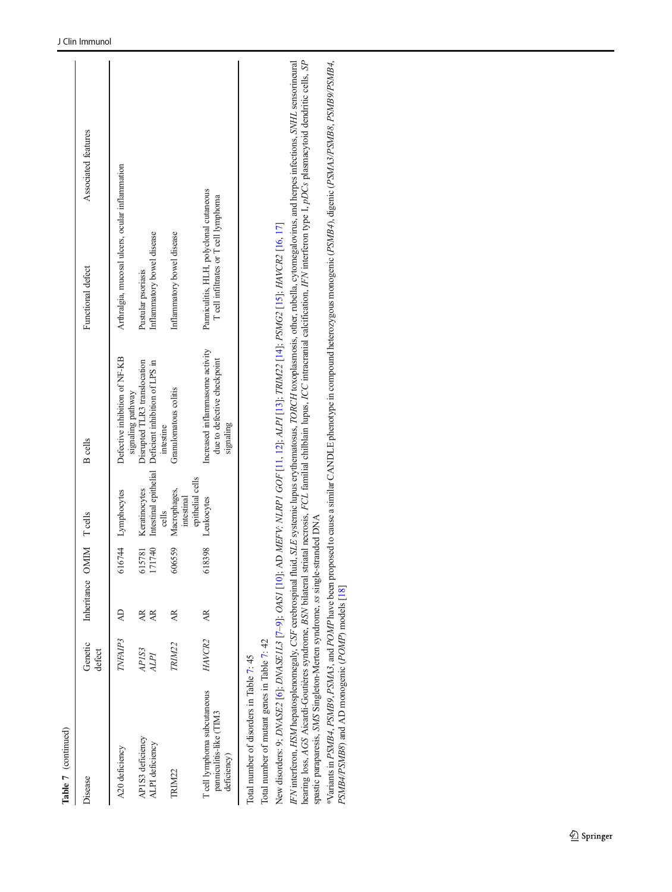| Table 7 (continued)                                                                                                                                                                                                       |                   |                         |                  |                                                 |                                                                                                                                           |                                                                                                                                                                                                                                                                                                                                                                                                                                                                                                                                                                                                     |                     |
|---------------------------------------------------------------------------------------------------------------------------------------------------------------------------------------------------------------------------|-------------------|-------------------------|------------------|-------------------------------------------------|-------------------------------------------------------------------------------------------------------------------------------------------|-----------------------------------------------------------------------------------------------------------------------------------------------------------------------------------------------------------------------------------------------------------------------------------------------------------------------------------------------------------------------------------------------------------------------------------------------------------------------------------------------------------------------------------------------------------------------------------------------------|---------------------|
| Disease                                                                                                                                                                                                                   | Genetic<br>defect | Inheritance OMIM Teells |                  |                                                 | <b>B</b> cells                                                                                                                            | Functional defect                                                                                                                                                                                                                                                                                                                                                                                                                                                                                                                                                                                   | Associated features |
| A20 deficiency                                                                                                                                                                                                            | TNFAIP3           | Æ                       |                  | 616744 Lymphocytes                              | Defective inhibition of NF-KB                                                                                                             | Arthralgia, mucosal ulcers, ocular inflammation                                                                                                                                                                                                                                                                                                                                                                                                                                                                                                                                                     |                     |
| APIS3 deficiency<br>ALPI deficiency                                                                                                                                                                                       | APIS3<br>ALPI     | Æ<br>AR.                | 171740<br>615781 | Intestinal epithelial<br>Keratinocytes<br>cells | Disrupted TLR3 translocation<br>Deficient inhibition of LPS in<br>signaling pathway<br>intestine                                          | Inflammatory bowel disease<br>Pustular psoriasis                                                                                                                                                                                                                                                                                                                                                                                                                                                                                                                                                    |                     |
| TRIM22                                                                                                                                                                                                                    | TRIM22            | AR.                     | 606559           | Macrophages,<br>intestinal                      | Granulomatous colitis                                                                                                                     | Inflammatory bowel disease                                                                                                                                                                                                                                                                                                                                                                                                                                                                                                                                                                          |                     |
| T cell lymphoma subcutaneous<br>panniculitis-like (TIM3<br>deficiency)                                                                                                                                                    | HAVCR2            | Æ                       | 618398           | epithelial cells<br>Leukocytes                  | Increased inflammasome activity<br>due to defective checkpoint<br>signaling                                                               | Panniculitis, HLH, polyclonal cutaneous<br>T cell infiltrates or T cell lymphoma                                                                                                                                                                                                                                                                                                                                                                                                                                                                                                                    |                     |
| spastic paraparesis, SMS Singleton-Merten syndrome, ss single-stranded DNA<br>PSMB4/PSMB8) and AD monogenic (POMP) models [18]<br>Total number of mutant genes in Table 7: 42<br>Total number of disorders in Table 7: 45 |                   |                         |                  |                                                 | New disorders: 9; DNASE2 [6]; DNASE1L3 [7-9]; OASY [10]; AD MEFV; NLRPI GOF [11, 12]; ALPI [13]; TRIM22 [14]; PSMG2 [15]; HAVCR2 [16, 17] | hearing loss, AGS Aicardi-Goutières syndrome, BSN bilateral striatal necrosis, FCL familial chilblain lupus, ICC intracranial calcification, IFN interferon type I, pDCs plasmacytoid dendritic cells, SP<br>*Variants in PSMB4, PSMB9, PSMA3, and POMP have been proposed to cause a similar CANDLE phenotype in compound heterozygous monogenic (PSMB4), digenic (PSMA3/PSMB8, PSMB9/PSMB4,<br>IFN interferon, HSM hepatosplenomegaly, CSF cerebrospinal fluid, SLE systemic lupus erythematosus, TORCH toxoplasmosis, other, rubella, cytomegalovirus, and herpes infections, SNHL sensorineural |                     |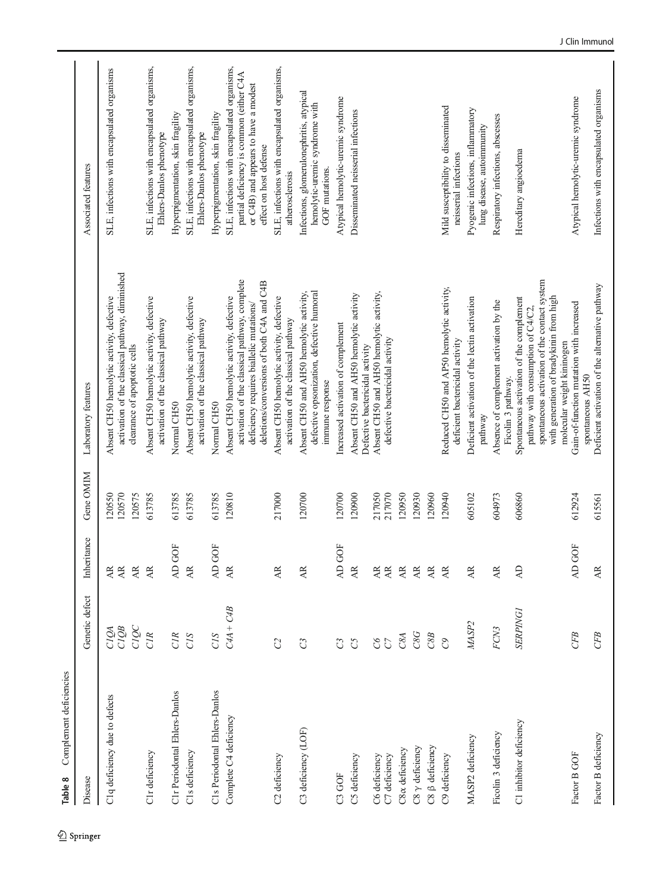<span id="page-31-0"></span>

| Complement deficiencies<br>Table 8 |                      |                                                             |                            |                                                                                                                                                                                     |                                                                                                                                                            |
|------------------------------------|----------------------|-------------------------------------------------------------|----------------------------|-------------------------------------------------------------------------------------------------------------------------------------------------------------------------------------|------------------------------------------------------------------------------------------------------------------------------------------------------------|
| Disease                            | Genetic defect       | Inheritance                                                 | Gene OMIM                  | Laboratory features                                                                                                                                                                 | Associated features                                                                                                                                        |
| C1q deficiency due to defects      | CIQC<br>CIQB<br>CIQA | <b>AR</b><br>$\overline{\mathbf{A}}\mathbf{R}$<br><b>AR</b> | 120570<br>120575<br>120550 | activation of the classical pathway, diminished<br>Absent CH50 hemolytic activity, defective<br>clearance of apoptotic cells                                                        | SLE, infections with encapsulated organisms                                                                                                                |
| C1r deficiency                     | <b>CIR</b>           | <b>AR</b>                                                   | 613785                     | Absent CH50 hemolytic activity, defective<br>activation of the classical pathway                                                                                                    | SLE, infections with encapsulated organisms,<br>Ehlers-Danlos phenotype                                                                                    |
| C1r Periodontal Ehlers-Danlos      | <b>CIR</b>           | GOF<br>$\overline{A}$                                       | 613785                     | Normal CH50                                                                                                                                                                         | Hyperpigmentation, skin fragility                                                                                                                          |
| C1s deficiency                     | CIS                  | <b>AR</b>                                                   | 613785                     | Absent CH50 hemolytic activity, defective<br>activation of the classical pathway                                                                                                    | SLE, infections with encapsulated organisms,<br>Ehlers-Danlos phenotype                                                                                    |
| C1s Periodontal Ehlers-Danlos      | CIS                  | GOF<br>$\overline{A}$                                       | 613785                     | Normal CH50                                                                                                                                                                         | Hyperpigmentation, skin fragility                                                                                                                          |
| Complete C4 deficiency             | $C4A + C4B$          | <b>AR</b>                                                   | 120810                     | activation of the classical pathway, complete<br>deletions/conversions of both C4A and C4B<br>Absent CH50 hemolytic activity, defective<br>deficiency requires biallelic mutations/ | SLE, infections with encapsulated organisms,<br>partial deficiency is common (either C4A<br>or C4B) and appears to have a modest<br>effect on host defense |
| C <sub>2</sub> deficiency          | $\mathbb{C}^2$       | AR.                                                         | 217000                     | Absent CH50 hemolytic activity, defective<br>activation of the classical pathway                                                                                                    | SLE, infections with encapsulated organisms,<br>atherosclerosis                                                                                            |
| C3 deficiency (LOF)                | $\mathbb{C}^3$       | AR.                                                         | 120700                     | defective opsonization, defective humoral<br>Absent CH50 and AH50 hemolytic activity,<br>immune response                                                                            | Infections, glomerulonephritis, atypical<br>hemolytic-uremic syndrome with<br>GOF mutations.                                                               |
| C3 GOF                             | $\mathbb{C}^3$       | GOF<br>$\overline{A}$                                       | 120700                     | Increased activation of complement                                                                                                                                                  | Atypical hemolytic-uremic syndrome                                                                                                                         |
| C5 deficiency                      | $\mathcal{C}$        | <b>AR</b>                                                   | 120900                     | Absent CH50 and AH50 hemolytic activity<br>Defective bactericidal activity                                                                                                          | Disseminated neisserial infections                                                                                                                         |
| C6 deficiency                      | $\mathcal{G}$        | <b>AR</b>                                                   | 217050                     | Absent CH50 and AH50 hemolytic activity,                                                                                                                                            |                                                                                                                                                            |
| C7 deficiency                      | $\mathcal{C}$        | $\overline{\mathbf{A}}\mathbf{R}$                           | 217070                     | defective bactericidal activity                                                                                                                                                     |                                                                                                                                                            |
| C8x deficiency                     | C8A                  | $\overline{\mathsf{AR}}$                                    | 120950                     |                                                                                                                                                                                     |                                                                                                                                                            |
| $CS \gamma$ deficiency             | C8G                  | $\overline{\mathsf{AR}}$                                    | 120930                     |                                                                                                                                                                                     |                                                                                                                                                            |
| C8 ß deficiency                    | C8B                  | <b>AR</b>                                                   | 120960                     |                                                                                                                                                                                     |                                                                                                                                                            |
| C9 deficiency                      | $\mathcal{O}$        | <b>AR</b>                                                   | 120940                     | Reduced CH50 and AP50 hemolytic activity,<br>deficient bactericidal activity                                                                                                        | Mild susceptibility to disseminated<br>neisserial infections                                                                                               |
| MASP2 deficiency                   | MASP <sub>2</sub>    | <b>AR</b>                                                   | 605102                     | Deficient activation of the lectin activation<br>pathway                                                                                                                            | Pyogenic infections, inflammatory<br>lung disease, autoimmunity                                                                                            |
| Ficolin 3 deficiency               | FCN3                 | AR.                                                         | 604973                     | Absence of complement activation by the<br>Ficolin 3 pathway.                                                                                                                       | Respiratory infections, abscesses                                                                                                                          |
| C1 inhibitor deficiency            | <b>SERPING1</b>      | $\overline{A}$                                              | 606860                     | spontaneous activation of the contact system<br>with generation of bradykinin from high<br>Spontaneous activation of the complement<br>pathway with consumption of C4/C2,           | Hereditary angioedema                                                                                                                                      |
| Factor B GOF                       | CFB                  | GOF<br>$\overline{A}$                                       | 612924                     | Gain-of-function mutation with increased<br>molecular weight kininogen                                                                                                              | Atypical hemolytic-uremic syndrome                                                                                                                         |
| Factor B deficiency                | CFB                  | <b>AR</b>                                                   | 615561                     | Deficient activation of the alternative pathway<br>spontaneous AH50                                                                                                                 | Infections with encapsulated organisms                                                                                                                     |

 $\underline{\textcircled{\tiny 2}}$  Springer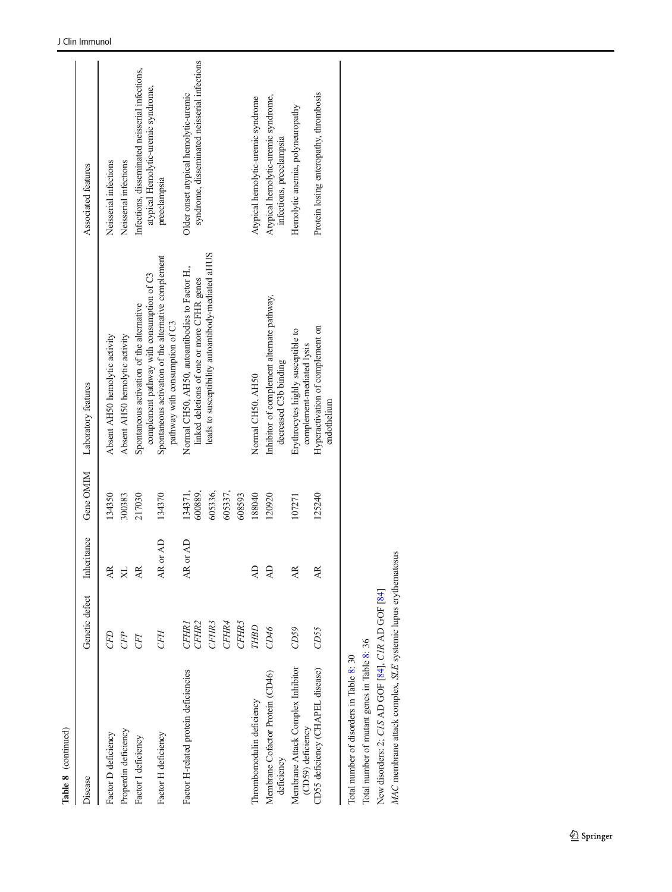| Disease                                                       | Genetic defect                    | tance<br>Inheri         | Gene OMIM          | Laboratory features                                                                           | Associated features                                                                    |
|---------------------------------------------------------------|-----------------------------------|-------------------------|--------------------|-----------------------------------------------------------------------------------------------|----------------------------------------------------------------------------------------|
| Factor D deficiency                                           | CFD                               | AR                      | 134350             | Absent AH50 hemolytic activity                                                                | Neisserial infections                                                                  |
| Properdin deficiency                                          | <b>CFP</b>                        | X                       | 300383             | Absent AH50 hemolytic activity                                                                | Neisserial infections                                                                  |
| Factor I deficiency                                           | <b>CFI</b>                        | AR                      | 217030             | complement pathway with consumption of C3<br>Spontaneous activation of the alternative        | Infections, disseminated neisserial infections,<br>atypical Hemolytic-uremic syndrome, |
| Factor H deficiency                                           | <b>CFH</b>                        | $\overline{A}$<br>AR or | 134370             | Spontaneous activation of the alternative complement<br>pathway with consumption of C3        | preeclampsia                                                                           |
| Factor H-related protein deficiencies                         | CFHR <sub>2</sub><br><b>CFHR1</b> | $\overline{A}$<br>AR or | 134371,<br>600889, | Normal CH50, AH50, autoantibodies to Factor H.,<br>linked deletions of one or more CFHR genes | syndrome, disseminated neisserial infections<br>Older onset atypical hemolytic-uremic  |
|                                                               | CFHR3                             |                         | 605336,            | leads to susceptibility autoantibody-mediated aHUS                                            |                                                                                        |
|                                                               | CFHR4                             |                         | 605337,            |                                                                                               |                                                                                        |
|                                                               | <b>CFHR5</b>                      |                         | 608593             |                                                                                               |                                                                                        |
| Thrombomodulin deficiency                                     | THBD                              | $\overline{AD}$         | 188040             | Normal CH50, AH50                                                                             | Atypical hemolytic-uremic syndrome                                                     |
| Membrane Cofactor Protein (CD46)<br>deficiency                | CD46                              | $\overline{A}$          | 120920             | Inhibitor of complement alternate pathway,<br>decreased C3b binding                           | Atypical hemolytic-uremic syndrome,<br>infections, preeclampsia                        |
| Membrane Attack Complex Inhibitor<br>(CD59) deficiency        | CD59                              | AR                      | 107271             | Erythrocytes highly susceptible to<br>complement-mediated lysis                               | Hemolytic anemia, polyneuropathy                                                       |
| CD55 deficiency (CHAPEL disease)                              | CD55                              | AR.                     | 125240             | Hyperactivation of complement on<br>endothelium                                               | Protein losing enteropathy, thrombosis                                                 |
| Total number of disorders in Table 8: 30                      |                                   |                         |                    |                                                                                               |                                                                                        |
| Total number of mutant genes in Table 8: 36                   |                                   |                         |                    |                                                                                               |                                                                                        |
| New disorders: 2; CIS AD GOF [84], CIR AD GOF [84]            |                                   |                         |                    |                                                                                               |                                                                                        |
|                                                               |                                   |                         |                    |                                                                                               |                                                                                        |
| MAC membrane attack complex, SLE systemic lupus erythematosus |                                   |                         |                    |                                                                                               |                                                                                        |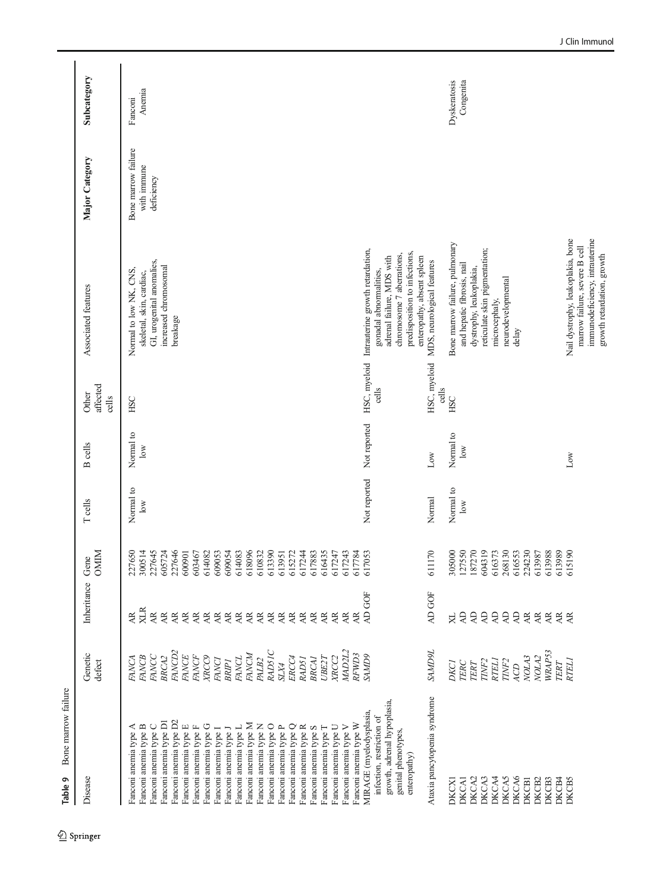<span id="page-33-0"></span>

| Bone marrow failure<br>Table 9                                                                                                                                                                                                                                                                                                                                                                                                                                                                                                              |                                                                                                                                                                                                                                                                             |                                                                                                                                                                                                                                                                                          |                                                                                                                                                                                                         |                                               |                                                                    |                            |                                                                                                                                                                                                                                                                                                                                                                                                                                                                                                                                                               |                                                  |                           |
|---------------------------------------------------------------------------------------------------------------------------------------------------------------------------------------------------------------------------------------------------------------------------------------------------------------------------------------------------------------------------------------------------------------------------------------------------------------------------------------------------------------------------------------------|-----------------------------------------------------------------------------------------------------------------------------------------------------------------------------------------------------------------------------------------------------------------------------|------------------------------------------------------------------------------------------------------------------------------------------------------------------------------------------------------------------------------------------------------------------------------------------|---------------------------------------------------------------------------------------------------------------------------------------------------------------------------------------------------------|-----------------------------------------------|--------------------------------------------------------------------|----------------------------|---------------------------------------------------------------------------------------------------------------------------------------------------------------------------------------------------------------------------------------------------------------------------------------------------------------------------------------------------------------------------------------------------------------------------------------------------------------------------------------------------------------------------------------------------------------|--------------------------------------------------|---------------------------|
| Disease                                                                                                                                                                                                                                                                                                                                                                                                                                                                                                                                     | Genetic<br>defect                                                                                                                                                                                                                                                           | Inheritance                                                                                                                                                                                                                                                                              | $\frac{1}{\text{Gen}}$                                                                                                                                                                                  | <b>T</b> cells                                | cells<br>$\mathbf{z}$                                              | affected<br>Other<br>cells | Associated features                                                                                                                                                                                                                                                                                                                                                                                                                                                                                                                                           | Major Category                                   | Subcategory               |
| Fanconi anemia type D2<br>Fanconi anemia type D1<br>Fanconi anemia type M<br>Fanconi anemia type C<br>Fanconi anemia type N<br>Fanconi anemia type B<br>Fanconi anemia type G<br>Fanconi anemia type E<br>Fanconi anemia type O<br>Fanconi anemia type Q<br>Fanconi anemia type U<br>Fanconi anemia type V<br>Fanconi anemia type A<br>Fanconi anemia type P<br>Fanconi anemia type R<br>Fanconi anemia type T<br>Fanconi anemia type F<br>Fanconi anemia type L<br>Fanconi anemia type S<br>Fanconi anemia type I<br>Fanconi anemia type J | RADSIC<br>MAD2L2<br>FANCD <sub>2</sub><br>FANCM<br>FANCC<br><b>FANCE</b><br>FANCF<br><b>XRCC9</b><br>XRCC <sub>2</sub><br><b>FANCB</b><br>BRCA2<br><b>FANCL</b><br>ERCC4<br><b>UBE2T</b><br>PALB2<br><b>BRCAI</b><br>FANCA<br><b>FANCI</b><br>RAD51<br><b>BRIPI</b><br>SLX4 | XLR<br>$\overline{\mathbf{A}}$<br>$\overrightarrow{AR}$<br>$\overrightarrow{AR}$<br>$\overline{AB}$<br>$\overline{\mathbf{A}}\mathbf{R}$<br>AR.<br>$\overline{AB}$<br>AR.<br>Æ<br>Æ<br>$\overline{\mathbf{A}}$<br>AE<br>AR<br>AR<br>AR.<br>AR<br>AR<br>AE<br>$\overline{A}$<br>$\approx$ | 227650<br>3005145<br>30057246<br>3057246<br>60090<br>618096<br>613390<br>603467<br>614082<br>609053<br>609054<br>614083<br>610832<br>617244<br>617883<br>616435<br>617243<br>613951<br>615272<br>617247 | Normal to<br>10W                              | Normal to<br>$\overline{\text{low}}$                               | ESC                        | GI, urogenital anomalies,<br>increased chromosomal<br>Normal to low NK, CNS,<br>skeletal, skin, cardiac,<br>breakage                                                                                                                                                                                                                                                                                                                                                                                                                                          | Bone marrow failure<br>with immune<br>deficiency | Anemia<br>Fanconi         |
| Ataxia pancytopenia syndrome<br>growth, adrenal hypoplasia,<br>MIRAGE (myelodysplasia,<br>infection, restriction of<br>Fanconi anemia type W<br>genital phenotypes,<br>enteropathy)<br><b>DKCA5</b><br>DKCA2<br>DKCA3<br>DKCA4<br>DKCA6<br>DKCB1<br>DKCB2<br>DKCB3<br>DKCB4<br>DKCB5<br><b>DKCX1</b><br><b>DKCA1</b>                                                                                                                                                                                                                        | <b>TGUVYS</b><br>WRAP53<br>RFWD3<br><b>GUVVS</b><br>NOLA <sub>2</sub><br>NOLA3<br>RTEL1<br>RTEL <sub>I</sub><br>TINF <sub>2</sub><br>TINF <sub>2</sub><br><b>DKCI</b><br>TERC<br>TERT<br><b>TERT</b><br>ACD                                                                 | AD GOF<br>AD GOF<br>$\overline{A}$<br>$\overline{A}$<br>$\overline{A}$<br>$\overline{A}$<br>$\overline{A}$<br>$\overline{A}$<br>$\overline{AB}$<br>$\overline{\mathbf{A}}\mathbf{R}$<br>$\mathbb A$<br>$\overline{AB}$<br>$\overline{AB}$<br>Æ<br>$\boxtimes$                            | 1170<br>305000<br>127550<br>187270<br>604319<br>616373<br>268130<br>224230<br>616553<br>613988<br>613989<br>615190<br>617784<br>617053<br>613987<br>$\mathfrak{S}$                                      | Not reported<br>Normal to<br>Normal<br>$\log$ | Not reported<br>Normal to<br>$\overline{\text{low}}$<br>Low<br>Low | cells<br>cells<br>HSC      | Nail dystrophy, leukoplakia, bone<br>immunodeficiency, intrauterine<br>Bone marrow failure, pulmonary<br>narrow failure, severe B cell<br>reticulate skin pigmentation;<br>HSC, myeloid Intrauterine growth retardation,<br>predisposition to infections,<br>chromosome 7 aberrations,<br>growth retardation, growth<br>enteropathy, absent spleen<br>adrenal failure, MDS with<br>HSC, myeloid MDS, neurological features<br>and hepatic fibrosis, nail<br>dystrophy, leukoplakia,<br>gonadal abnormalities,<br>neurodevelopmental<br>microcephaly,<br>delay |                                                  | Congenita<br>Dyskeratosis |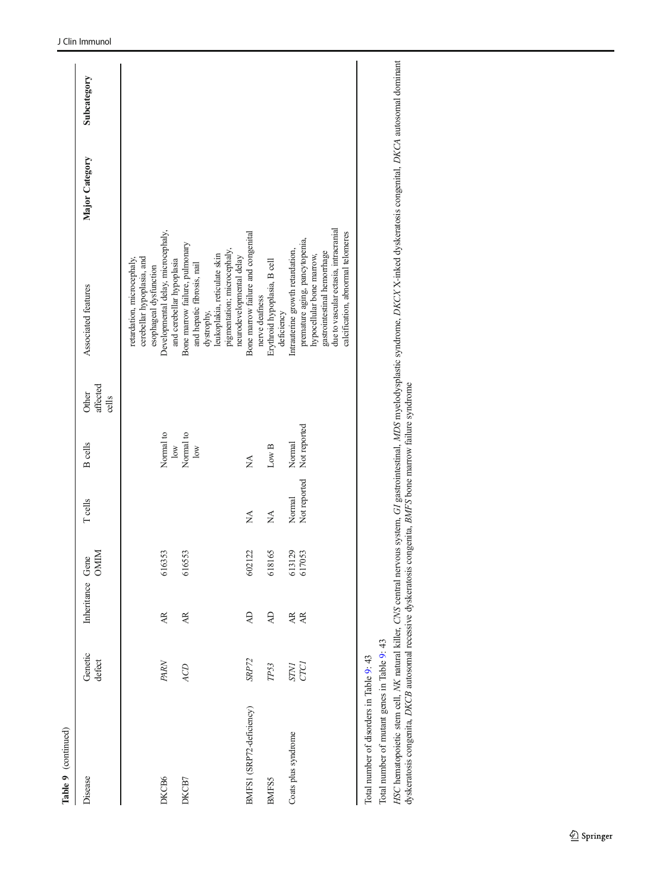| Table 9 (continued)                      |                     |                  |                  |                        |                                      |                            |                                                                                                                                                                                                              |                |             |
|------------------------------------------|---------------------|------------------|------------------|------------------------|--------------------------------------|----------------------------|--------------------------------------------------------------------------------------------------------------------------------------------------------------------------------------------------------------|----------------|-------------|
| Disease                                  | Genetic<br>defect   | Inheritance Gene | <b>OMIM</b>      | <b>T</b> cells         | <b>B</b> cells                       | affected<br>Other<br>cells | Associated features                                                                                                                                                                                          | Major Category | Subcategory |
|                                          |                     |                  |                  |                        |                                      |                            | cerebellar hypoplasia, and<br>retardation, microcephaly,<br>esophageal dysfunction                                                                                                                           |                |             |
| DKCB6                                    | PARN                | AR.              | 616353           |                        | Normal to<br>$\overline{\text{low}}$ |                            | Developmental delay, microcephaly,<br>and cerebellar hypoplasia                                                                                                                                              |                |             |
| DKCB7                                    | ACD                 | AR.              | 616553           |                        | Normal to<br>$\overline{\text{low}}$ |                            | Bone marrow failure, pulmonary<br>and hepatic fibrosis, nail                                                                                                                                                 |                |             |
|                                          |                     |                  |                  |                        |                                      |                            | pigmentation; microcephaly,<br>leukoplakia, reticulate skin<br>dystrophy,                                                                                                                                    |                |             |
| BMFS1 (SRP72-deficiency)                 | SRP72               | $\overline{A}$   | 1122<br>602      | Ž                      | Ź                                    |                            | Bone marrow failure and congenital<br>neurodevelopmental delay                                                                                                                                               |                |             |
| <b>BMFS5</b>                             | TP53                | $\overline{A}$   | 618165           | Ź                      | Low B                                |                            | Erythroid hypoplasia, B cell<br>nerve deafness<br>deficiency                                                                                                                                                 |                |             |
| Coats plus syndrome                      | <b>STNI</b><br>CTCI | AR<br>AR         | 613129<br>617053 | Not reported<br>Normal | Not reported<br>Normal               |                            | due to vascular ectasia, intracranial<br>calcification, abnormal telomeres<br>premature aging, pancytopenia,<br>Intrauterine growth retardation,<br>gastrointestinal hemorrhage<br>hypocellular bone marrow, |                |             |
| Total number of disorders in Table 9: 43 |                     |                  |                  |                        |                                      |                            |                                                                                                                                                                                                              |                |             |

Total number of mutant genes in Table 9: 43 Total number of mutant genes in Table [9](#page-33-0): 43

HSC hematopoietic stem cell, NK natural killer, CNS central nervous system, GI gastrointestinal, MDS myelodysplastic syndrome, DKCX X-inked dyskeratosis congenital, DKCA autosomal dominant<br>dyskeratosis congenita, DKCB auto HSC hematopoietic stem cell, NK natural killer, CNS central nervous system, GI gastrointestinal, MDS myelodysplastic syndrome, DKCX X-inked dyskeratosis congenital, DKCA autosomal dominant dyskeratosis congenita, DKCB autosomal recessive dyskeratosis congenita, BMFS bone marrow failure syndrome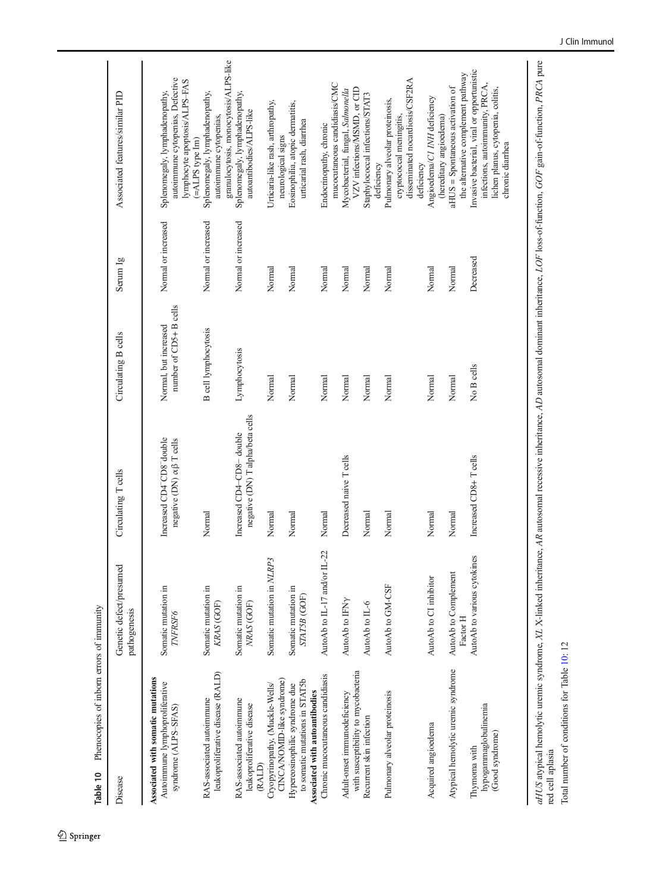| and la course.       | i |
|----------------------|---|
| $\ddot{\phantom{a}}$ |   |
| homooning            |   |
|                      |   |

<span id="page-35-0"></span>

| Phenocopies of inborn errors of immunity<br>Table 10                                               |                                         |                                                                                           |                                                 |                     |                                                                                                                                         |
|----------------------------------------------------------------------------------------------------|-----------------------------------------|-------------------------------------------------------------------------------------------|-------------------------------------------------|---------------------|-----------------------------------------------------------------------------------------------------------------------------------------|
| Disease                                                                                            | Genetic defect/presumed<br>pathogenesis | Circulating T cells                                                                       | Circulating B cells                             | Serum Ig            | Associated features/similar PID                                                                                                         |
| Associated with somatic mutations<br>Autoimmune lymphoproliferative<br>syndrome (ALPS-SFAS)        | Somatic mutation in<br>TNFRSF6          | Increased CD4 <sup>-</sup> CD8 <sup>-</sup> double<br>negative (DN) $\alpha\beta$ T cells | number of CD5+ B cells<br>Normal, but increased | Normal or increased | autoimmune cytopenias, Defective<br>lymphocyte apoptosis/ALPS-FAS<br>Splenomegaly, lymphadenopathy,                                     |
| leukoproliferative disease (RALD)<br>RAS-associated autoimmune                                     | Somatic mutation in<br>KRAS (GOF)       | Normal                                                                                    | <b>B</b> cell lymphocytosis                     | Normal or increased | granulocytosis, monocytosis/ALPS-like<br>Splenomegaly, lymphadenopathy,<br>autoimmune cytopenias,<br>$(=\Delta LPS$ type $Im)$          |
| RAS-associated autoimmune<br>leukoproliferative disease<br>(RALD)                                  | Somatic mutation in<br>NRAS (GOF)       | negative (DN) T alpha/beta cells<br>Increased CD4-CD8-double                              | Lymphocytosis                                   | Normal or increased | Splenomegaly, lymphadenopathy,<br>autoantibodies/ALPS-like                                                                              |
| CINCA/NOMID-like syndrome)<br>Cryopyrinopathy, (Muckle-Wells/                                      | Somatic mutation in NLRP3               | Normal                                                                                    | Normal                                          | Normal              | Urticaria-like rash, arthropathy,<br>neurological signs                                                                                 |
| to somatic mutations in STAT5b<br>Hypereosinophilic syndrome due<br>Associated with autoantibodies | Somatic mutation in<br>STAT5B (GOF)     | Normal                                                                                    | Normal                                          | Normal              | Eosinophilia, atopic dermatitis,<br>urticarial rash, diarrhea                                                                           |
| Chronic mucocutaneous candidiasis                                                                  | AutoAb to L-17 and/or L-22              | Normal                                                                                    | Normal                                          | Normal              | mucocutaneous candidiasis/CMC<br>Endocrinopathy, chronic                                                                                |
| with susceptibility to mycobacteria<br>Adult-onset immunodeficiency                                | AutoAb to IFNy                          | Decreased naive T cells                                                                   | Normal                                          | Normal              | VZV infections/MSMD, or CID<br>Mycobacterial, fungal, Salmonella                                                                        |
| Recurrent skin infection                                                                           | AutoAb to IL-6                          | Normal                                                                                    | Normal                                          | Normal              | Staphylococcal infections/STAT3<br>deficiency                                                                                           |
| Pulmonary alveolar proteinosis                                                                     | AutoAb to GM-CSF                        | Normal                                                                                    | Normal                                          | Normal              | disseminated nocardiosis/CSF2RA<br>Pulmonary alveolar proteinosis,<br>cryptococcal meningitis,<br>deficiency                            |
| Acquired angioedema                                                                                | AutoAb to CI inhibitor                  | Normal                                                                                    | Normal                                          | Normal              | Angioedema/C1 INH deficiency<br>(hereditary angioedema)                                                                                 |
| Atypical hemolytic uremic syndrome                                                                 | AutoAb to Complement<br>Factor H        | Normal                                                                                    | Normal                                          | Normal              | the alternative complement pathway<br>aHUS = Spontaneous activation of                                                                  |
| hypogammaglobulinemia<br>(Good syndrome)<br>Thymoma with                                           | AutoAb to various cytokines             | Increased CD8+Tcells                                                                      | No B cells                                      | Decreased           | Invasive bacterial, viral or opportunistic<br>infections, autoimmunity, PRCA,<br>lichen planus, cytopenia, colitis,<br>chronic diarrhea |

aHUS atypical hemolytic uremic syndrome, XL X-linked inheritance, AR autosomal recessive inheritance, AD autosomal dominant inheritance, LOF loss-of-function, GOF gain-of-function, PRCA pure<br>red cell aplasia aHUS atypical hemolytic uremic syndrome, XL X-linked inheritance, AR autosomal recessive inheritance, AD autosomal dominant inheritance, LOF loss-of-function, GOF gain-of-function, PRCA pure Total number of conditions for Table 10:12 Total number of conditions for Table 10: 12 red cell aplasia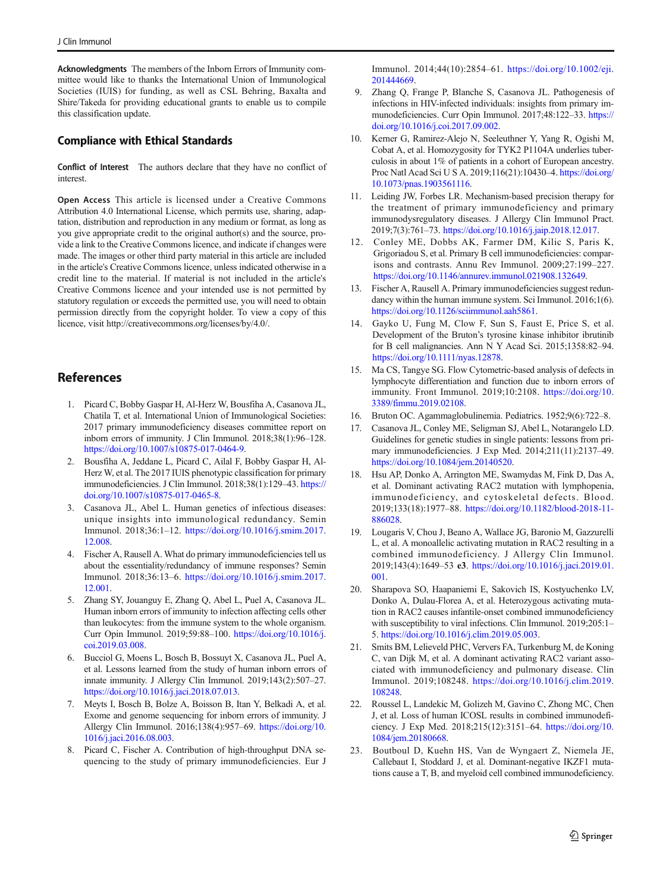<span id="page-36-0"></span>Acknowledgments The members of the Inborn Errors of Immunity committee would like to thanks the International Union of Immunological Societies (IUIS) for funding, as well as CSL Behring, Baxalta and Shire/Takeda for providing educational grants to enable us to compile this classification update.

#### Compliance with Ethical Standards

Conflict of Interest The authors declare that they have no conflict of interest.

Open Access This article is licensed under a Creative Commons Attribution 4.0 International License, which permits use, sharing, adaptation, distribution and reproduction in any medium or format, as long as you give appropriate credit to the original author(s) and the source, provide a link to the Creative Commons licence, and indicate if changes were made. The images or other third party material in this article are included in the article's Creative Commons licence, unless indicated otherwise in a credit line to the material. If material is not included in the article's Creative Commons licence and your intended use is not permitted by statutory regulation or exceeds the permitted use, you will need to obtain permission directly from the copyright holder. To view a copy of this licence, visit http://creativecommons.org/licenses/by/4.0/.

### References

- 1. Picard C, Bobby Gaspar H, Al-Herz W, Bousfiha A, Casanova JL, Chatila T, et al. International Union of Immunological Societies: 2017 primary immunodeficiency diseases committee report on inborn errors of immunity. J Clin Immunol. 2018;38(1):96–128. <https://doi.org/10.1007/s10875-017-0464-9>.
- 2. Bousfiha A, Jeddane L, Picard C, Ailal F, Bobby Gaspar H, Al-Herz W, et al. The 2017 IUIS phenotypic classification for primary immunodeficiencies. J Clin Immunol. 2018;38(1):129–43. [https://](https://doi.org/10.1007/s10875-017-0465-8) [doi.org/10.1007/s10875-017-0465-8.](https://doi.org/10.1007/s10875-017-0465-8)
- 3. Casanova JL, Abel L. Human genetics of infectious diseases: unique insights into immunological redundancy. Semin Immunol. 2018;36:1–12. [https://doi.org/10.1016/j.smim.2017.](https://doi.org/10.1016/j.smim.2017.12.008) [12.008](https://doi.org/10.1016/j.smim.2017.12.008).
- 4. Fischer A, Rausell A. What do primary immunodeficiencies tell us about the essentiality/redundancy of immune responses? Semin Immunol. 2018;36:13–6. [https://doi.org/10.1016/j.smim.2017.](https://doi.org/10.1016/j.smim.2017.12.001) [12.001](https://doi.org/10.1016/j.smim.2017.12.001).
- 5. Zhang SY, Jouanguy E, Zhang Q, Abel L, Puel A, Casanova JL. Human inborn errors of immunity to infection affecting cells other than leukocytes: from the immune system to the whole organism. Curr Opin Immunol. 2019;59:88–100. [https://doi.org/10.1016/j.](https://doi.org/10.1016/j.coi.2019.03.008) [coi.2019.03.008.](https://doi.org/10.1016/j.coi.2019.03.008)
- 6. Bucciol G, Moens L, Bosch B, Bossuyt X, Casanova JL, Puel A, et al. Lessons learned from the study of human inborn errors of innate immunity. J Allergy Clin Immunol. 2019;143(2):507–27. [https://doi.org/10.1016/j.jaci.2018.07.013.](https://doi.org/10.1016/j.jaci.2018.07.013)
- 7. Meyts I, Bosch B, Bolze A, Boisson B, Itan Y, Belkadi A, et al. Exome and genome sequencing for inborn errors of immunity. J Allergy Clin Immunol. 2016;138(4):957–69. [https://doi.org/10.](https://doi.org/10.1016/j.jaci.2016.08.003) [1016/j.jaci.2016.08.003](https://doi.org/10.1016/j.jaci.2016.08.003).
- 8. Picard C, Fischer A. Contribution of high-throughput DNA sequencing to the study of primary immunodeficiencies. Eur J

Immunol. 2014;44(10):2854–61. [https://doi.org/10.1002/eji.](https://doi.org/10.1002/eji.201444669) [201444669.](https://doi.org/10.1002/eji.201444669)

- 9. Zhang Q, Frange P, Blanche S, Casanova JL. Pathogenesis of infections in HIV-infected individuals: insights from primary immunodeficiencies. Curr Opin Immunol. 2017;48:122–33. [https://](https://doi.org/10.1016/j.coi.2017.09.002) [doi.org/10.1016/j.coi.2017.09.002.](https://doi.org/10.1016/j.coi.2017.09.002)
- 10. Kerner G, Ramirez-Alejo N, Seeleuthner Y, Yang R, Ogishi M, Cobat A, et al. Homozygosity for TYK2 P1104A underlies tuberculosis in about 1% of patients in a cohort of European ancestry. Proc Natl Acad Sci U S A. 2019;116(21):10430–4. [https://doi.org/](https://doi.org/10.1073/pnas.1903561116) [10.1073/pnas.1903561116](https://doi.org/10.1073/pnas.1903561116).
- 11. Leiding JW, Forbes LR. Mechanism-based precision therapy for the treatment of primary immunodeficiency and primary immunodysregulatory diseases. J Allergy Clin Immunol Pract. 2019;7(3):761–73. <https://doi.org/10.1016/j.jaip.2018.12.017>.
- 12. Conley ME, Dobbs AK, Farmer DM, Kilic S, Paris K, Grigoriadou S, et al. Primary B cell immunodeficiencies: comparisons and contrasts. Annu Rev Immunol. 2009;27:199–227. [https://doi.org/10.1146/annurev.immunol.021908.132649.](https://doi.org/10.1146/annurev.immunol.021908.132649)
- 13. Fischer A, Rausell A. Primary immunodeficiencies suggest redundancy within the human immune system. Sci Immunol. 2016;1(6). [https://doi.org/10.1126/sciimmunol.aah5861.](https://doi.org/10.1126/sciimmunol.aah5861)
- 14. Gayko U, Fung M, Clow F, Sun S, Faust E, Price S, et al. Development of the Bruton's tyrosine kinase inhibitor ibrutinib for B cell malignancies. Ann N Y Acad Sci. 2015;1358:82–94. <https://doi.org/10.1111/nyas.12878>.
- 15. Ma CS, Tangye SG. Flow Cytometric-based analysis of defects in lymphocyte differentiation and function due to inborn errors of immunity. Front Immunol. 2019;10:2108. [https://doi.org/10.](https://doi.org/10.3389/fimmu.2019.02108) [3389/fimmu.2019.02108](https://doi.org/10.3389/fimmu.2019.02108).
- 16. Bruton OC. Agammaglobulinemia. Pediatrics. 1952;9(6):722–8.
- 17. Casanova JL, Conley ME, Seligman SJ, Abel L, Notarangelo LD. Guidelines for genetic studies in single patients: lessons from primary immunodeficiencies. J Exp Med. 2014;211(11):2137–49. [https://doi.org/10.1084/jem.20140520.](https://doi.org/10.1084/jem.20140520)
- 18. Hsu AP, Donko A, Arrington ME, Swamydas M, Fink D, Das A, et al. Dominant activating RAC2 mutation with lymphopenia, immunodeficiency, and cytoskeletal defects. Blood. 2019;133(18):1977–88. [https://doi.org/10.1182/blood-2018-11-](https://doi.org/10.1182/blood-2018-11-886028) [886028](https://doi.org/10.1182/blood-2018-11-886028).
- 19. Lougaris V, Chou J, Beano A, Wallace JG, Baronio M, Gazzurelli L, et al. A monoallelic activating mutation in RAC2 resulting in a combined immunodeficiency. J Allergy Clin Immunol. 2019;143(4):1649–53 e3. [https://doi.org/10.1016/j.jaci.2019.01.](https://doi.org/10.1016/j.jaci.2019.01.001) [001.](https://doi.org/10.1016/j.jaci.2019.01.001)
- 20. Sharapova SO, Haapaniemi E, Sakovich IS, Kostyuchenko LV, Donko A, Dulau-Florea A, et al. Heterozygous activating mutation in RAC2 causes infantile-onset combined immunodeficiency with susceptibility to viral infections. Clin Immunol. 2019;205:1– 5. [https://doi.org/10.1016/j.clim.2019.05.003.](https://doi.org/10.1016/j.clim.2019.05.003)
- 21. Smits BM, Lelieveld PHC, Ververs FA, Turkenburg M, de Koning C, van Dijk M, et al. A dominant activating RAC2 variant associated with immunodeficiency and pulmonary disease. Clin Immunol. 2019;108248. [https://doi.org/10.1016/j.clim.2019.](https://doi.org/10.1016/j.clim.2019.108248) [108248](https://doi.org/10.1016/j.clim.2019.108248).
- 22. Roussel L, Landekic M, Golizeh M, Gavino C, Zhong MC, Chen J, et al. Loss of human ICOSL results in combined immunodeficiency. J Exp Med. 2018;215(12):3151–64. [https://doi.org/10.](https://doi.org/10.1084/jem.20180668) [1084/jem.20180668.](https://doi.org/10.1084/jem.20180668)
- 23. Boutboul D, Kuehn HS, Van de Wyngaert Z, Niemela JE, Callebaut I, Stoddard J, et al. Dominant-negative IKZF1 mutations cause a T, B, and myeloid cell combined immunodeficiency.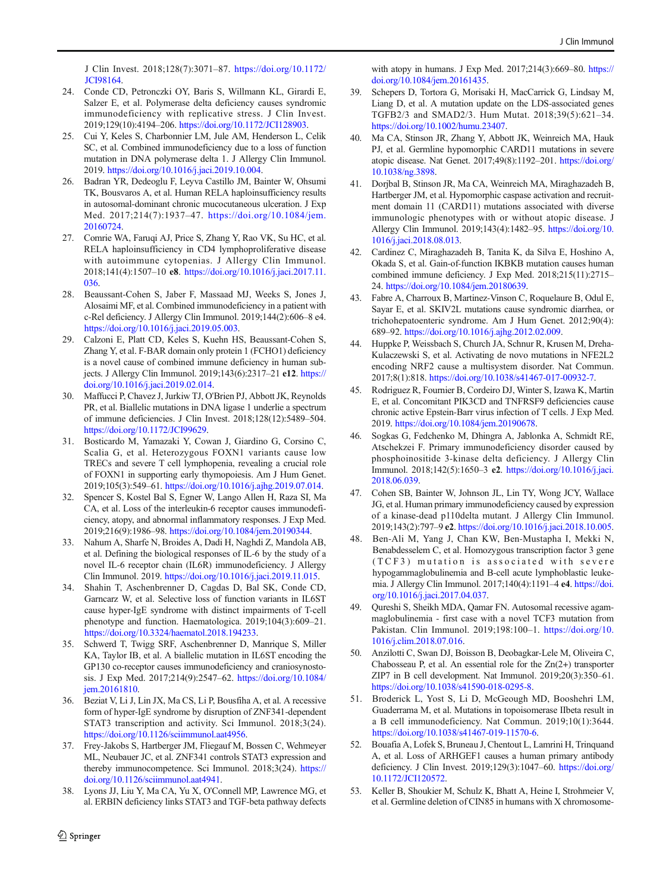<span id="page-37-0"></span>J Clin Invest. 2018;128(7):3071–87. [https://doi.org/10.1172/](https://doi.org/10.1172/JCI98164) [JCI98164](https://doi.org/10.1172/JCI98164).

- 24. Conde CD, Petronczki OY, Baris S, Willmann KL, Girardi E, Salzer E, et al. Polymerase delta deficiency causes syndromic immunodeficiency with replicative stress. J Clin Invest. 2019;129(10):4194–206. [https://doi.org/10.1172/JCI128903.](https://doi.org/10.1172/JCI128903)
- 25. Cui Y, Keles S, Charbonnier LM, Jule AM, Henderson L, Celik SC, et al. Combined immunodeficiency due to a loss of function mutation in DNA polymerase delta 1. J Allergy Clin Immunol. 2019. <https://doi.org/10.1016/j.jaci.2019.10.004>.
- 26. Badran YR, Dedeoglu F, Leyva Castillo JM, Bainter W, Ohsumi TK, Bousvaros A, et al. Human RELA haploinsufficiency results in autosomal-dominant chronic mucocutaneous ulceration. J Exp Med. 2017;214(7):1937–47. [https://doi.org/10.1084/jem.](https://doi.org/10.1084/jem.20160724) [20160724](https://doi.org/10.1084/jem.20160724).
- 27. Comrie WA, Faruqi AJ, Price S, Zhang Y, Rao VK, Su HC, et al. RELA haploinsufficiency in CD4 lymphoproliferative disease with autoimmune cytopenias. J Allergy Clin Immunol. 2018;141(4):1507–10 e8. [https://doi.org/10.1016/j.jaci.2017.11.](https://doi.org/10.1016/j.jaci.2017.11.036) [036.](https://doi.org/10.1016/j.jaci.2017.11.036)
- 28. Beaussant-Cohen S, Jaber F, Massaad MJ, Weeks S, Jones J, Alosaimi MF, et al. Combined immunodeficiency in a patient with c-Rel deficiency. J Allergy Clin Immunol. 2019;144(2):606–8 e4. [https://doi.org/10.1016/j.jaci.2019.05.003.](https://doi.org/10.1016/j.jaci.2019.05.003)
- 29. Calzoni E, Platt CD, Keles S, Kuehn HS, Beaussant-Cohen S, Zhang Y, et al. F-BAR domain only protein 1 (FCHO1) deficiency is a novel cause of combined immune deficiency in human subjects. J Allergy Clin Immunol. 2019;143(6):2317–21 e12. [https://](https://doi.org/10.1016/j.jaci.2019.02.014) [doi.org/10.1016/j.jaci.2019.02.014](https://doi.org/10.1016/j.jaci.2019.02.014).
- 30. Maffucci P, Chavez J, Jurkiw TJ, O'Brien PJ, Abbott JK, Reynolds PR, et al. Biallelic mutations in DNA ligase 1 underlie a spectrum of immune deficiencies. J Clin Invest. 2018;128(12):5489–504. <https://doi.org/10.1172/JCI99629>.
- 31. Bosticardo M, Yamazaki Y, Cowan J, Giardino G, Corsino C, Scalia G, et al. Heterozygous FOXN1 variants cause low TRECs and severe T cell lymphopenia, revealing a crucial role of FOXN1 in supporting early thymopoiesis. Am J Hum Genet. 2019;105(3):549–61. [https://doi.org/10.1016/j.ajhg.2019.07.014.](https://doi.org/10.1016/j.ajhg.2019.07.014)
- 32. Spencer S, Kostel Bal S, Egner W, Lango Allen H, Raza SI, Ma CA, et al. Loss of the interleukin-6 receptor causes immunodeficiency, atopy, and abnormal inflammatory responses. J Exp Med. 2019;216(9):1986–98. [https://doi.org/10.1084/jem.20190344.](https://doi.org/10.1084/jem.20190344)
- 33. Nahum A, Sharfe N, Broides A, Dadi H, Naghdi Z, Mandola AB, et al. Defining the biological responses of IL-6 by the study of a novel IL-6 receptor chain (IL6R) immunodeficiency. J Allergy Clin Immunol. 2019. [https://doi.org/10.1016/j.jaci.2019.11.015.](https://doi.org/10.1016/j.jaci.2019.11.015)
- 34. Shahin T, Aschenbrenner D, Cagdas D, Bal SK, Conde CD, Garncarz W, et al. Selective loss of function variants in IL6ST cause hyper-IgE syndrome with distinct impairments of T-cell phenotype and function. Haematologica. 2019;104(3):609–21. <https://doi.org/10.3324/haematol.2018.194233>.
- 35. Schwerd T, Twigg SRF, Aschenbrenner D, Manrique S, Miller KA, Taylor IB, et al. A biallelic mutation in IL6ST encoding the GP130 co-receptor causes immunodeficiency and craniosynostosis. J Exp Med. 2017;214(9):2547–62. [https://doi.org/10.1084/](https://doi.org/10.1084/jem.20161810) [jem.20161810.](https://doi.org/10.1084/jem.20161810)
- 36. Beziat V, Li J, Lin JX, Ma CS, Li P, Bousfiha A, et al. A recessive form of hyper-IgE syndrome by disruption of ZNF341-dependent STAT3 transcription and activity. Sci Immunol. 2018;3(24). [https://doi.org/10.1126/sciimmunol.aat4956.](https://doi.org/10.1126/sciimmunol.aat4956)
- 37. Frey-Jakobs S, Hartberger JM, Fliegauf M, Bossen C, Wehmeyer ML, Neubauer JC, et al. ZNF341 controls STAT3 expression and thereby immunocompetence. Sci Immunol. 2018;3(24). [https://](https://doi.org/10.1126/sciimmunol.aat4941) [doi.org/10.1126/sciimmunol.aat4941](https://doi.org/10.1126/sciimmunol.aat4941).
- 38. Lyons JJ, Liu Y, Ma CA, Yu X, O'Connell MP, Lawrence MG, et al. ERBIN deficiency links STAT3 and TGF-beta pathway defects

with atopy in humans. J Exp Med. 2017;214(3):669–80. [https://](https://doi.org/10.1084/jem.20161435) [doi.org/10.1084/jem.20161435](https://doi.org/10.1084/jem.20161435).

- Schepers D, Tortora G, Morisaki H, MacCarrick G, Lindsay M, Liang D, et al. A mutation update on the LDS-associated genes TGFB2/3 and SMAD2/3. Hum Mutat. 2018;39(5):621–34. [https://doi.org/10.1002/humu.23407.](https://doi.org/10.1002/humu.23407)
- 40. Ma CA, Stinson JR, Zhang Y, Abbott JK, Weinreich MA, Hauk PJ, et al. Germline hypomorphic CARD11 mutations in severe atopic disease. Nat Genet. 2017;49(8):1192–201. [https://doi.org/](https://doi.org/10.1038/ng.3898) [10.1038/ng.3898](https://doi.org/10.1038/ng.3898).
- 41. Dorjbal B, Stinson JR, Ma CA, Weinreich MA, Miraghazadeh B, Hartberger JM, et al. Hypomorphic caspase activation and recruitment domain 11 (CARD11) mutations associated with diverse immunologic phenotypes with or without atopic disease. J Allergy Clin Immunol. 2019;143(4):1482–95. [https://doi.org/10.](https://doi.org/10.1016/j.jaci.2018.08.013) [1016/j.jaci.2018.08.013](https://doi.org/10.1016/j.jaci.2018.08.013).
- 42. Cardinez C, Miraghazadeh B, Tanita K, da Silva E, Hoshino A, Okada S, et al. Gain-of-function IKBKB mutation causes human combined immune deficiency. J Exp Med. 2018;215(11):2715– 24. <https://doi.org/10.1084/jem.20180639>.
- 43. Fabre A, Charroux B, Martinez-Vinson C, Roquelaure B, Odul E, Sayar E, et al. SKIV2L mutations cause syndromic diarrhea, or trichohepatoenteric syndrome. Am J Hum Genet. 2012;90(4): 689–92. <https://doi.org/10.1016/j.ajhg.2012.02.009>.
- 44. Huppke P, Weissbach S, Church JA, Schnur R, Krusen M, Dreha-Kulaczewski S, et al. Activating de novo mutations in NFE2L2 encoding NRF2 cause a multisystem disorder. Nat Commun. 2017;8(1):818. [https://doi.org/10.1038/s41467-017-00932-7.](https://doi.org/10.1038/s41467-017-00932-7)
- 45. Rodriguez R, Fournier B, Cordeiro DJ, Winter S, Izawa K, Martin E, et al. Concomitant PIK3CD and TNFRSF9 deficiencies cause chronic active Epstein-Barr virus infection of T cells. J Exp Med. 2019. [https://doi.org/10.1084/jem.20190678.](https://doi.org/10.1084/jem.20190678)
- 46. Sogkas G, Fedchenko M, Dhingra A, Jablonka A, Schmidt RE, Atschekzei F. Primary immunodeficiency disorder caused by phosphoinositide 3-kinase delta deficiency. J Allergy Clin Immunol. 2018;142(5):1650–3 e2. [https://doi.org/10.1016/j.jaci.](https://doi.org/10.1016/j.jaci.2018.06.039) [2018.06.039.](https://doi.org/10.1016/j.jaci.2018.06.039)
- 47. Cohen SB, Bainter W, Johnson JL, Lin TY, Wong JCY, Wallace JG, et al. Human primary immunodeficiency caused by expression of a kinase-dead p110delta mutant. J Allergy Clin Immunol. 2019;143(2):797–9 e2. <https://doi.org/10.1016/j.jaci.2018.10.005>.
- 48. Ben-Ali M, Yang J, Chan KW, Ben-Mustapha I, Mekki N, Benabdesselem C, et al. Homozygous transcription factor 3 gene (TCF3) mutation is associated with severe hypogammaglobulinemia and B-cell acute lymphoblastic leukemia. J Allergy Clin Immunol. 2017;140(4):1191–4 e4. [https://doi.](https://doi.org/10.1016/j.jaci.2017.04.037) [org/10.1016/j.jaci.2017.04.037](https://doi.org/10.1016/j.jaci.2017.04.037).
- 49. Qureshi S, Sheikh MDA, Qamar FN. Autosomal recessive agammaglobulinemia - first case with a novel TCF3 mutation from Pakistan. Clin Immunol. 2019;198:100–1. [https://doi.org/10.](https://doi.org/10.1016/j.clim.2018.07.016) [1016/j.clim.2018.07.016](https://doi.org/10.1016/j.clim.2018.07.016).
- 50. Anzilotti C, Swan DJ, Boisson B, Deobagkar-Lele M, Oliveira C, Chabosseau P, et al. An essential role for the Zn(2+) transporter ZIP7 in B cell development. Nat Immunol. 2019;20(3):350–61. <https://doi.org/10.1038/s41590-018-0295-8>.
- 51. Broderick L, Yost S, Li D, McGeough MD, Booshehri LM, Guaderrama M, et al. Mutations in topoisomerase IIbeta result in a B cell immunodeficiency. Nat Commun. 2019;10(1):3644. [https://doi.org/10.1038/s41467-019-11570-6.](https://doi.org/10.1038/s41467-019-11570-6)
- 52. Bouafia A, Lofek S, Bruneau J, Chentout L, Lamrini H, Trinquand A, et al. Loss of ARHGEF1 causes a human primary antibody deficiency. J Clin Invest. 2019;129(3):1047–60. [https://doi.org/](https://doi.org/10.1172/JCI120572) [10.1172/JCI120572](https://doi.org/10.1172/JCI120572).
- 53. Keller B, Shoukier M, Schulz K, Bhatt A, Heine I, Strohmeier V, et al. Germline deletion of CIN85 in humans with X chromosome-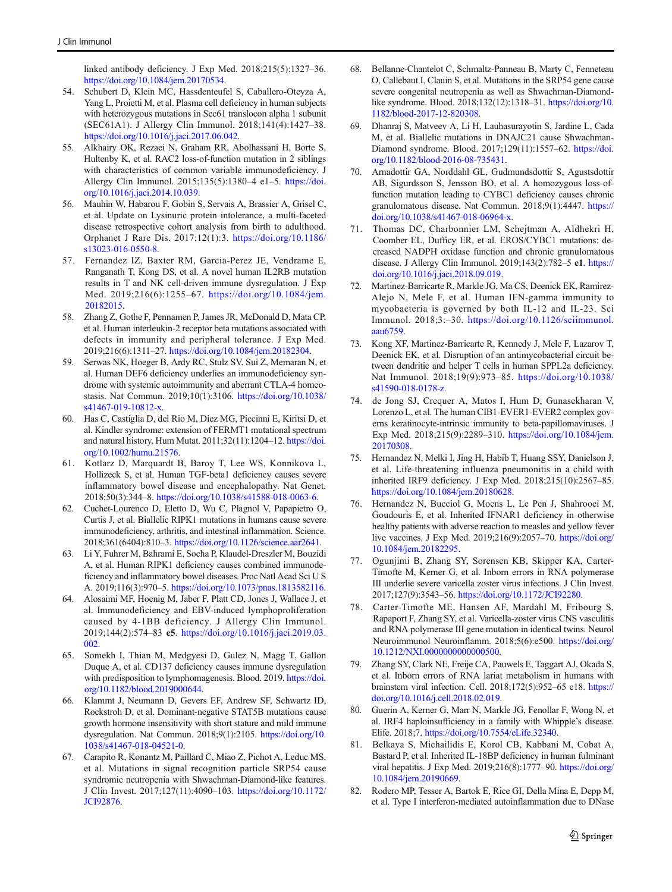<span id="page-38-0"></span>linked antibody deficiency. J Exp Med. 2018;215(5):1327–36. [https://doi.org/10.1084/jem.20170534.](https://doi.org/10.1084/jem.20170534)

- 54. Schubert D, Klein MC, Hassdenteufel S, Caballero-Oteyza A, Yang L, Proietti M, et al. Plasma cell deficiency in human subjects with heterozygous mutations in Sec61 translocon alpha 1 subunit (SEC61A1). J Allergy Clin Immunol. 2018;141(4):1427–38. [https://doi.org/10.1016/j.jaci.2017.06.042.](https://doi.org/10.1016/j.jaci.2017.06.042)
- 55. Alkhairy OK, Rezaei N, Graham RR, Abolhassani H, Borte S, Hultenby K, et al. RAC2 loss-of-function mutation in 2 siblings with characteristics of common variable immunodeficiency. J Allergy Clin Immunol. 2015;135(5):1380–4 e1–5. [https://doi.](https://doi.org/10.1016/j.jaci.2014.10.039) [org/10.1016/j.jaci.2014.10.039.](https://doi.org/10.1016/j.jaci.2014.10.039)
- 56. Mauhin W, Habarou F, Gobin S, Servais A, Brassier A, Grisel C, et al. Update on Lysinuric protein intolerance, a multi-faceted disease retrospective cohort analysis from birth to adulthood. Orphanet J Rare Dis. 2017;12(1):3. [https://doi.org/10.1186/](https://doi.org/10.1186/s13023-016-0550-8) [s13023-016-0550-8](https://doi.org/10.1186/s13023-016-0550-8).
- 57. Fernandez IZ, Baxter RM, Garcia-Perez JE, Vendrame E, Ranganath T, Kong DS, et al. A novel human IL2RB mutation results in T and NK cell-driven immune dysregulation. J Exp Med. 2019;216(6):1255–67. [https://doi.org/10.1084/jem.](https://doi.org/10.1084/jem.20182015) [20182015.](https://doi.org/10.1084/jem.20182015)
- 58. Zhang Z, Gothe F, Pennamen P, James JR, McDonald D, Mata CP, et al. Human interleukin-2 receptor beta mutations associated with defects in immunity and peripheral tolerance. J Exp Med. 2019;216(6):1311–27. <https://doi.org/10.1084/jem.20182304>.
- 59. Serwas NK, Hoeger B, Ardy RC, Stulz SV, Sui Z, Memaran N, et al. Human DEF6 deficiency underlies an immunodeficiency syndrome with systemic autoimmunity and aberrant CTLA-4 homeostasis. Nat Commun. 2019;10(1):3106. [https://doi.org/10.1038/](https://doi.org/10.1038/s41467-019-10812-x) [s41467-019-10812-x](https://doi.org/10.1038/s41467-019-10812-x).
- 60. Has C, Castiglia D, del Rio M, Diez MG, Piccinni E, Kiritsi D, et al. Kindler syndrome: extension of FERMT1 mutational spectrum and natural history. Hum Mutat. 2011;32(11):1204–12. [https://doi.](https://doi.org/10.1002/humu.21576) [org/10.1002/humu.21576.](https://doi.org/10.1002/humu.21576)
- 61. Kotlarz D, Marquardt B, Baroy T, Lee WS, Konnikova L, Hollizeck S, et al. Human TGF-beta1 deficiency causes severe inflammatory bowel disease and encephalopathy. Nat Genet. 2018;50(3):344–8. [https://doi.org/10.1038/s41588-018-0063-6.](https://doi.org/10.1038/s41588-018-0063-6)
- 62. Cuchet-Lourenco D, Eletto D, Wu C, Plagnol V, Papapietro O, Curtis J, et al. Biallelic RIPK1 mutations in humans cause severe immunodeficiency, arthritis, and intestinal inflammation. Science. 2018;361(6404):810–3. <https://doi.org/10.1126/science.aar2641>.
- 63. Li Y, Fuhrer M, Bahrami E, Socha P, Klaudel-Dreszler M, Bouzidi A, et al. Human RIPK1 deficiency causes combined immunodeficiency and inflammatory bowel diseases. Proc Natl Acad Sci U S A. 2019;116(3):970–5. <https://doi.org/10.1073/pnas.1813582116>.
- 64. Alosaimi MF, Hoenig M, Jaber F, Platt CD, Jones J, Wallace J, et al. Immunodeficiency and EBV-induced lymphoproliferation caused by 4-1BB deficiency. J Allergy Clin Immunol. 2019;144(2):574–83 e5. [https://doi.org/10.1016/j.jaci.2019.03.](https://doi.org/10.1016/j.jaci.2019.03.002) [002.](https://doi.org/10.1016/j.jaci.2019.03.002)
- 65. Somekh I, Thian M, Medgyesi D, Gulez N, Magg T, Gallon Duque A, et al. CD137 deficiency causes immune dysregulation with predisposition to lymphomagenesis. Blood. 2019. [https://doi.](https://doi.org/10.1182/blood.2019000644) [org/10.1182/blood.2019000644.](https://doi.org/10.1182/blood.2019000644)
- 66. Klammt J, Neumann D, Gevers EF, Andrew SF, Schwartz ID, Rockstroh D, et al. Dominant-negative STAT5B mutations cause growth hormone insensitivity with short stature and mild immune dysregulation. Nat Commun. 2018;9(1):2105. [https://doi.org/10.](https://doi.org/10.1038/s41467-018-04521-0) [1038/s41467-018-04521-0](https://doi.org/10.1038/s41467-018-04521-0).
- 67. Carapito R, Konantz M, Paillard C, Miao Z, Pichot A, Leduc MS, et al. Mutations in signal recognition particle SRP54 cause syndromic neutropenia with Shwachman-Diamond-like features. J Clin Invest. 2017;127(11):4090–103. [https://doi.org/10.1172/](https://doi.org/10.1172/JCI92876) [JCI92876](https://doi.org/10.1172/JCI92876).
- 68. Bellanne-Chantelot C, Schmaltz-Panneau B, Marty C, Fenneteau O, Callebaut I, Clauin S, et al. Mutations in the SRP54 gene cause severe congenital neutropenia as well as Shwachman-Diamondlike syndrome. Blood. 2018;132(12):1318–31. [https://doi.org/10.](https://doi.org/10.1182/blood-2017-12-820308) [1182/blood-2017-12-820308](https://doi.org/10.1182/blood-2017-12-820308).
- 69. Dhanraj S, Matveev A, Li H, Lauhasurayotin S, Jardine L, Cada M, et al. Biallelic mutations in DNAJC21 cause Shwachman-Diamond syndrome. Blood. 2017;129(11):1557–62. [https://doi.](https://doi.org/10.1182/blood-2016-08-735431) [org/10.1182/blood-2016-08-735431.](https://doi.org/10.1182/blood-2016-08-735431)
- 70. Arnadottir GA, Norddahl GL, Gudmundsdottir S, Agustsdottir AB, Sigurdsson S, Jensson BO, et al. A homozygous loss-offunction mutation leading to CYBC1 deficiency causes chronic granulomatous disease. Nat Commun. 2018;9(1):4447. [https://](https://doi.org/10.1038/s41467-018-06964-x) [doi.org/10.1038/s41467-018-06964-x](https://doi.org/10.1038/s41467-018-06964-x).
- 71. Thomas DC, Charbonnier LM, Schejtman A, Aldhekri H, Coomber EL, Dufficy ER, et al. EROS/CYBC1 mutations: decreased NADPH oxidase function and chronic granulomatous disease. J Allergy Clin Immunol. 2019;143(2):782–5 e1. [https://](https://doi.org/10.1016/j.jaci.2018.09.019) [doi.org/10.1016/j.jaci.2018.09.019](https://doi.org/10.1016/j.jaci.2018.09.019).
- 72. Martinez-Barricarte R, Markle JG, Ma CS, Deenick EK, Ramirez-Alejo N, Mele F, et al. Human IFN-gamma immunity to mycobacteria is governed by both IL-12 and IL-23. Sci Immunol. 2018;3:–30. [https://doi.org/10.1126/sciimmunol.](https://doi.org/10.1126/sciimmunol.aau6759) [aau6759](https://doi.org/10.1126/sciimmunol.aau6759).
- 73. Kong XF, Martinez-Barricarte R, Kennedy J, Mele F, Lazarov T, Deenick EK, et al. Disruption of an antimycobacterial circuit between dendritic and helper T cells in human SPPL2a deficiency. Nat Immunol. 2018;19(9):973–85. [https://doi.org/10.1038/](https://doi.org/10.1038/s41590-018-0178-z) [s41590-018-0178-z.](https://doi.org/10.1038/s41590-018-0178-z)
- 74. de Jong SJ, Crequer A, Matos I, Hum D, Gunasekharan V, Lorenzo L, et al. The human CIB1-EVER1-EVER2 complex governs keratinocyte-intrinsic immunity to beta-papillomaviruses. J Exp Med. 2018;215(9):2289–310. [https://doi.org/10.1084/jem.](https://doi.org/10.1084/jem.20170308) [20170308](https://doi.org/10.1084/jem.20170308).
- 75. Hernandez N, Melki I, Jing H, Habib T, Huang SSY, Danielson J, et al. Life-threatening influenza pneumonitis in a child with inherited IRF9 deficiency. J Exp Med. 2018;215(10):2567–85. [https://doi.org/10.1084/jem.20180628.](https://doi.org/10.1084/jem.20180628)
- 76. Hernandez N, Bucciol G, Moens L, Le Pen J, Shahrooei M, Goudouris E, et al. Inherited IFNAR1 deficiency in otherwise healthy patients with adverse reaction to measles and yellow fever live vaccines. J Exp Med. 2019;216(9):2057–70. [https://doi.org/](https://doi.org/10.1084/jem.20182295) [10.1084/jem.20182295](https://doi.org/10.1084/jem.20182295).
- 77. Ogunjimi B, Zhang SY, Sorensen KB, Skipper KA, Carter-Timofte M, Kerner G, et al. Inborn errors in RNA polymerase III underlie severe varicella zoster virus infections. J Clin Invest. 2017;127(9):3543–56. [https://doi.org/10.1172/JCI92280.](https://doi.org/10.1172/JCI92280)
- 78. Carter-Timofte ME, Hansen AF, Mardahl M, Fribourg S, Rapaport F, Zhang SY, et al. Varicella-zoster virus CNS vasculitis and RNA polymerase III gene mutation in identical twins. Neurol Neuroimmunol Neuroinflamm. 2018;5(6):e500. [https://doi.org/](https://doi.org/10.1212/NXI.0000000000000500) [10.1212/NXI.0000000000000500](https://doi.org/10.1212/NXI.0000000000000500).
- 79. Zhang SY, Clark NE, Freije CA, Pauwels E, Taggart AJ, Okada S, et al. Inborn errors of RNA lariat metabolism in humans with brainstem viral infection. Cell. 2018;172(5):952–65 e18. [https://](https://doi.org/10.1016/j.cell.2018.02.019) [doi.org/10.1016/j.cell.2018.02.019](https://doi.org/10.1016/j.cell.2018.02.019).
- 80. Guerin A, Kerner G, Marr N, Markle JG, Fenollar F, Wong N, et al. IRF4 haploinsufficiency in a family with Whipple's disease. Elife. 2018;7. <https://doi.org/10.7554/eLife.32340>.
- 81. Belkaya S, Michailidis E, Korol CB, Kabbani M, Cobat A, Bastard P, et al. Inherited IL-18BP deficiency in human fulminant viral hepatitis. J Exp Med. 2019;216(8):1777–90. [https://doi.org/](https://doi.org/10.1084/jem.20190669) [10.1084/jem.20190669](https://doi.org/10.1084/jem.20190669).
- 82. Rodero MP, Tesser A, Bartok E, Rice GI, Della Mina E, Depp M, et al. Type I interferon-mediated autoinflammation due to DNase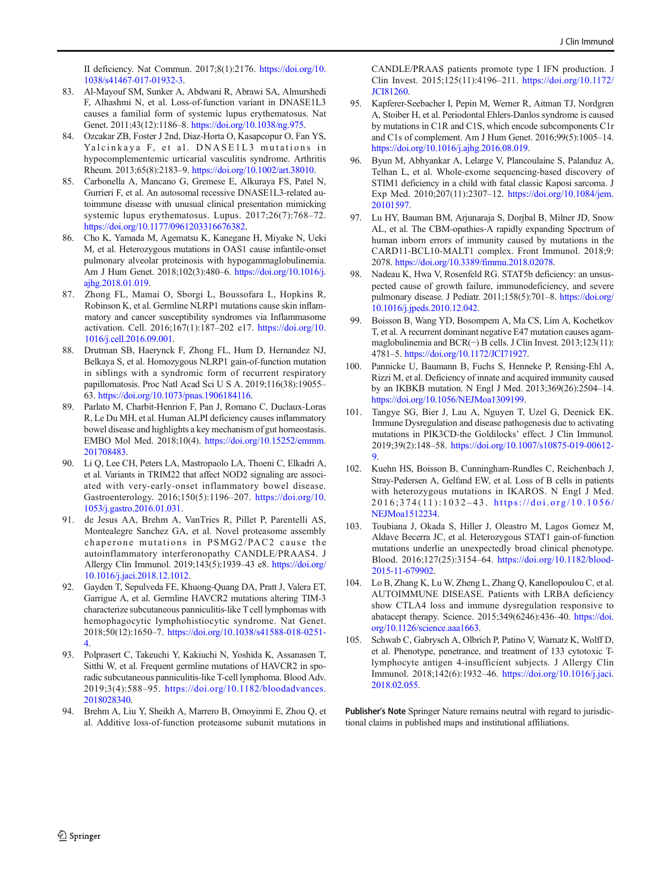<span id="page-39-0"></span>II deficiency. Nat Commun. 2017;8(1):2176. [https://doi.org/10.](https://doi.org/10.1038/s41467-017-01932-3) [1038/s41467-017-01932-3](https://doi.org/10.1038/s41467-017-01932-3).

- 83. Al-Mayouf SM, Sunker A, Abdwani R, Abrawi SA, Almurshedi F, Alhashmi N, et al. Loss-of-function variant in DNASE1L3 causes a familial form of systemic lupus erythematosus. Nat Genet. 2011;43(12):1186–8. <https://doi.org/10.1038/ng.975>.
- 84. Ozcakar ZB, Foster J 2nd, Diaz-Horta O, Kasapcopur O, Fan YS, Yalcinkaya F, et al. DNASE1L3 mutations in hypocomplementemic urticarial vasculitis syndrome. Arthritis Rheum. 2013;65(8):2183–9. <https://doi.org/10.1002/art.38010>.
- 85. Carbonella A, Mancano G, Gremese E, Alkuraya FS, Patel N, Gurrieri F, et al. An autosomal recessive DNASE1L3-related autoimmune disease with unusual clinical presentation mimicking systemic lupus erythematosus. Lupus. 2017;26(7):768–72. <https://doi.org/10.1177/0961203316676382>.
- 86. Cho K, Yamada M, Agematsu K, Kanegane H, Miyake N, Ueki M, et al. Heterozygous mutations in OAS1 cause infantile-onset pulmonary alveolar proteinosis with hypogammaglobulinemia. Am J Hum Genet. 2018;102(3):480–6. [https://doi.org/10.1016/j.](https://doi.org/10.1016/j.ajhg.2018.01.019) [ajhg.2018.01.019.](https://doi.org/10.1016/j.ajhg.2018.01.019)
- 87. Zhong FL, Mamai O, Sborgi L, Boussofara L, Hopkins R, Robinson K, et al. Germline NLRP1 mutations cause skin inflammatory and cancer susceptibility syndromes via Inflammasome activation. Cell. 2016;167(1):187–202 e17. [https://doi.org/10.](https://doi.org/10.1016/j.cell.2016.09.001) [1016/j.cell.2016.09.001.](https://doi.org/10.1016/j.cell.2016.09.001)
- 88. Drutman SB, Haerynck F, Zhong FL, Hum D, Hernandez NJ, Belkaya S, et al. Homozygous NLRP1 gain-of-function mutation in siblings with a syndromic form of recurrent respiratory papillomatosis. Proc Natl Acad Sci U S A. 2019;116(38):19055– 63. <https://doi.org/10.1073/pnas.1906184116>.
- 89. Parlato M, Charbit-Henrion F, Pan J, Romano C, Duclaux-Loras R, Le Du MH, et al. Human ALPI deficiency causes inflammatory bowel disease and highlights a key mechanism of gut homeostasis. EMBO Mol Med. 2018;10(4). [https://doi.org/10.15252/emmm.](https://doi.org/10.15252/emmm.201708483) [201708483.](https://doi.org/10.15252/emmm.201708483)
- 90. Li Q, Lee CH, Peters LA, Mastropaolo LA, Thoeni C, Elkadri A, et al. Variants in TRIM22 that affect NOD2 signaling are associated with very-early-onset inflammatory bowel disease. Gastroenterology. 2016;150(5):1196–207. [https://doi.org/10.](https://doi.org/10.1053/j.gastro.2016.01.031) [1053/j.gastro.2016.01.031](https://doi.org/10.1053/j.gastro.2016.01.031).
- 91. de Jesus AA, Brehm A, VanTries R, Pillet P, Parentelli AS, Montealegre Sanchez GA, et al. Novel proteasome assembly chaperone mutations in PSMG2/PAC2 cause the autoinflammatory interferonopathy CANDLE/PRAAS4. J Allergy Clin Immunol. 2019;143(5):1939–43 e8. [https://doi.org/](https://doi.org/10.1016/j.jaci.2018.12.1012) [10.1016/j.jaci.2018.12.1012](https://doi.org/10.1016/j.jaci.2018.12.1012).
- 92. Gayden T, Sepulveda FE, Khuong-Quang DA, Pratt J, Valera ET, Garrigue A, et al. Germline HAVCR2 mutations altering TIM-3 characterize subcutaneous panniculitis-like T cell lymphomas with hemophagocytic lymphohistiocytic syndrome. Nat Genet. 2018;50(12):1650–7. [https://doi.org/10.1038/s41588-018-0251-](https://doi.org/10.1038/s41588-018-0251-4) [4.](https://doi.org/10.1038/s41588-018-0251-4)
- 93. Polprasert C, Takeuchi Y, Kakiuchi N, Yoshida K, Assanasen T, Sitthi W, et al. Frequent germline mutations of HAVCR2 in sporadic subcutaneous panniculitis-like T-cell lymphoma. Blood Adv. 2019;3(4):588–95. [https://doi.org/10.1182/bloodadvances.](https://doi.org/10.1182/bloodadvances.2018028340) [2018028340.](https://doi.org/10.1182/bloodadvances.2018028340)
- 94. Brehm A, Liu Y, Sheikh A, Marrero B, Omoyinmi E, Zhou Q, et al. Additive loss-of-function proteasome subunit mutations in

CANDLE/PRAAS patients promote type I IFN production. J Clin Invest. 2015;125(11):4196–211. [https://doi.org/10.1172/](https://doi.org/10.1172/JCI81260) [JCI81260.](https://doi.org/10.1172/JCI81260)

- 95. Kapferer-Seebacher I, Pepin M, Werner R, Aitman TJ, Nordgren A, Stoiber H, et al. Periodontal Ehlers-Danlos syndrome is caused by mutations in C1R and C1S, which encode subcomponents C1r and C1s of complement. Am J Hum Genet. 2016;99(5):1005–14. [https://doi.org/10.1016/j.ajhg.2016.08.019.](https://doi.org/10.1016/j.ajhg.2016.08.019)
- 96. Byun M, Abhyankar A, Lelarge V, Plancoulaine S, Palanduz A, Telhan L, et al. Whole-exome sequencing-based discovery of STIM1 deficiency in a child with fatal classic Kaposi sarcoma. J Exp Med. 2010;207(11):2307–12. [https://doi.org/10.1084/jem.](https://doi.org/10.1084/jem.20101597) [20101597.](https://doi.org/10.1084/jem.20101597)
- 97. Lu HY, Bauman BM, Arjunaraja S, Dorjbal B, Milner JD, Snow AL, et al. The CBM-opathies-A rapidly expanding Spectrum of human inborn errors of immunity caused by mutations in the CARD11-BCL10-MALT1 complex. Front Immunol. 2018;9: 2078. <https://doi.org/10.3389/fimmu.2018.02078>.
- 98. Nadeau K, Hwa V, Rosenfeld RG. STAT5b deficiency: an unsuspected cause of growth failure, immunodeficiency, and severe pulmonary disease. J Pediatr. 2011;158(5):701–8. [https://doi.org/](https://doi.org/10.1016/j.jpeds.2010.12.042) [10.1016/j.jpeds.2010.12.042](https://doi.org/10.1016/j.jpeds.2010.12.042).
- Boisson B, Wang YD, Bosompem A, Ma CS, Lim A, Kochetkov T, et al. A recurrent dominant negative E47 mutation causes agammaglobulinemia and BCR(−) B cells. J Clin Invest. 2013;123(11): 4781–5. <https://doi.org/10.1172/JCI71927>.
- 100. Pannicke U, Baumann B, Fuchs S, Henneke P, Rensing-Ehl A, Rizzi M, et al. Deficiency of innate and acquired immunity caused by an IKBKB mutation. N Engl J Med. 2013;369(26):2504–14. [https://doi.org/10.1056/NEJMoa1309199.](https://doi.org/10.1056/NEJMoa1309199)
- 101. Tangye SG, Bier J, Lau A, Nguyen T, Uzel G, Deenick EK. Immune Dysregulation and disease pathogenesis due to activating mutations in PIK3CD-the Goldilocks' effect. J Clin Immunol. 2019;39(2):148–58. [https://doi.org/10.1007/s10875-019-00612-](https://doi.org/10.1007/s10875-019-00612-9) [9.](https://doi.org/10.1007/s10875-019-00612-9)
- 102. Kuehn HS, Boisson B, Cunningham-Rundles C, Reichenbach J, Stray-Pedersen A, Gelfand EW, et al. Loss of B cells in patients with heterozygous mutations in IKAROS. N Engl J Med. 2016;374(11):1032 – 43. [https://doi.org/10.1056/](https://doi.org/10.1056/NEJMoa1512234) [NEJMoa1512234.](https://doi.org/10.1056/NEJMoa1512234)
- 103. Toubiana J, Okada S, Hiller J, Oleastro M, Lagos Gomez M, Aldave Becerra JC, et al. Heterozygous STAT1 gain-of-function mutations underlie an unexpectedly broad clinical phenotype. Blood. 2016;127(25):3154–64. [https://doi.org/10.1182/blood-](https://doi.org/10.1182/blood-2015-11-679902)[2015-11-679902](https://doi.org/10.1182/blood-2015-11-679902).
- 104. Lo B, Zhang K, Lu W, Zheng L, Zhang Q, Kanellopoulou C, et al. AUTOIMMUNE DISEASE. Patients with LRBA deficiency show CTLA4 loss and immune dysregulation responsive to abatacept therapy. Science. 2015;349(6246):436–40. [https://doi.](https://doi.org/10.1126/science.aaa1663) [org/10.1126/science.aaa1663](https://doi.org/10.1126/science.aaa1663).
- 105. Schwab C, Gabrysch A, Olbrich P, Patino V, Warnatz K, Wolff D, et al. Phenotype, penetrance, and treatment of 133 cytotoxic Tlymphocyte antigen 4-insufficient subjects. J Allergy Clin Immunol. 2018;142(6):1932–46. [https://doi.org/10.1016/j.jaci.](https://doi.org/10.1016/j.jaci.2018.02.055) [2018.02.055.](https://doi.org/10.1016/j.jaci.2018.02.055)

Publisher's Note Springer Nature remains neutral with regard to jurisdictional claims in published maps and institutional affiliations.